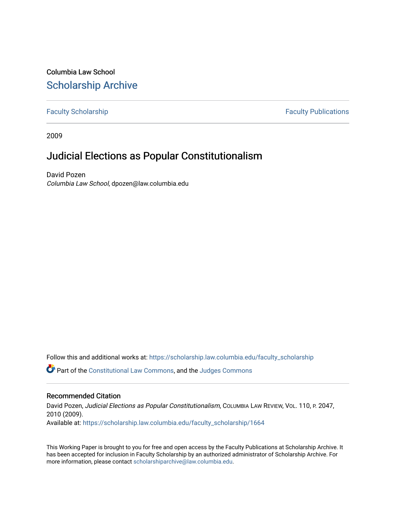# Columbia Law School [Scholarship Archive](https://scholarship.law.columbia.edu/)

[Faculty Scholarship](https://scholarship.law.columbia.edu/faculty_scholarship) **Faculty Scholarship Faculty Publications** 

2009

# Judicial Elections as Popular Constitutionalism

David Pozen Columbia Law School, dpozen@law.columbia.edu

Follow this and additional works at: [https://scholarship.law.columbia.edu/faculty\\_scholarship](https://scholarship.law.columbia.edu/faculty_scholarship?utm_source=scholarship.law.columbia.edu%2Ffaculty_scholarship%2F1664&utm_medium=PDF&utm_campaign=PDFCoverPages)

Part of the [Constitutional Law Commons,](http://network.bepress.com/hgg/discipline/589?utm_source=scholarship.law.columbia.edu%2Ffaculty_scholarship%2F1664&utm_medium=PDF&utm_campaign=PDFCoverPages) and the [Judges Commons](http://network.bepress.com/hgg/discipline/849?utm_source=scholarship.law.columbia.edu%2Ffaculty_scholarship%2F1664&utm_medium=PDF&utm_campaign=PDFCoverPages)

## Recommended Citation

David Pozen, Judicial Elections as Popular Constitutionalism, COLUMBIA LAW REVIEW, VOL. 110, P. 2047, 2010 (2009). Available at: [https://scholarship.law.columbia.edu/faculty\\_scholarship/1664](https://scholarship.law.columbia.edu/faculty_scholarship/1664?utm_source=scholarship.law.columbia.edu%2Ffaculty_scholarship%2F1664&utm_medium=PDF&utm_campaign=PDFCoverPages)

This Working Paper is brought to you for free and open access by the Faculty Publications at Scholarship Archive. It has been accepted for inclusion in Faculty Scholarship by an authorized administrator of Scholarship Archive. For more information, please contact [scholarshiparchive@law.columbia.edu.](mailto:scholarshiparchive@law.columbia.edu)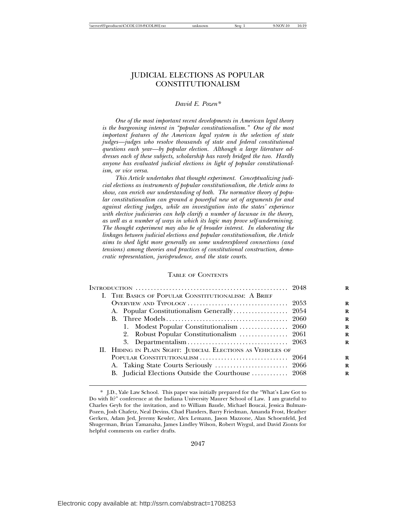## JUDICIAL ELECTIONS AS POPULAR CONSTITUTIONALISM

#### *David E. Pozen\**

*One of the most important recent developments in American legal theory is the burgeoning interest in "popular constitutionalism." One of the most important features of the American legal system is the selection of state judges—judges who resolve thousands of state and federal constitutional questions each year—by popular election. Although a large literature addresses each of these subjects, scholarship has rarely bridged the two. Hardly anyone has evaluated judicial elections in light of popular constitutionalism, or vice versa.*

*This Article undertakes that thought experiment. Conceptualizing judicial elections as instruments of popular constitutionalism, the Article aims to show, can enrich our understanding of both. The normative theory of popular constitutionalism can ground a powerful new set of arguments for and against electing judges, while an investigation into the states' experience with elective judiciaries can help clarify a number of lacunae in the theory, as well as a number of ways in which its logic may prove self-undermining. The thought experiment may also be of broader interest. In elaborating the linkages between judicial elections and popular constitutionalism, the Article aims to shed light more generally on some underexplored connections (and tensions) among theories and practices of constitutional construction, democratic representation, jurisprudence, and the state courts.*

#### TABLE OF CONTENTS

| I. THE BASICS OF POPULAR CONSTITUTIONALISM: A BRIEF          |  |
|--------------------------------------------------------------|--|
|                                                              |  |
|                                                              |  |
|                                                              |  |
| 1. Modest Popular Constitutionalism  2060                    |  |
|                                                              |  |
|                                                              |  |
| II. HIDING IN PLAIN SIGHT: JUDICIAL ELECTIONS AS VEHICLES OF |  |
|                                                              |  |
| A. Taking State Courts Seriously  2066                       |  |
| B. Judicial Elections Outside the Courthouse  2068           |  |
|                                                              |  |

2047

<sup>\*</sup> J.D., Yale Law School. This paper was initially prepared for the "What's Law Got to Do with It?" conference at the Indiana University Maurer School of Law. I am grateful to Charles Geyh for the invitation, and to William Baude, Michael Boucai, Jessica Bulman-Pozen, Josh Chafetz, Neal Devins, Chad Flanders, Barry Friedman, Amanda Frost, Heather Gerken, Adam Jed, Jeremy Kessler, Alex Lemann, Jason Mazzone, Alan Schoenfeld, Jed Shugerman, Brian Tamanaha, James Lindley Wilson, Robert Wiygul, and David Zionts for helpful comments on earlier drafts.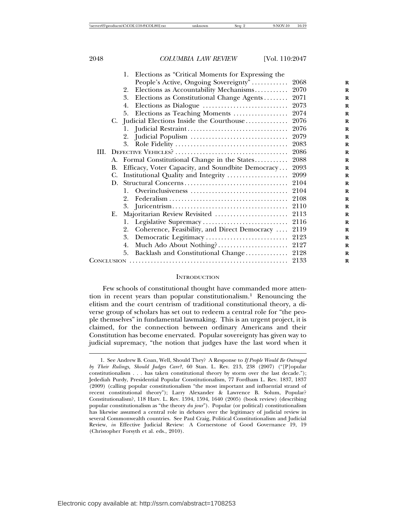|    | Elections as "Critical Moments for Expressing the<br>1. |      |
|----|---------------------------------------------------------|------|
|    | People's Active, Ongoing Sovereignty"                   | 2068 |
|    | Elections as Accountability Mechanisms<br>2.            | 2070 |
|    | Elections as Constitutional Change Agents<br>3.         | 2071 |
|    | 4.                                                      | 2073 |
|    | Elections as Teaching Moments  2074<br>5.               |      |
|    | C. Judicial Elections Inside the Courthouse 2076        |      |
|    |                                                         |      |
|    |                                                         |      |
|    | 3.                                                      |      |
|    |                                                         | 2086 |
|    | A. Formal Constitutional Change in the States           | 2088 |
| В. | Efficacy, Voter Capacity, and Soundbite Democracy       | 2093 |
| C. | Institutional Quality and Integrity                     | 2099 |
| D. |                                                         | 2104 |
| 1. |                                                         |      |
|    | 2.                                                      |      |
|    |                                                         |      |
| Е. |                                                         | 2113 |
|    | 1.                                                      | 2116 |
|    | 2.<br>Coherence, Feasibility, and Direct Democracy      | 2119 |
|    | 3.                                                      |      |
|    | 4.                                                      |      |
|    | Backlash and Constitutional Change 2128<br>5.           |      |
|    |                                                         | 2133 |
|    |                                                         |      |

#### **INTRODUCTION**

Few schools of constitutional thought have commanded more attention in recent years than popular constitutionalism.1 Renouncing the elitism and the court centrism of traditional constitutional theory, a diverse group of scholars has set out to redeem a central role for "the people themselves" in fundamental lawmaking. This is an urgent project, it is claimed, for the connection between ordinary Americans and their Constitution has become enervated. Popular sovereignty has given way to judicial supremacy, "the notion that judges have the last word when it

<sup>1.</sup> See Andrew B. Coan, Well, Should They? A Response to *If People Would Be Outraged by Their Rulings, Should Judges Care?*, 60 Stan. L. Rev. 213, 238 (2007) ("[P]opular constitutionalism . . . has taken constitutional theory by storm over the last decade."); Jedediah Purdy, Presidential Popular Constitutionalism, 77 Fordham L. Rev. 1837, 1837 (2009) (calling popular constitutionalism "the most important and influential strand of recent constitutional theory"); Larry Alexander & Lawrence B. Solum, Popular? Constitutionalism?, 118 Harv. L. Rev. 1594, 1594, 1640 (2005) (book review) (describing popular constitutionalism as "the theory *du jour*"). Popular (or political) constitutionalism has likewise assumed a central role in debates over the legitimacy of judicial review in several Commonwealth countries. See Paul Craig, Political Constitutionalism and Judicial Review, *in* Effective Judicial Review: A Cornerstone of Good Governance 19, 19 (Christopher Forsyth et al. eds., 2010).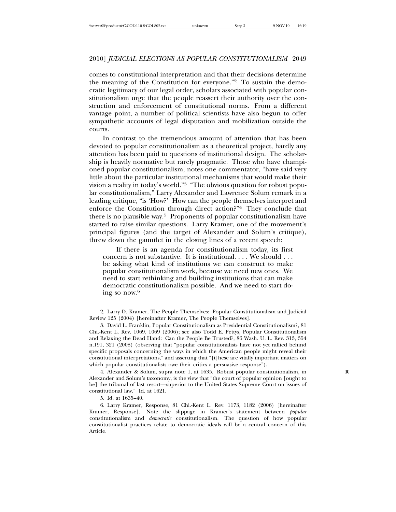comes to constitutional interpretation and that their decisions determine the meaning of the Constitution for everyone."2 To sustain the democratic legitimacy of our legal order, scholars associated with popular constitutionalism urge that the people reassert their authority over the construction and enforcement of constitutional norms. From a different vantage point, a number of political scientists have also begun to offer sympathetic accounts of legal disputation and mobilization outside the courts.

In contrast to the tremendous amount of attention that has been devoted to popular constitutionalism as a theoretical project, hardly any attention has been paid to questions of institutional design. The scholarship is heavily normative but rarely pragmatic. Those who have championed popular constitutionalism, notes one commentator, "have said very little about the particular institutional mechanisms that would make their vision a reality in today's world."3 "The obvious question for robust popular constitutionalism," Larry Alexander and Lawrence Solum remark in a leading critique, "is 'How?' How can the people themselves interpret and enforce the Constitution through direct action?"4 They conclude that there is no plausible way.5 Proponents of popular constitutionalism have started to raise similar questions. Larry Kramer, one of the movement's principal figures (and the target of Alexander and Solum's critique), threw down the gauntlet in the closing lines of a recent speech:

If there is an agenda for constitutionalism today, its first concern is not substantive. It is institutional. . . . We should . . . be asking what kind of institutions we can construct to make popular constitutionalism work, because we need new ones. We need to start rethinking and building institutions that can make democratic constitutionalism possible. And we need to start doing so now.6

5. Id. at 1635–40.

<sup>2.</sup> Larry D. Kramer, The People Themselves: Popular Constitutionalism and Judicial Review 125 (2004) [hereinafter Kramer, The People Themselves].

<sup>3.</sup> David L. Franklin, Popular Constitutionalism as Presidential Constitutionalism?, 81 Chi.-Kent L. Rev. 1069, 1069 (2006); see also Todd E. Pettys, Popular Constitutionalism and Relaxing the Dead Hand: Can the People Be Trusted?, 86 Wash. U. L. Rev. 313, 354 n.191, 321 (2008) (observing that "popular constitutionalists have not yet rallied behind specific proposals concerning the ways in which the American people might reveal their constitutional interpretations," and asserting that "[t]hese are vitally important matters on which popular constitutionalists owe their critics a persuasive response").

<sup>4.</sup> Alexander & Solum, supra note 1, at 1635. Robust popular constitutionalism, in **R** Alexander and Solum's taxonomy, is the view that "the court of popular opinion [ought to be] the tribunal of last resort—superior to the United States Supreme Court on issues of constitutional law." Id. at 1621.

<sup>6.</sup> Larry Kramer, Response, 81 Chi.-Kent L. Rev. 1173, 1182 (2006) [hereinafter Kramer, Response]. Note the slippage in Kramer's statement between *popular* constitutionalism and *democratic* constitutionalism. The question of how popular constitutionalist practices relate to democratic ideals will be a central concern of this Article.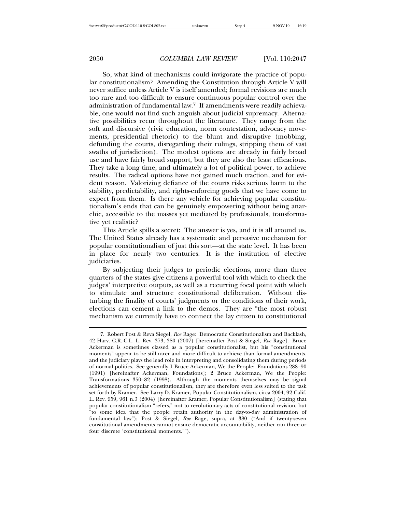So, what kind of mechanisms could invigorate the practice of popular constitutionalism? Amending the Constitution through Article V will never suffice unless Article V is itself amended; formal revisions are much too rare and too difficult to ensure continuous popular control over the administration of fundamental law.7 If amendments were readily achievable, one would not find such anguish about judicial supremacy. Alternative possibilities recur throughout the literature. They range from the soft and discursive (civic education, norm contestation, advocacy movements, presidential rhetoric) to the blunt and disruptive (mobbing, defunding the courts, disregarding their rulings, stripping them of vast swaths of jurisdiction). The modest options are already in fairly broad use and have fairly broad support, but they are also the least efficacious. They take a long time, and ultimately a lot of political power, to achieve results. The radical options have not gained much traction, and for evident reason. Valorizing defiance of the courts risks serious harm to the stability, predictability, and rights-enforcing goods that we have come to expect from them. Is there any vehicle for achieving popular constitutionalism's ends that can be genuinely empowering without being anarchic, accessible to the masses yet mediated by professionals, transformative yet realistic?

This Article spills a secret: The answer is yes, and it is all around us. The United States already has a systematic and pervasive mechanism for popular constitutionalism of just this sort—at the state level. It has been in place for nearly two centuries. It is the institution of elective judiciaries.

By subjecting their judges to periodic elections, more than three quarters of the states give citizens a powerful tool with which to check the judges' interpretive outputs, as well as a recurring focal point with which to stimulate and structure constitutional deliberation. Without disturbing the finality of courts' judgments or the conditions of their work, elections can cement a link to the demos. They are "the most robust mechanism we currently have to connect the lay citizen to constitutional

<sup>7.</sup> Robert Post & Reva Siegel, *Roe* Rage: Democratic Constitutionalism and Backlash, 42 Harv. C.R.-C.L. L. Rev. 373, 380 (2007) [hereinafter Post & Siegel, *Roe* Rage]. Bruce Ackerman is sometimes classed as a popular constitutionalist, but his "constitutional moments" appear to be still rarer and more difficult to achieve than formal amendments, and the judiciary plays the lead role in interpreting and consolidating them during periods of normal politics. See generally 1 Bruce Ackerman, We the People: Foundations 288–90 (1991) [hereinafter Ackerman, Foundations]; 2 Bruce Ackerman, We the People: Transformations 350–82 (1998). Although the moments themselves may be signal achievements of popular constitutionalism, they are therefore even less suited to the task set forth by Kramer. See Larry D. Kramer, Popular Constitutionalism, circa 2004, 92 Calif. L. Rev. 959, 961 n.3 (2004) [hereinafter Kramer, Popular Constitutionalism] (stating that popular constitutionalism "refers," not to revolutionary acts of constitutional revision, but "to some idea that the people retain authority in the day-to-day administration of fundamental law"); Post & Siegel, *Roe* Rage, supra, at 380 ("And if twenty-seven constitutional amendments cannot ensure democratic accountability, neither can three or four discrete 'constitutional moments.'").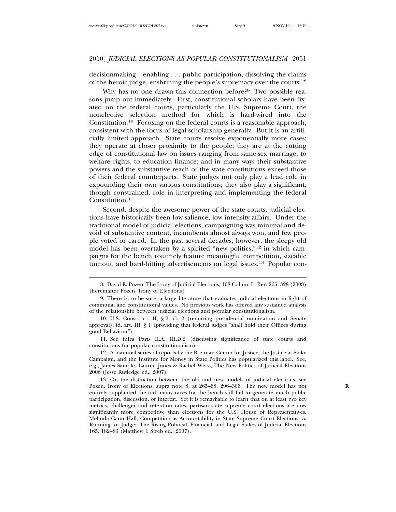decisionmaking—enabling . . . public participation, dissolving the claims of the heroic judge, enshrining the people's supremacy over the courts."<sup>8</sup>

Why has no one drawn this connection before?<sup>9</sup> Two possible reasons jump out immediately. First, constitutional scholars have been fixated on the federal courts, particularly the U.S. Supreme Court, the nonelective selection method for which is hard-wired into the Constitution.10 Focusing on the federal courts is a reasonable approach, consistent with the focus of legal scholarship generally. But it is an artificially limited approach. State courts resolve exponentially more cases; they operate at closer proximity to the people; they are at the cutting edge of constitutional law on issues ranging from same-sex marriage, to welfare rights, to education finance; and in many ways their substantive powers and the substantive reach of the state constitutions exceed those of their federal counterparts. State judges not only play a lead role in expounding their own various constitutions; they also play a significant, though constrained, role in interpreting and implementing the federal Constitution.<sup>11</sup>

Second, despite the awesome power of the state courts, judicial elections have historically been low salience, low intensity affairs. Under the traditional model of judicial elections, campaigning was minimal and devoid of substantive content, incumbents almost always won, and few people voted or cared. In the past several decades, however, the sleepy old model has been overtaken by a spirited "new politics,"<sup>12</sup> in which campaigns for the bench routinely feature meaningful competition, sizeable turnout, and hard-hitting advertisements on legal issues.<sup>13</sup> Popular con-

11. See infra Parts II.A, III.D.2 (discussing significance of state courts and constitutions for popular constitutionalism).

12. A biannual series of reports by the Brennan Center for Justice, the Justice at Stake Campaign, and the Institute for Money in State Politics has popularized this label. See, e.g., James Sample, Lauren Jones & Rachel Weiss, The New Politics of Judicial Elections 2006 (Jesse Rutledge ed., 2007).

13. On the distinction between the old and new models of judicial elections, see Pozen, Irony of Elections, supra note 8, at 265–68, 296–306. The new model has not **R** entirely supplanted the old; many races for the bench still fail to generate much public participation, discussion, or interest. Yet it is remarkable to learn that on at least two key metrics, challenger and retention rates, partisan state supreme court elections are now significantly more competitive than elections for the U.S. House of Representatives. Melinda Gann Hall, Competition as Accountability in State Supreme Court Elections, *in* Running for Judge: The Rising Political, Financial, and Legal Stakes of Judicial Elections 165, 182–83 (Matthew J. Streb ed., 2007).

<sup>8.</sup> David E. Pozen, The Irony of Judicial Elections, 108 Colum. L. Rev. 265, 328 (2008) [hereinafter Pozen, Irony of Elections].

<sup>9.</sup> There is, to be sure, a large literature that evaluates judicial elections in light of communal and constitutional values. No previous work has offered any sustained analysis of the relationship between judicial elections and popular constitutionalism.

<sup>10.</sup> U.S. Const. art. II, § 2, cl. 2 (requiring presidential nomination and Senate approval); id. art. III, § 1 (providing that federal judges "shall hold their Offices during good Behaviour").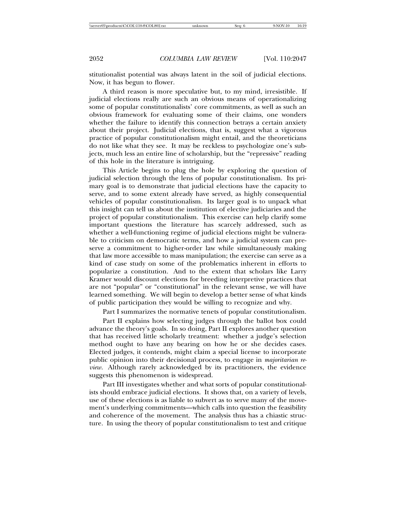stitutionalist potential was always latent in the soil of judicial elections. Now, it has begun to flower.

A third reason is more speculative but, to my mind, irresistible. If judicial elections really are such an obvious means of operationalizing some of popular constitutionalists' core commitments, as well as such an obvious framework for evaluating some of their claims, one wonders whether the failure to identify this connection betrays a certain anxiety about their project. Judicial elections, that is, suggest what a vigorous practice of popular constitutionalism might entail, and the theoreticians do not like what they see. It may be reckless to psychologize one's subjects, much less an entire line of scholarship, but the "repressive" reading of this hole in the literature is intriguing.

This Article begins to plug the hole by exploring the question of judicial selection through the lens of popular constitutionalism. Its primary goal is to demonstrate that judicial elections have the capacity to serve, and to some extent already have served, as highly consequential vehicles of popular constitutionalism. Its larger goal is to unpack what this insight can tell us about the institution of elective judiciaries and the project of popular constitutionalism. This exercise can help clarify some important questions the literature has scarcely addressed, such as whether a well-functioning regime of judicial elections might be vulnerable to criticism on democratic terms, and how a judicial system can preserve a commitment to higher-order law while simultaneously making that law more accessible to mass manipulation; the exercise can serve as a kind of case study on some of the problematics inherent in efforts to popularize a constitution. And to the extent that scholars like Larry Kramer would discount elections for breeding interpretive practices that are not "popular" or "constitutional" in the relevant sense, we will have learned something. We will begin to develop a better sense of what kinds of public participation they would be willing to recognize and why.

Part I summarizes the normative tenets of popular constitutionalism.

Part II explains how selecting judges through the ballot box could advance the theory's goals. In so doing, Part II explores another question that has received little scholarly treatment: whether a judge's selection method ought to have any bearing on how he or she decides cases. Elected judges, it contends, might claim a special license to incorporate public opinion into their decisional process, to engage in *majoritarian review*. Although rarely acknowledged by its practitioners, the evidence suggests this phenomenon is widespread.

Part III investigates whether and what sorts of popular constitutionalists should embrace judicial elections. It shows that, on a variety of levels, use of these elections is as liable to subvert as to serve many of the movement's underlying commitments—which calls into question the feasibility and coherence of the movement. The analysis thus has a chiastic structure. In using the theory of popular constitutionalism to test and critique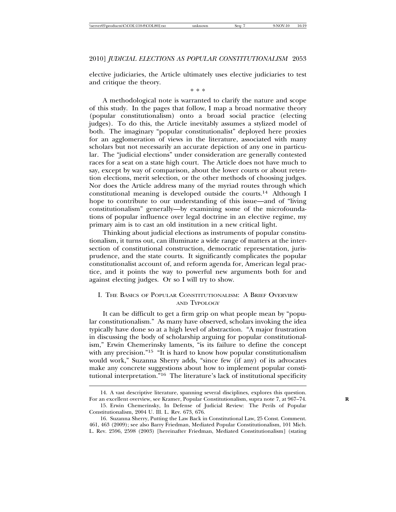elective judiciaries, the Article ultimately uses elective judiciaries to test and critique the theory.

\* \* \*

A methodological note is warranted to clarify the nature and scope of this study. In the pages that follow, I map a broad normative theory (popular constitutionalism) onto a broad social practice (electing judges). To do this, the Article inevitably assumes a stylized model of both. The imaginary "popular constitutionalist" deployed here proxies for an agglomeration of views in the literature, associated with many scholars but not necessarily an accurate depiction of any one in particular. The "judicial elections" under consideration are generally contested races for a seat on a state high court. The Article does not have much to say, except by way of comparison, about the lower courts or about retention elections, merit selection, or the other methods of choosing judges. Nor does the Article address many of the myriad routes through which constitutional meaning is developed outside the courts.14 Although I hope to contribute to our understanding of this issue—and of "living constitutionalism" generally—by examining some of the microfoundations of popular influence over legal doctrine in an elective regime, my primary aim is to cast an old institution in a new critical light.

Thinking about judicial elections as instruments of popular constitutionalism, it turns out, can illuminate a wide range of matters at the intersection of constitutional construction, democratic representation, jurisprudence, and the state courts. It significantly complicates the popular constitutionalist account of, and reform agenda for, American legal practice, and it points the way to powerful new arguments both for and against electing judges. Or so I will try to show.

### I. THE BASICS OF POPULAR CONSTITUTIONALISM: A BRIEF OVERVIEW AND TYPOLOGY

It can be difficult to get a firm grip on what people mean by "popular constitutionalism." As many have observed, scholars invoking the idea typically have done so at a high level of abstraction. "A major frustration in discussing the body of scholarship arguing for popular constitutionalism," Erwin Chemerinsky laments, "is its failure to define the concept with any precision."<sup>15</sup> "It is hard to know how popular constitutionalism would work," Suzanna Sherry adds, "since few (if any) of its advocates make any concrete suggestions about how to implement popular constitutional interpretation."16 The literature's lack of institutional specificity

<sup>14.</sup> A vast descriptive literature, spanning several disciplines, explores this question. For an excellent overview, see Kramer, Popular Constitutionalism, supra note 7, at 967–74. **R**

<sup>15.</sup> Erwin Chemerinsky, In Defense of Judicial Review: The Perils of Popular Constitutionalism, 2004 U. Ill. L. Rev. 673, 676.

<sup>16.</sup> Suzanna Sherry, Putting the Law Back in Constitutional Law, 25 Const. Comment. 461, 463 (2009); see also Barry Friedman, Mediated Popular Constitutionalism, 101 Mich. L. Rev. 2596, 2598 (2003) [hereinafter Friedman, Mediated Constitutionalism] (stating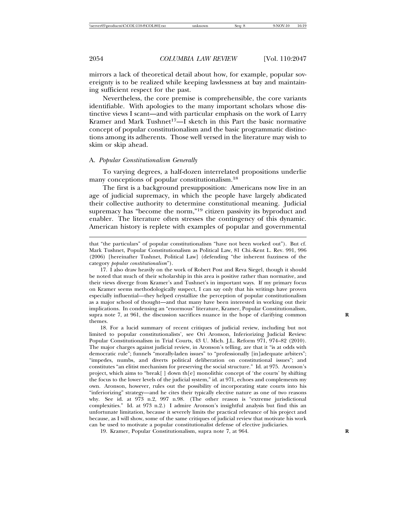mirrors a lack of theoretical detail about how, for example, popular sovereignty is to be realized while keeping lawlessness at bay and maintaining sufficient respect for the past.

Nevertheless, the core premise is comprehensible, the core variants identifiable. With apologies to the many important scholars whose distinctive views I scant—and with particular emphasis on the work of Larry Kramer and Mark Tushnet<sup>17</sup>—I sketch in this Part the basic normative concept of popular constitutionalism and the basic programmatic distinctions among its adherents. Those well versed in the literature may wish to skim or skip ahead.

#### A. *Popular Constitutionalism Generally*

To varying degrees, a half-dozen interrelated propositions underlie many conceptions of popular constitutionalism.<sup>18</sup>

The first is a background presupposition: Americans now live in an age of judicial supremacy, in which the people have largely abdicated their collective authority to determine constitutional meaning. Judicial supremacy has "become the norm,"19 citizen passivity its byproduct and enabler. The literature often stresses the contingency of this dynamic. American history is replete with examples of popular and governmental

that "the particulars" of popular constitutionalism "have not been worked out"). But cf. Mark Tushnet, Popular Constitutionalism as Political Law, 81 Chi.-Kent L. Rev. 991, 996 (2006) [hereinafter Tushnet, Political Law] (defending "the inherent fuzziness of the category *popular constitutionalism*").

17. I also draw heavily on the work of Robert Post and Reva Siegel, though it should be noted that much of their scholarship in this area is positive rather than normative, and their views diverge from Kramer's and Tushnet's in important ways. If my primary focus on Kramer seems methodologically suspect, I can say only that his writings have proven especially influential—they helped crystallize the perception of popular constitutionalism as a major school of thought—and that many have been interested in working out their implications. In condensing an "enormous" literature, Kramer, Popular Constitutionalism, supra note 7, at 961, the discussion sacrifices nuance in the hope of clarifying common themes.

18. For a lucid summary of recent critiques of judicial review, including but not limited to popular constitutionalists', see Ori Aronson, Inferiorizing Judicial Review: Popular Constitutionalism in Trial Courts, 43 U. Mich. J.L. Reform 971, 974–82 (2010). The major charges against judicial review, in Aronson's telling, are that it "is at odds with democratic rule"; funnels "morally-laden issues" to "professionally [in]adequate arbiters"; "impedes, numbs, and diverts political deliberation on constitutional issues"; and constitutes "an elitist mechanism for preserving the social structure." Id. at 975. Aronson's project, which aims to "break[ ] down th[e] monolithic concept of 'the courts' by shifting the focus to the lower levels of the judicial system," id. at 971, echoes and complements my own. Aronson, however, rules out the possibility of incorporating state courts into his "inferiorizing" strategy—and he cites their typically elective nature as one of two reasons why. See id. at 973 n.2, 997 n.98. (The other reason is "extreme jurisdictional complexities." Id. at 973 n.2.) I admire Aronson's insightful analysis but find this an unfortunate limitation, because it severely limits the practical relevance of his project and because, as I will show, some of the same critiques of judicial review that motivate his work can be used to motivate a popular constitutionalist defense of elective judiciaries.

19. Kramer, Popular Constitutionalism, supra note 7, at 964. **R**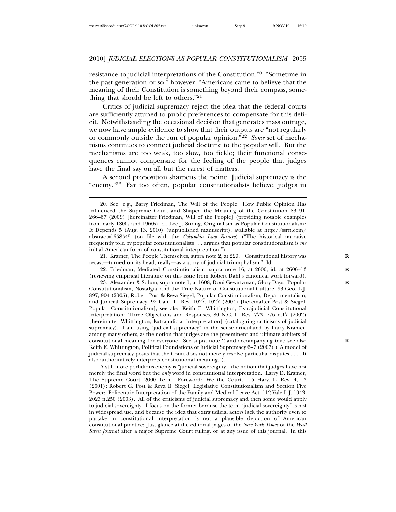resistance to judicial interpretations of the Constitution.<sup>20</sup> "Sometime in the past generation or so," however, "Americans came to believe that the meaning of their Constitution is something beyond their compass, something that should be left to others."<sup>21</sup>

Critics of judicial supremacy reject the idea that the federal courts are sufficiently attuned to public preferences to compensate for this deficit. Notwithstanding the occasional decision that generates mass outrage, we now have ample evidence to show that their outputs are "not regularly or commonly outside the run of popular opinion."<sup>22</sup> *Some* set of mechanisms continues to connect judicial doctrine to the popular will. But the mechanisms are too weak, too slow, too fickle; their functional consequences cannot compensate for the feeling of the people that judges have the final say on all but the rarest of matters.

A second proposition sharpens the point: Judicial supremacy is the "enemy."23 Far too often, popular constitutionalists believe, judges in

21. Kramer, The People Themselves, supra note 2, at 229. "Constitutional history was **R** recast—turned on its head, really—as a story of judicial triumphalism." Id.

22. Friedman, Mediated Constitutionalism, supra note 16, at 2600; id. at 2606–13 **R** (reviewing empirical literature on this issue from Robert Dahl's canonical work forward).

23. Alexander & Solum, supra note 1, at 1608; Doni Gewirtzman, Glory Days: Popular **R** Constitutionalism, Nostalgia, and the True Nature of Constitutional Culture, 93 Geo. L.J. 897, 904 (2005); Robert Post & Reva Siegel, Popular Constitutionalism, Departmentalism, and Judicial Supremacy, 92 Calif. L. Rev. 1027, 1027 (2004) [hereinafter Post & Siegel, Popular Constitutionalism]; see also Keith E. Whittington, Extrajudicial Constitutional Interpretation: Three Objections and Responses, 80 N.C. L. Rev. 773, 776 n.17 (2002) [hereinafter Whittington, Extrajudicial Interpretation] (cataloguing criticisms of judicial supremacy). I am using "judicial supremacy" in the sense articulated by Larry Kramer, among many others, as the notion that judges are the preeminent and ultimate arbiters of constitutional meaning for everyone. See supra note 2 and accompanying text; see also Keith E. Whittington, Political Foundations of Judicial Supremacy 6–7 (2007) ("A model of judicial supremacy posits that the Court does not merely resolve particular disputes . . . . It also authoritatively interprets constitutional meaning.").

A still more perfidious enemy is "judicial sovereignty," the notion that judges have not merely the final word but the *only* word in constitutional interpretation. Larry D. Kramer, The Supreme Court, 2000 Term—Foreword: We the Court, 115 Harv. L. Rev. 4, 13 (2001); Robert C. Post & Reva B. Siegel, Legislative Constitutionalism and Section Five Power: Policentric Interpretation of the Family and Medical Leave Act, 112 Yale L.J. 1943, 2023 n.250 (2003). All of the criticisms of judicial supremacy and then some would apply to judicial sovereignty. I focus on the former because the term "judicial sovereignty" is not in widespread use, and because the idea that extrajudicial actors lack the authority even to partake in constitutional interpretation is not a plausible depiction of American constitutional practice: Just glance at the editorial pages of the *New York Times* or the *Wall Street Journal* after a major Supreme Court ruling, or at any issue of this journal. In this

<sup>20.</sup> See, e.g., Barry Friedman, The Will of the People: How Public Opinion Has Influenced the Supreme Court and Shaped the Meaning of the Constitution 83–91, 266–67 (2009) [hereinafter Friedman, Will of the People] (providing notable examples from early 1800s and 1960s); cf. Lee J. Strang, Originalism as Popular Constitutionalism? It Depends 5 (Aug. 13, 2010) (unpublished manuscript), available at http://ssrn.com/ abstract=1658549 (on file with the *Columbia Law Review*) ("The historical narrative frequently told by popular constitutionalists . . . argues that popular constitutionalism is *the* initial American form of constitutional interpretation.").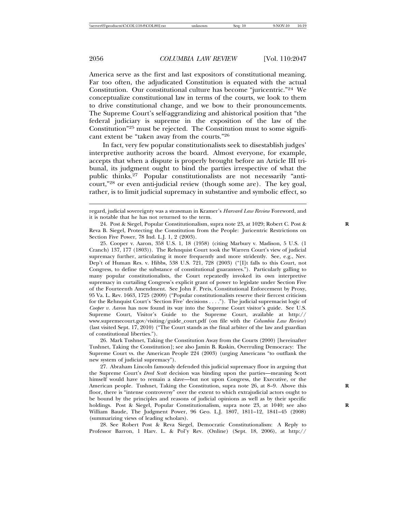America serve as the first and last expositors of constitutional meaning. Far too often, the adjudicated Constitution is equated with the actual Constitution. Our constitutional culture has become "juricentric."24 We conceptualize constitutional law in terms of the courts, we look to them to drive constitutional change, and we bow to their pronouncements. The Supreme Court's self-aggrandizing and ahistorical position that "the federal judiciary is supreme in the exposition of the law of the Constitution"25 must be rejected. The Constitution must to some significant extent be "taken away from the courts."<sup>26</sup>

In fact, very few popular constitutionalists seek to disestablish judges' interpretive authority across the board. Almost everyone, for example, accepts that when a dispute is properly brought before an Article III tribunal, its judgment ought to bind the parties irrespective of what the public thinks.27 Popular constitutionalists are not necessarily "anticourt,"28 or even anti-judicial review (though some are). The key goal, rather, is to limit judicial supremacy in substantive and symbolic effect, so

25. Cooper v. Aaron, 358 U.S. 1, 18 (1958) (citing Marbury v. Madison, 5 U.S. (1 Cranch) 137, 177 (1803)). The Rehnquist Court took the Warren Court's view of judicial supremacy further, articulating it more frequently and more stridently. See, e.g., Nev. Dep't of Human Res. v. Hibbs, 538 U.S. 721, 728 (2003) ("[I]t falls to this Court, not Congress, to define the substance of constitutional guarantees."). Particularly galling to many popular constitutionalists, the Court repeatedly invoked its own interpretive supremacy in curtailing Congress's explicit grant of power to legislate under Section Five of the Fourteenth Amendment. See John F. Preis, Constitutional Enforcement by Proxy, 95 Va. L. Rev. 1663, 1725 (2009) ("Popular constitutionalists reserve their fiercest criticism for the Rehnquist Court's 'Section Five' decisions . . . ."). The judicial supremacist logic of *Cooper v. Aaron* has now found its way into the Supreme Court visitor's guide. See U.S. Supreme Court, Visitor's Guide to the Supreme Court, available at http:// www.supremecourt.gov/visiting/guide\_court.pdf (on file with the *Columbia Law Review*) (last visited Sept. 17, 2010) ("The Court stands as the final arbiter of the law and guardian of constitutional liberties.").

26. Mark Tushnet, Taking the Constitution Away from the Courts (2000) [hereinafter Tushnet, Taking the Constitution]; see also Jamin B. Raskin, Overruling Democracy: The Supreme Court vs. the American People 224 (2003) (urging Americans "to outflank the new system of judicial supremacy").

27. Abraham Lincoln famously defended this judicial supremacy floor in arguing that the Supreme Court's *Dred Scott* decision was binding upon the parties—meaning Scott himself would have to remain a slave—but not upon Congress, the Executive, or the American people. Tushnet, Taking the Constitution, supra note 26, at 8–9. Above this **R** floor, there is "intense controversy" over the extent to which extrajudicial actors ought to be bound by the principles and reasons of judicial opinions as well as by their specific holdings. Post & Siegel, Popular Constitutionalism, supra note 23, at 1040; see also **R** William Baude, The Judgment Power, 96 Geo. L.J. 1807, 1811–12, 1841–45 (2008) (summarizing views of leading scholars).

28. See Robert Post & Reva Siegel, Democratic Constitutionalism: A Reply to Professor Barron, 1 Harv. L. & Pol'y Rev. (Online) (Sept. 18, 2006), at http://

regard, judicial sovereignty was a strawman in Kramer's *Harvard Law Review* Foreword, and it is notable that he has not returned to the term.

<sup>24.</sup> Post & Siegel, Popular Constitutionalism, supra note 23, at 1029; Robert C. Post & **R** Reva B. Siegel, Protecting the Constitution from the People: Juricentric Restrictions on Section Five Power, 78 Ind. L.J. 1, 2 (2003).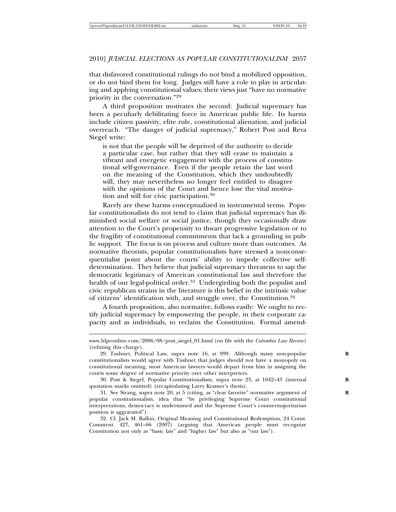that disfavored constitutional rulings do not bind a mobilized opposition, or do not bind them for long. Judges still have a role to play in articulating and applying constitutional values; their views just "have no normative priority in the conversation."<sup>29</sup>

A third proposition motivates the second: Judicial supremacy has been a peculiarly debilitating force in American public life. Its harms include citizen passivity, elite rule, constitutional alienation, and judicial overreach. "The danger of judicial supremacy," Robert Post and Reva Siegel write:

is not that the people will be deprived of the authority to decide a particular case, but rather that they will cease to maintain a vibrant and energetic engagement with the process of constitutional self-governance. Even if the people retain the last word on the meaning of the Constitution, which they undoubtedly will, they may nevertheless no longer feel entitled to disagree with the opinions of the Court and hence lose the vital motivation and will for civic participation.<sup>30</sup>

Rarely are these harms conceptualized in instrumental terms. Popular constitutionalists do not tend to claim that judicial supremacy has diminished social welfare or social justice, though they occasionally draw attention to the Court's propensity to thwart progressive legislation or to the fragility of constitutional commitments that lack a grounding in public support. The focus is on process and culture more than outcomes. As normative theorists, popular constitutionalists have stressed a nonconsequentialist point about the courts' ability to impede collective selfdetermination. They believe that judicial supremacy threatens to sap the democratic legitimacy of American constitutional law and therefore the health of our legal-political order.<sup>31</sup> Undergirding both the populist and civic republican strains in the literature is this belief in the intrinsic value of citizens' identification with, and struggle over, the Constitution.<sup>32</sup>

A fourth proposition, also normative, follows easily: We ought to rectify judicial supremacy by empowering the people, in their corporate capacity and as individuals, to reclaim the Constitution. Formal amend-

www.hlpronline.com/2006/08/post\_siegel\_01.html (on file with the *Columbia Law Review*) (refuting this charge).

<sup>29.</sup> Tushnet, Political Law, supra note 16, at 999. Although many non-popular **R** constitutionalists would agree with Tushnet that judges should not have a monopoly on constitutional meaning, most American lawyers would depart from him in assigning the courts some degree of normative priority over other interpreters.

<sup>30.</sup> Post & Siegel, Popular Constitutionalism, supra note 23, at 1042–43 (internal **R** quotation marks omitted) (recapitulating Larry Kramer's thesis).

<sup>31.</sup> See Strang, supra note 20, at 5 (citing, as "clear favorite" normative argument of **R** popular constitutionalists, idea that "by privileging Supreme Court constitutional interpretations, democracy is undermined and the Supreme Court's countermajoritarian position is aggravated").

<sup>32.</sup> Cf. Jack M. Balkin, Original Meaning and Constitutional Redemption, 24 Const. Comment. 427, 461–66 (2007) (arguing that American people must recognize Constitution not only as "basic law" and "higher law" but also as "our law").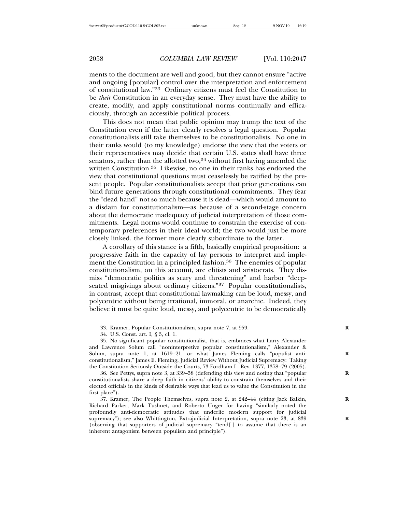ments to the document are well and good, but they cannot ensure "active and ongoing [popular] control over the interpretation and enforcement of constitutional law."33 Ordinary citizens must feel the Constitution to be *their* Constitution in an everyday sense. They must have the ability to create, modify, and apply constitutional norms continually and efficaciously, through an accessible political process.

This does not mean that public opinion may trump the text of the Constitution even if the latter clearly resolves a legal question. Popular constitutionalists still take themselves to be constitutionalists. No one in their ranks would (to my knowledge) endorse the view that the voters or their representatives may decide that certain U.S. states shall have three senators, rather than the allotted two, $34$  without first having amended the written Constitution.<sup>35</sup> Likewise, no one in their ranks has endorsed the view that constitutional questions must ceaselessly be ratified by the present people. Popular constitutionalists accept that prior generations can bind future generations through constitutional commitments. They fear the "dead hand" not so much because it is dead—which would amount to a disdain for constitutionalism—as because of a second-stage concern about the democratic inadequacy of judicial interpretation of those commitments. Legal norms would continue to constrain the exercise of contemporary preferences in their ideal world; the two would just be more closely linked, the former more clearly subordinate to the latter.

A corollary of this stance is a fifth, basically empirical proposition: a progressive faith in the capacity of lay persons to interpret and implement the Constitution in a principled fashion.<sup>36</sup> The enemies of popular constitutionalism, on this account, are elitists and aristocrats. They dismiss "democratic politics as scary and threatening" and harbor "deepseated misgivings about ordinary citizens."37 Popular constitutionalists, in contrast, accept that constitutional lawmaking can be loud, messy, and polycentric without being irrational, immoral, or anarchic. Indeed, they believe it must be quite loud, messy, and polycentric to be democratically

<sup>33.</sup> Kramer, Popular Constitutionalism, supra note 7, at 959. **R**

<sup>34.</sup> U.S. Const. art. I, § 3, cl. 1.

<sup>35.</sup> No significant popular constitutionalist, that is, embraces what Larry Alexander and Lawrence Solum call "noninterpretive popular constitutionalism," Alexander & Solum, supra note 1, at 1619–21, or what James Fleming calls "populist anti- **R** constitutionalism," James E. Fleming, Judicial Review Without Judicial Supremacy: Taking the Constitution Seriously Outside the Courts, 73 Fordham L. Rev. 1377, 1378–79 (2005).

<sup>36.</sup> See Pettys, supra note 3, at 339–58 (defending this view and noting that "popular **R** constitutionalists share a deep faith in citizens' ability to constrain themselves and their elected officials in the kinds of desirable ways that lead us to value the Constitution in the first place").

<sup>37.</sup> Kramer, The People Themselves, supra note 2, at 242–44 (citing Jack Balkin, **R** Richard Parker, Mark Tushnet, and Roberto Unger for having "similarly noted the profoundly anti-democratic attitudes that underlie modern support for judicial supremacy"); see also Whittington, Extrajudicial Interpretation, supra note 23, at 839 (observing that supporters of judicial supremacy "tend[ ] to assume that there is an inherent antagonism between populism and principle").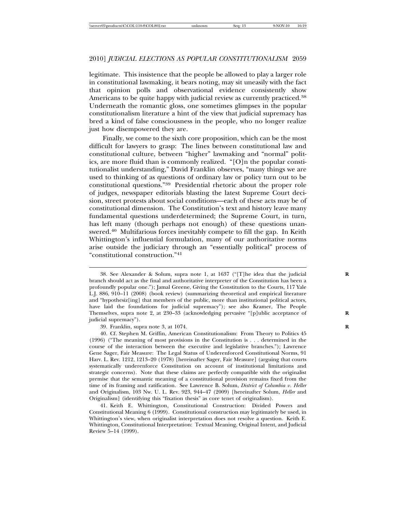legitimate. This insistence that the people be allowed to play a larger role in constitutional lawmaking, it bears noting, may sit uneasily with the fact that opinion polls and observational evidence consistently show Americans to be quite happy with judicial review as currently practiced.<sup>38</sup> Underneath the romantic gloss, one sometimes glimpses in the popular constitutionalism literature a hint of the view that judicial supremacy has bred a kind of false consciousness in the people, who no longer realize just how disempowered they are.

Finally, we come to the sixth core proposition, which can be the most difficult for lawyers to grasp: The lines between constitutional law and constitutional culture, between "higher" lawmaking and "normal" politics, are more fluid than is commonly realized. "[O]n the popular constitutionalist understanding," David Franklin observes, "many things we are used to thinking of as questions of ordinary law or policy turn out to be constitutional questions."39 Presidential rhetoric about the proper role of judges, newspaper editorials blasting the latest Supreme Court decision, street protests about social conditions—each of these acts may be of constitutional dimension. The Constitution's text and history leave many fundamental questions underdetermined; the Supreme Court, in turn, has left many (though perhaps not enough) of these questions unanswered.<sup>40</sup> Multifarious forces inevitably compete to fill the gap. In Keith Whittington's influential formulation, many of our authoritative norms arise outside the judiciary through an "essentially political" process of "constitutional construction."<sup>41</sup>

<sup>38.</sup> See Alexander & Solum, supra note 1, at 1637 ("[T]he idea that the judicial **R** branch should act as the final and authoritative interpreter of the Constitution has been a profoundly popular one."); Jamal Greene, Giving the Constitution to the Courts, 117 Yale L.J. 886, 910–11 (2008) (book review) (summarizing theoretical and empirical literature and "hypothesiz[ing] that members of the public, more than institutional political actors, have laid the foundations for judicial supremacy"); see also Kramer, The People Themselves, supra note 2, at 230–33 (acknowledging pervasive "[p]ublic acceptance of **R** judicial supremacy").

<sup>39.</sup> Franklin, supra note 3, at 1074. **R**

<sup>40.</sup> Cf. Stephen M. Griffin, American Constitutionalism: From Theory to Politics 45 (1996) ("The meaning of most provisions in the Constitution is . . . determined in the course of the interaction between the executive and legislative branches."); Lawrence Gene Sager, Fair Measure: The Legal Status of Underenforced Constitutional Norms, 91 Harv. L. Rev. 1212, 1213–20 (1978) [hereinafter Sager, Fair Measure] (arguing that courts systematically underenforce Constitution on account of institutional limitations and strategic concerns). Note that these claims are perfectly compatible with the originalist premise that the semantic meaning of a constitutional provision remains fixed from the time of its framing and ratification. See Lawrence B. Solum, *District of Columbia v. Heller* and Originalism, 103 Nw. U. L. Rev. 923, 944–47 (2009) [hereinafter Solum, *Heller* and Originalism] (identifying this "fixation thesis" as core tenet of originalism).

<sup>41.</sup> Keith E. Whittington, Constitutional Construction: Divided Powers and Constitutional Meaning 6 (1999). Constitutional construction may legitimately be used, in Whittington's view, when originalist interpretation does not resolve a question. Keith E. Whittington, Constitutional Interpretation: Textual Meaning, Original Intent, and Judicial Review 5–14 (1999).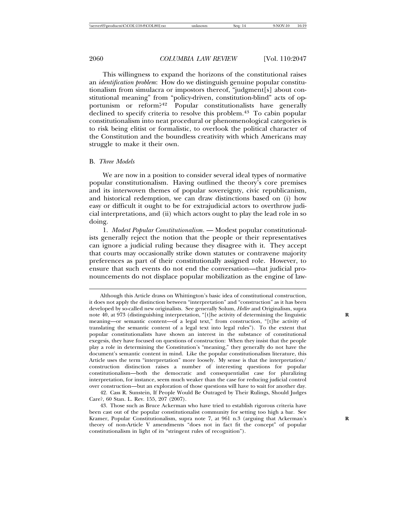This willingness to expand the horizons of the constitutional raises an *identification problem*: How do we distinguish genuine popular constitutionalism from simulacra or impostors thereof, "judgment[s] about constitutional meaning" from "policy-driven, constitution-blind" acts of opportunism or reform?42 Popular constitutionalists have generally declined to specify criteria to resolve this problem.<sup>43</sup> To cabin popular constitutionalism into neat procedural or phenomenological categories is to risk being elitist or formalistic, to overlook the political character of the Constitution and the boundless creativity with which Americans may struggle to make it their own.

#### B. *Three Models*

We are now in a position to consider several ideal types of normative popular constitutionalism. Having outlined the theory's core premises and its interwoven themes of popular sovereignty, civic republicanism, and historical redemption, we can draw distinctions based on (i) how easy or difficult it ought to be for extrajudicial actors to overthrow judicial interpretations, and (ii) which actors ought to play the lead role in so doing.

1. *Modest Popular Constitutionalism*. — Modest popular constitutionalists generally reject the notion that the people or their representatives can ignore a judicial ruling because they disagree with it. They accept that courts may occasionally strike down statutes or contravene majority preferences as part of their constitutionally assigned role. However, to ensure that such events do not end the conversation—that judicial pronouncements do not displace popular mobilization as the engine of law-

42. Cass R. Sunstein, If People Would Be Outraged by Their Rulings, Should Judges Care?, 60 Stan. L. Rev. 155, 207 (2007).

Although this Article draws on Whittington's basic idea of constitutional construction, it does not apply the distinction between "interpretation" and "construction" as it has been developed by so-called new originalists. See generally Solum, *Heller* and Originalism, supra note 40, at 973 (distinguishing interpretation, "[t]he activity of determining the linguistic **R** meaning—or semantic content—of a legal text," from construction, "[t]he activity of translating the semantic content of a legal text into legal rules"). To the extent that popular constitutionalists have shown an interest in the substance of constitutional exegesis, they have focused on questions of construction: When they insist that the people play a role in determining the Constitution's "meaning," they generally do not have the document's semantic content in mind. Like the popular constitutionalism literature, this Article uses the term "interpretation" more loosely. My sense is that the interpretation/ construction distinction raises a number of interesting questions for popular constitutionalism—both the democratic and consequentialist case for pluralizing interpretation, for instance, seem much weaker than the case for reducing judicial control over construction—but an exploration of those questions will have to wait for another day.

<sup>43.</sup> Those such as Bruce Ackerman who have tried to establish rigorous criteria have been cast out of the popular constitutionalist community for setting too high a bar. See Kramer, Popular Constitutionalism, supra note 7, at 961 n.3 (arguing that Ackerman's **R** theory of non-Article V amendments "does not in fact fit the concept" of popular constitutionalism in light of its "stringent rules of recognition").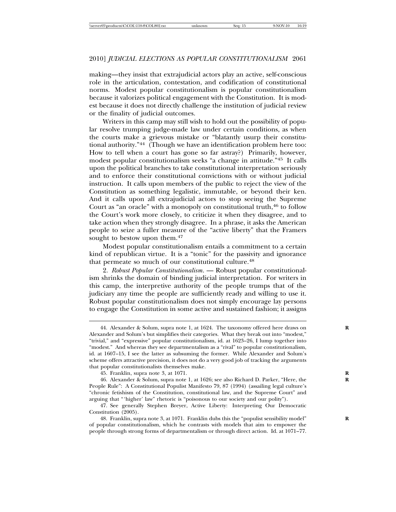making—they insist that extrajudicial actors play an active, self-conscious role in the articulation, contestation, and codification of constitutional norms. Modest popular constitutionalism is popular constitutionalism because it valorizes political engagement with the Constitution. It is modest because it does not directly challenge the institution of judicial review or the finality of judicial outcomes.

Writers in this camp may still wish to hold out the possibility of popular resolve trumping judge-made law under certain conditions, as when the courts make a grievous mistake or "blatantly usurp their constitutional authority."44 (Though we have an identification problem here too: How to tell when a court has gone so far astray?) Primarily, however, modest popular constitutionalism seeks "a change in attitude."45 It calls upon the political branches to take constitutional interpretation seriously and to enforce their constitutional convictions with or without judicial instruction. It calls upon members of the public to reject the view of the Constitution as something legalistic, immutable, or beyond their ken. And it calls upon all extrajudicial actors to stop seeing the Supreme Court as "an oracle" with a monopoly on constitutional truth, $46$  to follow the Court's work more closely, to criticize it when they disagree, and to take action when they strongly disagree. In a phrase, it asks the American people to seize a fuller measure of the "active liberty" that the Framers sought to bestow upon them.<sup>47</sup>

Modest popular constitutionalism entails a commitment to a certain kind of republican virtue. It is a "tonic" for the passivity and ignorance that permeate so much of our constitutional culture.<sup>48</sup>

2. *Robust Popular Constitutionalism*. — Robust popular constitutionalism shrinks the domain of binding judicial interpretation. For writers in this camp, the interpretive authority of the people trumps that of the judiciary any time the people are sufficiently ready and willing to use it. Robust popular constitutionalism does not simply encourage lay persons to engage the Constitution in some active and sustained fashion; it assigns

<sup>44.</sup> Alexander & Solum, supra note 1, at 1624. The taxonomy offered here draws on **R** Alexander and Solum's but simplifies their categories. What they break out into "modest," "trivial," and "expressive" popular constitutionalism, id. at 1623–26, I lump together into "modest." And whereas they see departmentalism as a "rival" to popular constitutionalism, id. at 1607–15, I see the latter as subsuming the former. While Alexander and Solum's scheme offers attractive precision, it does not do a very good job of tracking the arguments that popular constitutionalists themselves make.

<sup>45.</sup> Franklin, supra note 3, at 1071. **R**

<sup>46.</sup> Alexander & Solum, supra note 1, at 1626; see also Richard D. Parker, "Here, the **R** People Rule": A Constitutional Populist Manifesto 79, 87 (1994) (assailing legal culture's "chronic fetishism of the Constitution, constitutional law, and the Supreme Court" and arguing that "'higher' law" rhetoric is "poisonous to our society and our polity").

<sup>47.</sup> See generally Stephen Breyer, Active Liberty: Interpreting Our Democratic Constitution (2005).

<sup>48.</sup> Franklin, supra note 3, at 1071. Franklin dubs this the "populist sensibility model" **R** of popular constitutionalism, which he contrasts with models that aim to empower the people through strong forms of departmentalism or through direct action. Id. at 1071–77.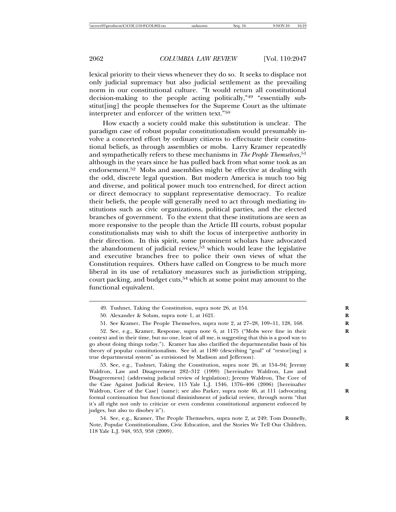lexical priority to their views whenever they do so. It seeks to displace not only judicial supremacy but also judicial settlement as the prevailing norm in our constitutional culture. "It would return all constitutional decision-making to the people acting politically,"49 "essentially substitut[ing] the people themselves for the Supreme Court as the ultimate interpreter and enforcer of the written text."<sup>50</sup>

How exactly a society could make this substitution is unclear. The paradigm case of robust popular constitutionalism would presumably involve a concerted effort by ordinary citizens to effectuate their constitutional beliefs, as through assemblies or mobs. Larry Kramer repeatedly and sympathetically refers to these mechanisms in *The People Themselves*, 51 although in the years since he has pulled back from what some took as an endorsement.52 Mobs and assemblies might be effective at dealing with the odd, discrete legal question. But modern America is much too big and diverse, and political power much too entrenched, for direct action or direct democracy to supplant representative democracy. To realize their beliefs, the people will generally need to act through mediating institutions such as civic organizations, political parties, and the elected branches of government. To the extent that these institutions are seen as more responsive to the people than the Article III courts, robust popular constitutionalists may wish to shift the locus of interpretive authority in their direction. In this spirit, some prominent scholars have advocated the abandonment of judicial review,<sup>53</sup> which would leave the legislative and executive branches free to police their own views of what the Constitution requires. Others have called on Congress to be much more liberal in its use of retaliatory measures such as jurisdiction stripping, court packing, and budget cuts,<sup>54</sup> which at some point may amount to the functional equivalent.

<sup>49.</sup> Tushnet, Taking the Constitution, supra note 26, at 154. **R**

<sup>50.</sup> Alexander & Solum, supra note 1, at 1621. **R**

<sup>51.</sup> See Kramer, The People Themselves, supra note 2, at 27–28, 109–11, 128, 168. **R**

<sup>52.</sup> See, e.g., Kramer, Response, supra note 6, at 1175 ("Mobs were fine in their **R** context and in their time, but no one, least of all me, is suggesting that this is a good way to go about doing things today."). Kramer has also clarified the departmentalist basis of his theory of popular constitutionalism. See id. at 1180 (describing "goal" of "restor[ing] a true departmental system" as envisioned by Madison and Jefferson).

<sup>53.</sup> See, e.g., Tushnet, Taking the Constitution, supra note 26, at 154–94; Jeremy **R** Waldron, Law and Disagreement 282–312 (1999) [hereinafter Waldron, Law and Disagreement] (addressing judicial review of legislation); Jeremy Waldron, The Core of the Case Against Judicial Review, 115 Yale L.J. 1346, 1376–406 (2006) [hereinafter Waldron, Core of the Case] (same); see also Parker, supra note 46, at 111 (advocating formal continuation but functional diminishment of judicial review, through norm "that it's all right not only to criticize or even condemn constitutional argument enforced by judges, but also to disobey it").

<sup>54.</sup> See, e.g., Kramer, The People Themselves, supra note 2, at 249; Tom Donnelly, Note, Popular Constitutionalism, Civic Education, and the Stories We Tell Our Children, 118 Yale L.J. 948, 953, 958 (2009).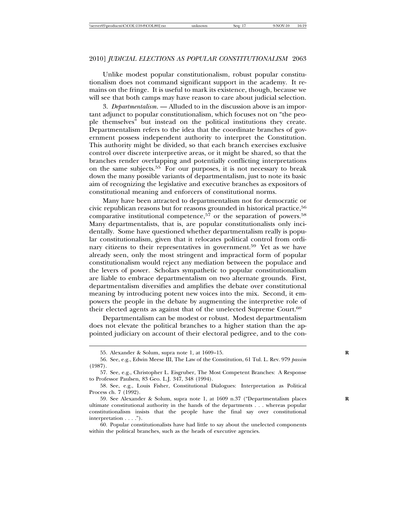Unlike modest popular constitutionalism, robust popular constitutionalism does not command significant support in the academy. It remains on the fringe. It is useful to mark its existence, though, because we will see that both camps may have reason to care about judicial selection.

3. *Departmentalism*. — Alluded to in the discussion above is an important adjunct to popular constitutionalism, which focuses not on "the people themselves" but instead on the political institutions they create. Departmentalism refers to the idea that the coordinate branches of government possess independent authority to interpret the Constitution. This authority might be divided, so that each branch exercises exclusive control over discrete interpretive areas, or it might be shared, so that the branches render overlapping and potentially conflicting interpretations on the same subjects.<sup>55</sup> For our purposes, it is not necessary to break down the many possible variants of departmentalism, just to note its basic aim of recognizing the legislative and executive branches as expositors of constitutional meaning and enforcers of constitutional norms.

Many have been attracted to departmentalism not for democratic or civic republican reasons but for reasons grounded in historical practice,<sup>56</sup> comparative institutional competence,<sup>57</sup> or the separation of powers.<sup>58</sup> Many departmentalists, that is, are popular constitutionalists only incidentally. Some have questioned whether departmentalism really is popular constitutionalism, given that it relocates political control from ordinary citizens to their representatives in government.<sup>59</sup> Yet as we have already seen, only the most stringent and impractical form of popular constitutionalism would reject any mediation between the populace and the levers of power. Scholars sympathetic to popular constitutionalism are liable to embrace departmentalism on two alternate grounds. First, departmentalism diversifies and amplifies the debate over constitutional meaning by introducing potent new voices into the mix. Second, it empowers the people in the debate by augmenting the interpretive role of their elected agents as against that of the unelected Supreme Court.<sup>60</sup>

Departmentalism can be modest or robust. Modest departmentalism does not elevate the political branches to a higher station than the appointed judiciary on account of their electoral pedigree, and to the con-

<sup>55.</sup> Alexander & Solum, supra note 1, at 1609–15. **R**

<sup>56.</sup> See, e.g., Edwin Meese III, The Law of the Constitution, 61 Tul. L. Rev. 979 *passim* (1987).

<sup>57.</sup> See, e.g., Christopher L. Eisgruber, The Most Competent Branches: A Response to Professor Paulsen, 83 Geo. L.J. 347, 348 (1994).

<sup>58.</sup> See, e.g., Louis Fisher, Constitutional Dialogues: Interpretation as Political Process ch. 7 (1992).

<sup>59.</sup> See Alexander & Solum, supra note 1, at 1609 n.37 ("Departmentalism places **R** ultimate constitutional authority in the hands of the departments . . . whereas popular constitutionalism insists that the people have the final say over constitutional interpretation . . . .").

<sup>60.</sup> Popular constitutionalists have had little to say about the unelected components within the political branches, such as the heads of executive agencies.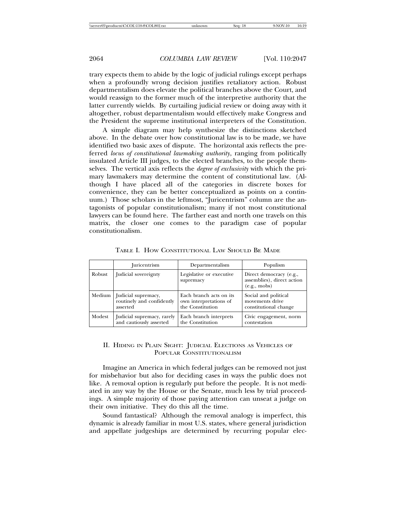trary expects them to abide by the logic of judicial rulings except perhaps when a profoundly wrong decision justifies retaliatory action. Robust departmentalism does elevate the political branches above the Court, and would reassign to the former much of the interpretive authority that the latter currently wields. By curtailing judicial review or doing away with it altogether, robust departmentalism would effectively make Congress and the President the supreme institutional interpreters of the Constitution.

A simple diagram may help synthesize the distinctions sketched above. In the debate over how constitutional law is to be made, we have identified two basic axes of dispute. The horizontal axis reflects the preferred *locus of constitutional lawmaking authority*, ranging from politically insulated Article III judges, to the elected branches, to the people themselves. The vertical axis reflects the *degree of exclusivity* with which the primary lawmakers may determine the content of constitutional law. (Although I have placed all of the categories in discrete boxes for convenience, they can be better conceptualized as points on a continuum.) Those scholars in the leftmost, "Juricentrism" column are the antagonists of popular constitutionalism; many if not most constitutional lawyers can be found here. The farther east and north one travels on this matrix, the closer one comes to the paradigm case of popular constitutionalism.

|        | <i><u>Iuricentrism</u></i> | Departmentalism                       | Populism                                                                      |
|--------|----------------------------|---------------------------------------|-------------------------------------------------------------------------------|
| Robust | Judicial sovereignty       | Legislative or executive<br>supremacy | Direct democracy (e.g.,<br>assemblies), direct action<br>$(e.g., \text{mob})$ |
| Medium | Judicial supremacy,        | Each branch acts on its               | Social and political                                                          |
|        | routinely and confidently  | own interpretations of                | movements drive                                                               |
|        | asserted                   | the Constitution                      | constitutional change                                                         |
| Modest | Judicial supremacy, rarely | Each branch interprets                | Civic engagement, norm                                                        |
|        | and cautiously asserted    | the Constitution                      | contestation                                                                  |

TABLE I. HOW CONSTITUTIONAL LAW SHOULD BE MADE

#### II. HIDING IN PLAIN SIGHT: JUDICIAL ELECTIONS AS VEHICLES OF POPULAR CONSTITUTIONALISM

Imagine an America in which federal judges can be removed not just for misbehavior but also for deciding cases in ways the public does not like. A removal option is regularly put before the people. It is not mediated in any way by the House or the Senate, much less by trial proceedings. A simple majority of those paying attention can unseat a judge on their own initiative. They do this all the time.

Sound fantastical? Although the removal analogy is imperfect, this dynamic is already familiar in most U.S. states, where general jurisdiction and appellate judgeships are determined by recurring popular elec-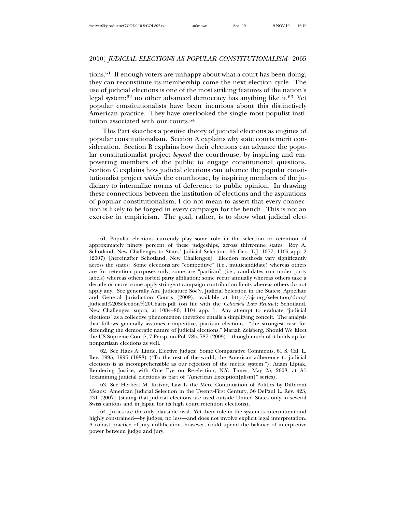#### 2010] *JUDICIAL ELECTIONS AS POPULAR CONSTITUTIONALISM* 2065

tions.<sup>61</sup> If enough voters are unhappy about what a court has been doing, they can reconstitute its membership come the next election cycle. The use of judicial elections is one of the most striking features of the nation's legal system;<sup>62</sup> no other advanced democracy has anything like it.<sup>63</sup> Yet popular constitutionalists have been incurious about this distinctively American practice. They have overlooked the single most populist institution associated with our courts.<sup>64</sup>

This Part sketches a positive theory of judicial elections as engines of popular constitutionalism. Section A explains why state courts merit consideration. Section B explains how their elections can advance the popular constitutionalist project *beyond* the courthouse, by inspiring and empowering members of the public to engage constitutional questions. Section C explains how judicial elections can advance the popular constitutionalist project *within* the courthouse, by inspiring members of the judiciary to internalize norms of deference to public opinion. In drawing these connections between the institution of elections and the aspirations of popular constitutionalism, I do not mean to assert that every connection is likely to be forged in every campaign for the bench. This is not an exercise in empiricism. The goal, rather, is to show what judicial elec-

<sup>61.</sup> Popular elections currently play some role in the selection or retention of approximately ninety percent of these judgeships, across thirty-nine states. Roy A. Schotland, New Challenges to States' Judicial Selection, 95 Geo. L.J. 1077, 1105 app. 2 (2007) [hereinafter Schotland, New Challenges]. Election methods vary significantly across the states: Some elections are "competitive" (i.e., multicandidate) whereas others are for retention purposes only; some are "partisan" (i.e., candidates run under party labels) whereas others forbid party affiliation; some recur annually whereas others take a decade or more; some apply stringent campaign contribution limits whereas others do not apply any. See generally Am. Judicature Soc'y, Judicial Selection in the States: Appellate and General Jurisdiction Courts (2009), available at http://ajs.org/selection/docs/ Judicial%20Selection%20Charts.pdf (on file with the *Columbia Law Review*); Schotland, New Challenges, supra, at 1084–86, 1104 app. 1. Any attempt to evaluate "judicial elections" as a collective phenomenon therefore entails a simplifying conceit. The analysis that follows generally assumes competitive, partisan elections—"the strongest case for defending the democratic nature of judicial elections," Mariah Zeisberg, Should We Elect the US Supreme Court?, 7 Persp. on Pol. 785, 787 (2009)—though much of it holds up for nonpartisan elections as well.

<sup>62.</sup> See Hans A. Linde, Elective Judges: Some Comparative Comments, 61 S. Cal. L. Rev. 1995, 1996 (1988) ("To the rest of the world, the American adherence to judicial elections is as incomprehensible as our rejection of the metric system."); Adam Liptak, Rendering Justice, with One Eye on Re-election, N.Y. Times, May 25, 2008, at A1 (examining judicial elections as part of "American Exception[alism]" series).

<sup>63.</sup> See Herbert M. Kritzer, Law Is the Mere Continuation of Politics by Different Means: American Judicial Selection in the Twenty-First Century, 56 DePaul L. Rev. 423, 431 (2007) (stating that judicial elections are used outside United States only in several Swiss cantons and in Japan for its high court retention elections).

<sup>64.</sup> Juries are the only plausible rival. Yet their role in the system is intermittent and highly constrained—by judges, no less—and does not involve explicit legal interpretation. A robust practice of jury nullification, however, could upend the balance of interpretive power between judge and jury.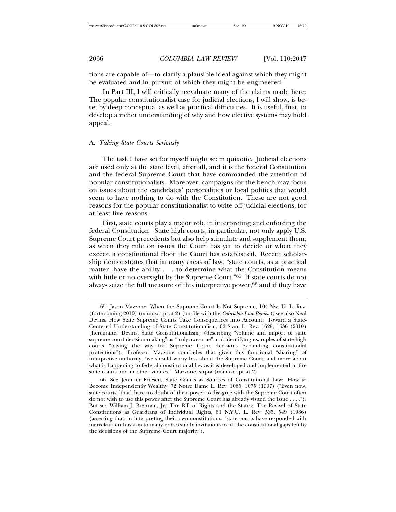tions are capable of—to clarify a plausible ideal against which they might be evaluated and in pursuit of which they might be engineered.

In Part III, I will critically reevaluate many of the claims made here: The popular constitutionalist case for judicial elections, I will show, is beset by deep conceptual as well as practical difficulties. It is useful, first, to develop a richer understanding of why and how elective systems may hold appeal.

#### A. *Taking State Courts Seriously*

The task I have set for myself might seem quixotic. Judicial elections are used only at the state level, after all, and it is the federal Constitution and the federal Supreme Court that have commanded the attention of popular constitutionalists. Moreover, campaigns for the bench may focus on issues about the candidates' personalities or local politics that would seem to have nothing to do with the Constitution. These are not good reasons for the popular constitutionalist to write off judicial elections, for at least five reasons.

First, state courts play a major role in interpreting and enforcing the federal Constitution. State high courts, in particular, not only apply U.S. Supreme Court precedents but also help stimulate and supplement them, as when they rule on issues the Court has yet to decide or when they exceed a constitutional floor the Court has established. Recent scholarship demonstrates that in many areas of law, "state courts, as a practical matter, have the ability . . . to determine what the Constitution means with little or no oversight by the Supreme Court."<sup>65</sup> If state courts do not always seize the full measure of this interpretive power,<sup>66</sup> and if they have

<sup>65.</sup> Jason Mazzone, When the Supreme Court Is Not Supreme, 104 Nw. U. L. Rev. (forthcoming 2010) (manuscript at 2) (on file with the *Columbia Law Review*); see also Neal Devins, How State Supreme Courts Take Consequences into Account: Toward a State-Centered Understanding of State Constitutionalism, 62 Stan. L. Rev. 1629, 1636 (2010) [hereinafter Devins, State Constitutionalism] (describing "volume and import of state supreme court decision-making" as "truly awesome" and identifying examples of state high courts "paving the way for Supreme Court decisions expanding constitutional protections"). Professor Mazzone concludes that given this functional "sharing" of interpretive authority, "we should worry less about the Supreme Court, and more about what is happening to federal constitutional law as it is developed and implemented in the state courts and in other venues." Mazzone, supra (manuscript at 2).

<sup>66.</sup> See Jennifer Friesen, State Courts as Sources of Constitutional Law: How to Become Independently Wealthy, 72 Notre Dame L. Rev. 1065, 1075 (1997) ("Even now, state courts [that] have no doubt of their power to disagree with the Supreme Court often do not wish to use this power after the Supreme Court has already visited the issue . . . ."). But see William J. Brennan, Jr., The Bill of Rights and the States: The Revival of State Constitutions as Guardians of Individual Rights, 61 N.Y.U. L. Rev. 535, 549 (1986) (asserting that, in interpreting their own constitutions, "state courts have responded with marvelous enthusiasm to many not-so-subtle invitations to fill the constitutional gaps left by the decisions of the Supreme Court majority").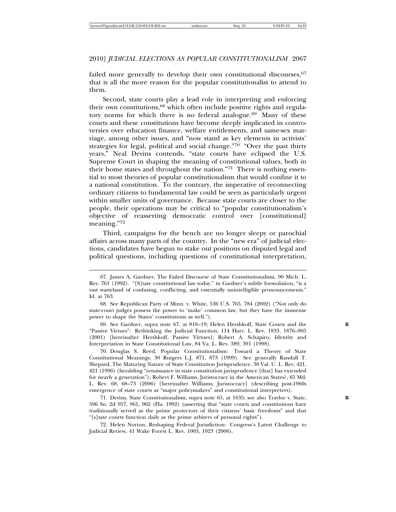failed more generally to develop their own constitutional discourses, 67 that is all the more reason for the popular constitutionalist to attend to them.

Second, state courts play a lead role in interpreting and enforcing their own constitutions,  $68$  which often include positive rights and regulatory norms for which there is no federal analogue.<sup>69</sup> Many of these courts and these constitutions have become deeply implicated in controversies over education finance, welfare entitlements, and same-sex marriage, among other issues, and "now stand as key elements in activists' strategies for legal, political and social change."70 "Over the past thirty years," Neal Devins contends, "state courts have eclipsed the U.S. Supreme Court in shaping the meaning of constitutional values, both in their home states and throughout the nation."71 There is nothing essential to most theories of popular constitutionalism that would confine it to a national constitution. To the contrary, the imperative of reconnecting ordinary citizens to fundamental law could be seen as particularly urgent within smaller units of governance. Because state courts are closer to the people, their operations may be critical to "popular constitutionalism's objective of reasserting democratic control over [constitutional] meaning."<sup>72</sup>

Third, campaigns for the bench are no longer sleepy or parochial affairs across many parts of the country. In the "new era" of judicial elections, candidates have begun to stake out positions on disputed legal and political questions, including questions of constitutional interpretation,

69. See Gardner, supra note 67, at 818–19; Helen Hershkoff, State Courts and the **R** "Passive Virtues": Rethinking the Judicial Function, 114 Harv. L. Rev. 1833, 1876–905 (2001) [hereinafter Hershkoff, Passive Virtues]; Robert A. Schapiro, Identity and Interpretation in State Constitutional Law, 84 Va. L. Rev. 389, 391 (1998).

70. Douglas S. Reed, Popular Constitutionalism: Toward a Theory of State Constitutional Meanings, 30 Rutgers L.J. 871, 873 (1999). See generally Randall T. Shepard, The Maturing Nature of State Constitution Jurisprudence, 30 Val. U. L. Rev. 421, 421 (1996) (heralding "renaissance in state constitution jurisprudence [that] has extended for nearly a generation"); Robert F. Williams, Juristocracy in the American States?, 65 Md. L. Rev. 68, 68–73 (2006) [hereinafter Williams, Juristocracy] (describing post-1960s emergence of state courts as "major policymakers" and constitutional interpreters).

71. Devins, State Constitutionalism, supra note 65, at 1635; see also Traylor v. State, **R** 596 So. 2d 957, 961, 962 (Fla. 1992) (asserting that "state courts and constitutions have traditionally served as the prime protectors of their citizens' basic freedoms" and that "[s]tate courts function daily as the prime arbiters of personal rights").

72. Helen Norton, Reshaping Federal Jurisdiction: Congress's Latest Challenge to Judicial Review, 41 Wake Forest L. Rev. 1003, 1023 (2006).

<sup>67.</sup> James A. Gardner, The Failed Discourse of State Constitutionalism, 90 Mich. L. Rev. 761 (1992). "[S]tate constitutional law today," in Gardner's subtle formulation, "is a vast wasteland of confusing, conflicting, and essentially unintelligible pronouncements." Id. at 763.

<sup>68.</sup> See Republican Party of Minn. v. White, 536 U.S. 765, 784 (2002) ("Not only do state-court judges possess the power to 'make' common law, but they have the immense power to shape the States' constitutions as well.").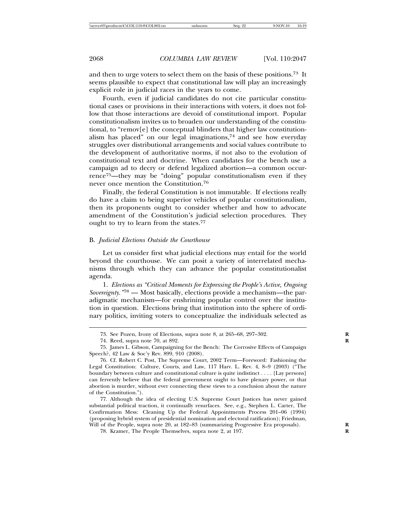and then to urge voters to select them on the basis of these positions.73 It seems plausible to expect that constitutional law will play an increasingly explicit role in judicial races in the years to come.

Fourth, even if judicial candidates do not cite particular constitutional cases or provisions in their interactions with voters, it does not follow that those interactions are devoid of constitutional import. Popular constitutionalism invites us to broaden our understanding of the constitutional, to "remov[e] the conceptual blinders that higher law constitutionalism has placed" on our legal imaginations,<sup>74</sup> and see how everyday struggles over distributional arrangements and social values contribute to the development of authoritative norms, if not also to the evolution of constitutional text and doctrine. When candidates for the bench use a campaign ad to decry or defend legalized abortion—a common occurrence<sup>75</sup>—they may be "doing" popular constitutionalism even if they never once mention the Constitution.<sup>76</sup>

Finally, the federal Constitution is not immutable. If elections really do have a claim to being superior vehicles of popular constitutionalism, then its proponents ought to consider whether and how to advocate amendment of the Constitution's judicial selection procedures. They ought to try to learn from the states.<sup>77</sup>

#### B. *Judicial Elections Outside the Courthouse*

Let us consider first what judicial elections may entail for the world beyond the courthouse. We can posit a variety of interrelated mechanisms through which they can advance the popular constitutionalist agenda.

1. *Elections as "Critical Moments for Expressing the People's Active, Ongoing Sovereignty."*<sup>78</sup> — Most basically, elections provide a mechanism—the paradigmatic mechanism—for enshrining popular control over the institution in question. Elections bring that institution into the sphere of ordinary politics, inviting voters to conceptualize the individuals selected as

<sup>73.</sup> See Pozen, Irony of Elections, supra note 8, at 265–68, 297–302. **R**

<sup>74.</sup> Reed, supra note 70, at 892. **R**

<sup>75.</sup> James L. Gibson, Campaigning for the Bench: The Corrosive Effects of Campaign Speech?, 42 Law & Soc'y Rev. 899, 910 (2008).

<sup>76.</sup> Cf. Robert C. Post, The Supreme Court, 2002 Term—Foreword: Fashioning the Legal Constitution: Culture, Courts, and Law, 117 Harv. L. Rev. 4, 8–9 (2003) ("The boundary between culture and constitutional culture is quite indistinct . . . . [Lay persons] can fervently believe that the federal government ought to have plenary power, or that abortion is murder, without ever connecting these views to a conclusion about the nature of the Constitution.").

<sup>77.</sup> Although the idea of electing U.S. Supreme Court Justices has never gained substantial political traction, it continually resurfaces. See, e.g., Stephen L. Carter, The Confirmation Mess: Cleaning Up the Federal Appointments Process 201–06 (1994) (proposing hybrid system of presidential nomination and electoral ratification); Friedman, Will of the People, supra note 20, at 182–83 (summarizing Progressive Era proposals).

<sup>78.</sup> Kramer, The People Themselves, supra note 2, at 197. **R**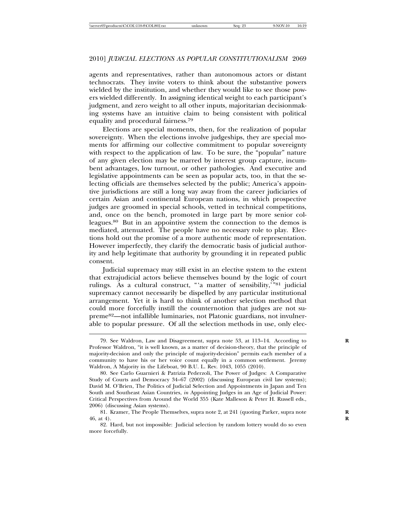agents and representatives, rather than autonomous actors or distant technocrats. They invite voters to think about the substantive powers wielded by the institution, and whether they would like to see those powers wielded differently. In assigning identical weight to each participant's judgment, and zero weight to all other inputs, majoritarian decisionmaking systems have an intuitive claim to being consistent with political equality and procedural fairness.<sup>79</sup>

Elections are special moments, then, for the realization of popular sovereignty. When the elections involve judgeships, they are special moments for affirming our collective commitment to popular sovereignty with respect to the application of law. To be sure, the "popular" nature of any given election may be marred by interest group capture, incumbent advantages, low turnout, or other pathologies. And executive and legislative appointments can be seen as popular acts, too, in that the selecting officials are themselves selected by the public; America's appointive jurisdictions are still a long way away from the career judiciaries of certain Asian and continental European nations, in which prospective judges are groomed in special schools, vetted in technical competitions, and, once on the bench, promoted in large part by more senior colleagues.<sup>80</sup> But in an appointive system the connection to the demos is mediated, attenuated. The people have no necessary role to play. Elections hold out the promise of a more authentic mode of representation. However imperfectly, they clarify the democratic basis of judicial authority and help legitimate that authority by grounding it in repeated public consent.

Judicial supremacy may still exist in an elective system to the extent that extrajudicial actors believe themselves bound by the logic of court rulings. As a cultural construct, "'a matter of sensibility,'"81 judicial supremacy cannot necessarily be dispelled by any particular institutional arrangement. Yet it is hard to think of another selection method that could more forcefully instill the counternotion that judges are not supreme82—not infallible luminaries, not Platonic guardians, not invulnerable to popular pressure. Of all the selection methods in use, only elec-

<sup>79.</sup> See Waldron, Law and Disagreement, supra note 53, at 113–14. According to **R** Professor Waldron, "it is well known, as a matter of decision-theory, that the principle of majority-decision and only the principle of majority-decision" permits each member of a community to have his or her voice count equally in a common settlement. Jeremy Waldron, A Majority in the Lifeboat, 90 B.U. L. Rev. 1043, 1055 (2010).

<sup>80.</sup> See Carlo Guarnieri & Patrizia Pederzoli, The Power of Judges: A Comparative Study of Courts and Democracy 34–67 (2002) (discussing European civil law systems); David M. O'Brien, The Politics of Judicial Selection and Appointments in Japan and Ten South and Southeast Asian Countries, *in* Appointing Judges in an Age of Judicial Power: Critical Perspectives from Around the World 355 (Kate Malleson & Peter H. Russell eds., 2006) (discussing Asian systems).

<sup>81.</sup> Kramer, The People Themselves, supra note 2, at 241 (quoting Parker, supra note **R** 46, at 4). **R**

<sup>82.</sup> Hard, but not impossible: Judicial selection by random lottery would do so even more forcefully.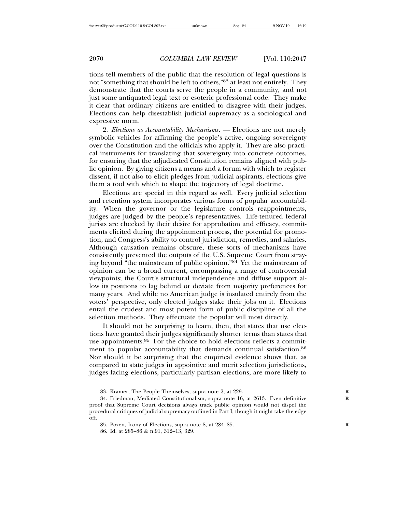tions tell members of the public that the resolution of legal questions is not "something that should be left to others,"83 at least not entirely. They demonstrate that the courts serve the people in a community, and not just some antiquated legal text or esoteric professional code. They make it clear that ordinary citizens are entitled to disagree with their judges. Elections can help disestablish judicial supremacy as a sociological and expressive norm.

2. *Elections as Accountability Mechanisms*. — Elections are not merely symbolic vehicles for affirming the people's active, ongoing sovereignty over the Constitution and the officials who apply it. They are also practical instruments for translating that sovereignty into concrete outcomes, for ensuring that the adjudicated Constitution remains aligned with public opinion. By giving citizens a means and a forum with which to register dissent, if not also to elicit pledges from judicial aspirants, elections give them a tool with which to shape the trajectory of legal doctrine.

Elections are special in this regard as well. Every judicial selection and retention system incorporates various forms of popular accountability. When the governor or the legislature controls reappointments, judges are judged by the people's representatives. Life-tenured federal jurists are checked by their desire for approbation and efficacy, commitments elicited during the appointment process, the potential for promotion, and Congress's ability to control jurisdiction, remedies, and salaries. Although causation remains obscure, these sorts of mechanisms have consistently prevented the outputs of the U.S. Supreme Court from straying beyond "the mainstream of public opinion."84 Yet the mainstream of opinion can be a broad current, encompassing a range of controversial viewpoints; the Court's structural independence and diffuse support allow its positions to lag behind or deviate from majority preferences for many years. And while no American judge is insulated entirely from the voters' perspective, only elected judges stake their jobs on it. Elections entail the crudest and most potent form of public discipline of all the selection methods. They effectuate the popular will most directly.

It should not be surprising to learn, then, that states that use elections have granted their judges significantly shorter terms than states that use appointments.<sup>85</sup> For the choice to hold elections reflects a commitment to popular accountability that demands continual satisfaction.<sup>86</sup> Nor should it be surprising that the empirical evidence shows that, as compared to state judges in appointive and merit selection jurisdictions, judges facing elections, particularly partisan elections, are more likely to

<sup>83.</sup> Kramer, The People Themselves, supra note 2, at 229.

<sup>84.</sup> Friedman, Mediated Constitutionalism, supra note 16, at 2613. Even definitive proof that Supreme Court decisions always track public opinion would not dispel the procedural critiques of judicial supremacy outlined in Part I, though it might take the edge off.

<sup>85.</sup> Pozen, Irony of Elections, supra note 8, at 284–85. **R**

<sup>86.</sup> Id. at 285–86 & n.91, 312–13, 329.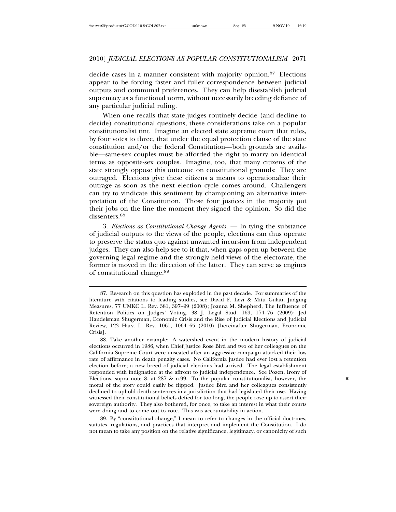decide cases in a manner consistent with majority opinion.87 Elections appear to be forcing faster and fuller correspondence between judicial outputs and communal preferences. They can help disestablish judicial supremacy as a functional norm, without necessarily breeding defiance of any particular judicial ruling.

When one recalls that state judges routinely decide (and decline to decide) constitutional questions, these considerations take on a popular constitutionalist tint. Imagine an elected state supreme court that rules, by four votes to three, that under the equal protection clause of the state constitution and/or the federal Constitution—both grounds are available—same-sex couples must be afforded the right to marry on identical terms as opposite-sex couples. Imagine, too, that many citizens of the state strongly oppose this outcome on constitutional grounds: They are outraged. Elections give these citizens a means to operationalize their outrage as soon as the next election cycle comes around. Challengers can try to vindicate this sentiment by championing an alternative interpretation of the Constitution. Those four justices in the majority put their jobs on the line the moment they signed the opinion. So did the dissenters.<sup>88</sup>

3. *Elections as Constitutional Change Agents*. — In tying the substance of judicial outputs to the views of the people, elections can thus operate to preserve the status quo against unwanted incursion from independent judges. They can also help see to it that, when gaps open up between the governing legal regime and the strongly held views of the electorate, the former is moved in the direction of the latter. They can serve as engines of constitutional change.<sup>89</sup>

89. By "constitutional change," I mean to refer to changes in the official doctrines, statutes, regulations, and practices that interpret and implement the Constitution. I do not mean to take any position on the relative significance, legitimacy, or canonicity of such

<sup>87.</sup> Research on this question has exploded in the past decade. For summaries of the literature with citations to leading studies, see David F. Levi & Mitu Gulati, Judging Measures, 77 UMKC L. Rev. 381, 397–99 (2008); Joanna M. Shepherd, The Influence of Retention Politics on Judges' Voting, 38 J. Legal Stud. 169, 174–76 (2009); Jed Handelsman Shugerman, Economic Crisis and the Rise of Judicial Elections and Judicial Review, 123 Harv. L. Rev. 1061, 1064–65 (2010) [hereinafter Shugerman, Economic Crisis].

<sup>88.</sup> Take another example: A watershed event in the modern history of judicial elections occurred in 1986, when Chief Justice Rose Bird and two of her colleagues on the California Supreme Court were unseated after an aggressive campaign attacked their low rate of affirmance in death penalty cases. No California justice had ever lost a retention election before; a new breed of judicial elections had arrived. The legal establishment responded with indignation at the affront to judicial independence. See Pozen, Irony of Elections, supra note 8, at 287 & n.99. To the popular constitutionalist, however, the moral of the story could easily be flipped. Justice Bird and her colleagues consistently declined to uphold death sentences in a jurisdiction that had legislated their use. Having witnessed their constitutional beliefs defied for too long, the people rose up to assert their sovereign authority. They also bothered, for once, to take an interest in what their courts were doing and to come out to vote. This was accountability in action.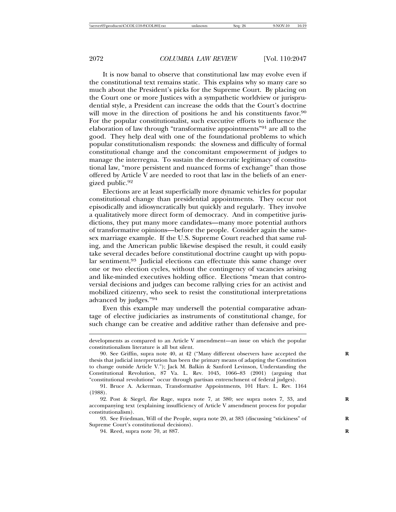It is now banal to observe that constitutional law may evolve even if the constitutional text remains static. This explains why so many care so much about the President's picks for the Supreme Court. By placing on the Court one or more Justices with a sympathetic worldview or jurisprudential style, a President can increase the odds that the Court's doctrine will move in the direction of positions he and his constituents favor.<sup>90</sup> For the popular constitutionalist, such executive efforts to influence the elaboration of law through "transformative appointments"<sup>91</sup> are all to the good. They help deal with one of the foundational problems to which popular constitutionalism responds: the slowness and difficulty of formal constitutional change and the concomitant empowerment of judges to manage the interregna. To sustain the democratic legitimacy of constitutional law, "more persistent and nuanced forms of exchange" than those offered by Article V are needed to root that law in the beliefs of an energized public.<sup>92</sup>

Elections are at least superficially more dynamic vehicles for popular constitutional change than presidential appointments. They occur not episodically and idiosyncratically but quickly and regularly. They involve a qualitatively more direct form of democracy. And in competitive jurisdictions, they put many more candidates—many more potential authors of transformative opinions—before the people. Consider again the samesex marriage example. If the U.S. Supreme Court reached that same ruling, and the American public likewise despised the result, it could easily take several decades before constitutional doctrine caught up with popular sentiment.<sup>93</sup> Judicial elections can effectuate this same change over one or two election cycles, without the contingency of vacancies arising and like-minded executives holding office. Elections "mean that controversial decisions and judges can become rallying cries for an activist and mobilized citizenry, who seek to resist the constitutional interpretations advanced by judges."<sup>94</sup>

Even this example may undersell the potential comparative advantage of elective judiciaries as instruments of constitutional change, for such change can be creative and additive rather than defensive and pre-

developments as compared to an Article V amendment—an issue on which the popular constitutionalism literature is all but silent.

<sup>90.</sup> See Griffin, supra note 40, at 42 ("Many different observers have accepted the **R** thesis that judicial interpretation has been the primary means of adapting the Constitution to change outside Article V."); Jack M. Balkin & Sanford Levinson, Understanding the Constitutional Revolution, 87 Va. L. Rev. 1045, 1066–83 (2001) (arguing that "constitutional revolutions" occur through partisan entrenchment of federal judges).

<sup>91.</sup> Bruce A. Ackerman, Transformative Appointments, 101 Harv. L. Rev. 1164 (1988).

<sup>92.</sup> Post & Siegel, *Roe* Rage, supra note 7, at 380; see supra notes 7, 33, and **R** accompanying text (explaining insufficiency of Article V amendment process for popular constitutionalism).

<sup>93.</sup> See Friedman, Will of the People, supra note 20, at 383 (discussing "stickiness" of **R** Supreme Court's constitutional decisions).

<sup>94.</sup> Reed, supra note 70, at 887. **R**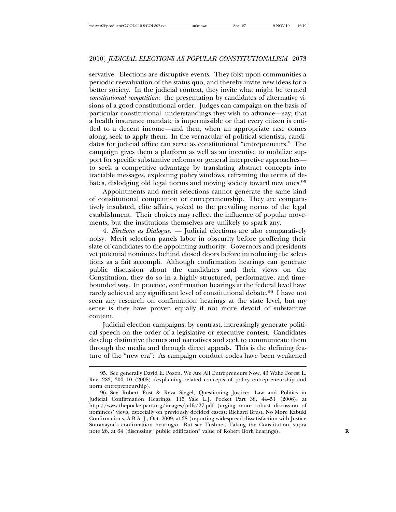servative. Elections are disruptive events. They foist upon communities a periodic reevaluation of the status quo, and thereby invite new ideas for a better society. In the judicial context, they invite what might be termed *constitutional competition*: the presentation by candidates of alternative visions of a good constitutional order. Judges can campaign on the basis of particular constitutional understandings they wish to advance—say, that a health insurance mandate is impermissible or that every citizen is entitled to a decent income—and then, when an appropriate case comes along, seek to apply them. In the vernacular of political scientists, candidates for judicial office can serve as constitutional "entrepreneurs." The campaign gives them a platform as well as an incentive to mobilize support for specific substantive reforms or general interpretive approaches to seek a competitive advantage by translating abstract concepts into tractable messages, exploiting policy windows, reframing the terms of debates, dislodging old legal norms and moving society toward new ones.<sup>95</sup>

Appointments and merit selections cannot generate the same kind of constitutional competition or entrepreneurship. They are comparatively insulated, elite affairs, yoked to the prevailing norms of the legal establishment. Their choices may reflect the influence of popular movements, but the institutions themselves are unlikely to spark any.

4. *Elections as Dialogue*. — Judicial elections are also comparatively noisy. Merit selection panels labor in obscurity before proffering their slate of candidates to the appointing authority. Governors and presidents vet potential nominees behind closed doors before introducing the selections as a fait accompli. Although confirmation hearings can generate public discussion about the candidates and their views on the Constitution, they do so in a highly structured, performative, and timebounded way. In practice, confirmation hearings at the federal level have rarely achieved any significant level of constitutional debate.96 I have not seen any research on confirmation hearings at the state level, but my sense is they have proven equally if not more devoid of substantive content.

Judicial election campaigns, by contrast, increasingly generate political speech on the order of a legislative or executive contest. Candidates develop distinctive themes and narratives and seek to communicate them through the media and through direct appeals. This is the defining feature of the "new era": As campaign conduct codes have been weakened

<sup>95.</sup> See generally David E. Pozen, We Are All Entrepreneurs Now, 43 Wake Forest L. Rev. 283, 300–10 (2008) (explaining related concepts of policy entrepreneurship and norm entrepreneurship).

<sup>96.</sup> See Robert Post & Reva Siegel, Questioning Justice: Law and Politics in Judicial Confirmation Hearings, 115 Yale L.J. Pocket Part 38, 44–51 (2006), at http://www.thepocketpart.org/images/pdfs/27.pdf (urging more robust discussion of nominees' views, especially on previously decided cases); Richard Brust, No More Kabuki Confirmations, A.B.A. J., Oct. 2009, at 38 (reporting widespread dissatisfaction with Justice Sotomayor's confirmation hearings). But see Tushnet, Taking the Constitution, supra note 26, at 64 (discussing "public edification" value of Robert Bork hearings).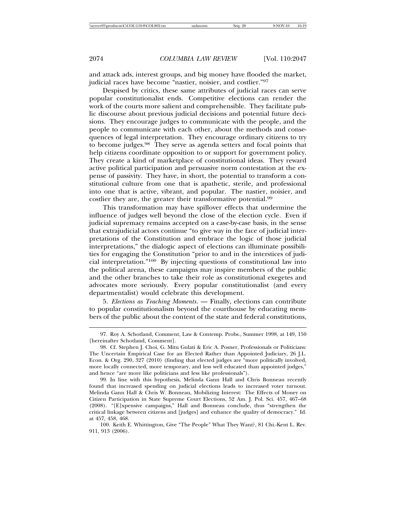and attack ads, interest groups, and big money have flooded the market, judicial races have become "nastier, noisier, and costlier."<sup>97</sup>

Despised by critics, these same attributes of judicial races can serve popular constitutionalist ends. Competitive elections can render the work of the courts more salient and comprehensible. They facilitate public discourse about previous judicial decisions and potential future decisions. They encourage judges to communicate with the people, and the people to communicate with each other, about the methods and consequences of legal interpretation. They encourage ordinary citizens to try to become judges.98 They serve as agenda setters and focal points that help citizens coordinate opposition to or support for government policy. They create a kind of marketplace of constitutional ideas. They reward active political participation and persuasive norm contestation at the expense of passivity. They have, in short, the potential to transform a constitutional culture from one that is apathetic, sterile, and professional into one that is active, vibrant, and popular. The nastier, noisier, and costlier they are, the greater their transformative potential.<sup>99</sup>

This transformation may have spillover effects that undermine the influence of judges well beyond the close of the election cycle. Even if judicial supremacy remains accepted on a case-by-case basis, in the sense that extrajudicial actors continue "to give way in the face of judicial interpretations of the Constitution and embrace the logic of those judicial interpretations," the dialogic aspect of elections can illuminate possibilities for engaging the Constitution "prior to and in the interstices of judicial interpretation."100 By injecting questions of constitutional law into the political arena, these campaigns may inspire members of the public and the other branches to take their role as constitutional exegetes and advocates more seriously. Every popular constitutionalist (and every departmentalist) would celebrate this development.

5. *Elections as Teaching Moments*. — Finally, elections can contribute to popular constitutionalism beyond the courthouse by educating members of the public about the content of the state and federal constitutions,

<sup>97.</sup> Roy A. Schotland, Comment, Law & Contemp. Probs., Summer 1998, at 149, 150 [hereinafter Schotland, Comment].

<sup>98.</sup> Cf. Stephen J. Choi, G. Mitu Gulati & Eric A. Posner, Professionals or Politicians: The Uncertain Empirical Case for an Elected Rather than Appointed Judiciary, 26 J.L. Econ. & Org. 290, 327 (2010) (finding that elected judges are "more politically involved, more locally connected, more temporary, and less well educated than appointed judges," and hence "are more like politicians and less like professionals").

<sup>99.</sup> In line with this hypothesis, Melinda Gann Hall and Chris Bonneau recently found that increased spending on judicial elections leads to increased voter turnout. Melinda Gann Hall & Chris W. Bonneau, Mobilizing Interest: The Effects of Money on Citizen Participation in State Supreme Court Elections, 52 Am. J. Pol. Sci. 457, 467–68 (2008). "[E]xpensive campaigns," Hall and Bonneau conclude, thus "strengthen the critical linkage between citizens and [judges] and enhance the quality of democracy." Id. at 457, 458, 468.

<sup>100.</sup> Keith E. Whittington, Give "The People" What They Want?, 81 Chi.-Kent L. Rev. 911, 913 (2006).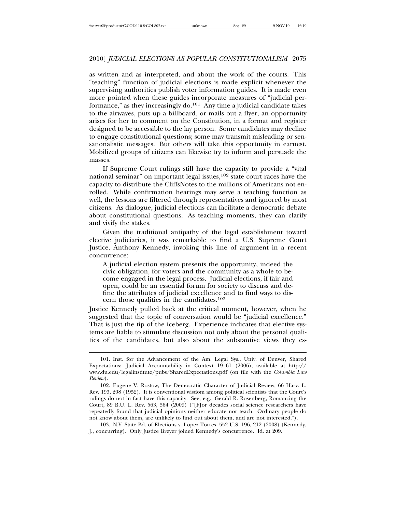as written and as interpreted, and about the work of the courts. This "teaching" function of judicial elections is made explicit whenever the supervising authorities publish voter information guides. It is made even more pointed when these guides incorporate measures of "judicial performance," as they increasingly  $do.<sup>101</sup>$  Any time a judicial candidate takes to the airwaves, puts up a billboard, or mails out a flyer, an opportunity arises for her to comment on the Constitution, in a format and register designed to be accessible to the lay person. Some candidates may decline to engage constitutional questions; some may transmit misleading or sensationalistic messages. But others will take this opportunity in earnest. Mobilized groups of citizens can likewise try to inform and persuade the masses.

If Supreme Court rulings still have the capacity to provide a "vital national seminar" on important legal issues, $102$  state court races have the capacity to distribute the CliffsNotes to the millions of Americans not enrolled. While confirmation hearings may serve a teaching function as well, the lessons are filtered through representatives and ignored by most citizens. As dialogue, judicial elections can facilitate a democratic debate about constitutional questions. As teaching moments, they can clarify and vivify the stakes.

Given the traditional antipathy of the legal establishment toward elective judiciaries, it was remarkable to find a U.S. Supreme Court Justice, Anthony Kennedy, invoking this line of argument in a recent concurrence:

A judicial election system presents the opportunity, indeed the civic obligation, for voters and the community as a whole to become engaged in the legal process. Judicial elections, if fair and open, could be an essential forum for society to discuss and define the attributes of judicial excellence and to find ways to discern those qualities in the candidates.<sup>103</sup>

Justice Kennedy pulled back at the critical moment, however, when he suggested that the topic of conversation would be "judicial excellence." That is just the tip of the iceberg. Experience indicates that elective systems are liable to stimulate discussion not only about the personal qualities of the candidates, but also about the substantive views they es-

103. N.Y. State Bd. of Elections v. Lopez Torres, 552 U.S. 196, 212 (2008) (Kennedy, J., concurring). Only Justice Breyer joined Kennedy's concurrence. Id. at 209.

<sup>101.</sup> Inst. for the Advancement of the Am. Legal Sys., Univ. of Denver, Shared Expectations: Judicial Accountability in Context 19–61 (2006), available at http:// www.du.edu/legalinstitute/pubs/SharedExpectations.pdf (on file with the *Columbia Law Review*).

<sup>102.</sup> Eugene V. Rostow, The Democratic Character of Judicial Review, 66 Harv. L. Rev. 193, 208 (1952). It is conventional wisdom among political scientists that the Court's rulings do not in fact have this capacity. See, e.g., Gerald R. Rosenberg, Romancing the Court, 89 B.U. L. Rev. 563, 564 (2009) ("[F]or decades social science researchers have repeatedly found that judicial opinions neither educate nor teach. Ordinary people do not know about them, are unlikely to find out about them, and are not interested.").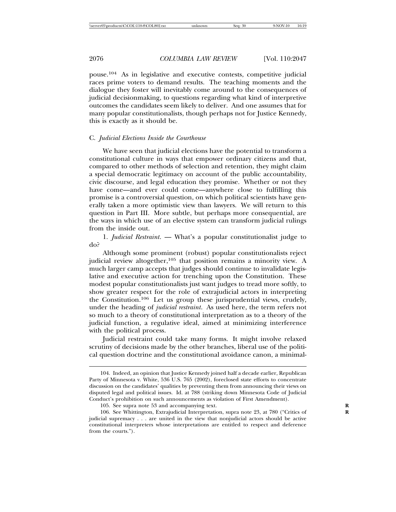pouse.104 As in legislative and executive contests, competitive judicial races prime voters to demand results. The teaching moments and the dialogue they foster will inevitably come around to the consequences of judicial decisionmaking, to questions regarding what kind of interpretive outcomes the candidates seem likely to deliver. And one assumes that for many popular constitutionalists, though perhaps not for Justice Kennedy, this is exactly as it should be.

#### C. *Judicial Elections Inside the Courthouse*

We have seen that judicial elections have the potential to transform a constitutional culture in ways that empower ordinary citizens and that, compared to other methods of selection and retention, they might claim a special democratic legitimacy on account of the public accountability, civic discourse, and legal education they promise. Whether or not they have come—and ever could come—anywhere close to fulfilling this promise is a controversial question, on which political scientists have generally taken a more optimistic view than lawyers. We will return to this question in Part III. More subtle, but perhaps more consequential, are the ways in which use of an elective system can transform judicial rulings from the inside out.

1. *Judicial Restraint*. — What's a popular constitutionalist judge to do?

Although some prominent (robust) popular constitutionalists reject judicial review altogether,<sup>105</sup> that position remains a minority view. A much larger camp accepts that judges should continue to invalidate legislative and executive action for trenching upon the Constitution. These modest popular constitutionalists just want judges to tread more softly, to show greater respect for the role of extrajudicial actors in interpreting the Constitution.106 Let us group these jurisprudential views, crudely, under the heading of *judicial restraint*. As used here, the term refers not so much to a theory of constitutional interpretation as to a theory of the judicial function, a regulative ideal, aimed at minimizing interference with the political process.

Judicial restraint could take many forms. It might involve relaxed scrutiny of decisions made by the other branches, liberal use of the political question doctrine and the constitutional avoidance canon, a minimal-

<sup>104.</sup> Indeed, an opinion that Justice Kennedy joined half a decade earlier, Republican Party of Minnesota v. White, 536 U.S. 765 (2002), foreclosed state efforts to concentrate discussion on the candidates' qualities by preventing them from announcing their views on disputed legal and political issues. Id. at 788 (striking down Minnesota Code of Judicial Conduct's prohibition on such announcements as violation of First Amendment).

<sup>105.</sup> See supra note 53 and accompanying text.

<sup>106.</sup> See Whittington, Extrajudicial Interpretation, supra note 23, at 780 ("Critics of **R** judicial supremacy . . . are united in the view that nonjudicial actors should be active constitutional interpreters whose interpretations are entitled to respect and deference from the courts.").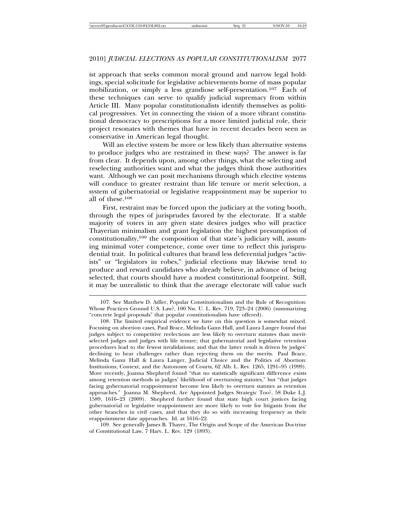ist approach that seeks common moral ground and narrow legal holdings, special solicitude for legislative achievements borne of mass popular mobilization, or simply a less grandiose self-presentation.107 Each of these techniques can serve to qualify judicial supremacy from within Article III. Many popular constitutionalists identify themselves as political progressives. Yet in connecting the vision of a more vibrant constitutional democracy to prescriptions for a more limited judicial role, their project resonates with themes that have in recent decades been seen as conservative in American legal thought.

Will an elective system be more or less likely than alternative systems to produce judges who are restrained in these ways? The answer is far from clear. It depends upon, among other things, what the selecting and reselecting authorities want and what the judges think those authorities want. Although we can posit mechanisms through which elective systems will conduce to greater restraint than life tenure or merit selection, a system of gubernatorial or legislative reappointment may be superior to all of these.<sup>108</sup>

First, restraint may be forced upon the judiciary at the voting booth, through the types of jurisprudes favored by the electorate. If a stable majority of voters in any given state desires judges who will practice Thayerian minimalism and grant legislation the highest presumption of constitutionality,109 the composition of that state's judiciary will, assuming minimal voter competence, come over time to reflect this jurisprudential trait. In political cultures that brand less deferential judges "activists" or "legislators in robes," judicial elections may likewise tend to produce and reward candidates who already believe, in advance of being selected, that courts should have a modest constitutional footprint. Still, it may be unrealistic to think that the average electorate will value such

109. See generally James B. Thayer, The Origin and Scope of the American Doctrine of Constitutional Law, 7 Harv. L. Rev. 129 (1893).

<sup>107.</sup> See Matthew D. Adler, Popular Constitutionalism and the Rule of Recognition: Whose Practices Ground U.S. Law?, 100 Nw. U. L. Rev. 719, 723–24 (2006) (summarizing "concrete legal proposals" that popular constitutionalists have offered).

<sup>108.</sup> The limited empirical evidence we have on this question is somewhat mixed. Focusing on abortion cases, Paul Brace, Melinda Gann Hall, and Laura Langer found that judges subject to competitive reelections are less likely to overturn statutes than meritselected judges and judges with life tenure; that gubernatorial and legislative retention procedures lead to the fewest invalidations; and that the latter result is driven by judges' declining to hear challenges rather than rejecting them on the merits. Paul Brace, Melinda Gann Hall & Laura Langer, Judicial Choice and the Politics of Abortion: Institutions, Context, and the Autonomy of Courts, 62 Alb. L. Rev. 1265, 1291–95 (1999). More recently, Joanna Shepherd found "that no statistically significant difference exists among retention methods in judges' likelihood of overturning statutes," but "that judges facing gubernatorial reappointment become less likely to overturn statutes as retention approaches." Joanna M. Shepherd, Are Appointed Judges Strategic Too?, 58 Duke L.J. 1589, 1616–23 (2009). Shepherd further found that state high court justices facing gubernatorial or legislative reappointment are more likely to vote for litigants from the other branches in civil cases, and that they do so with increasing frequency as their reappointment date approaches. Id. at 1616–22.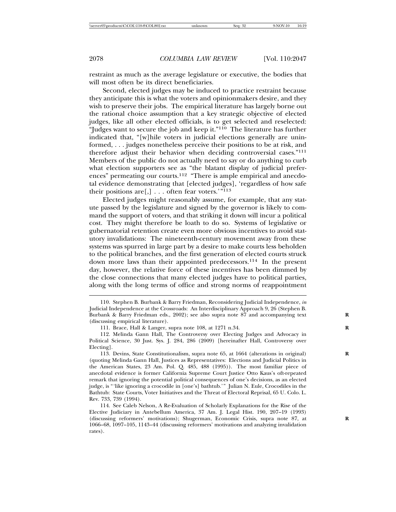restraint as much as the average legislature or executive, the bodies that will most often be its direct beneficiaries.

Second, elected judges may be induced to practice restraint because they anticipate this is what the voters and opinionmakers desire, and they wish to preserve their jobs. The empirical literature has largely borne out the rational choice assumption that a key strategic objective of elected judges, like all other elected officials, is to get selected and reselected: "Judges want to secure the job and keep it."110 The literature has further indicated that, "[w]hile voters in judicial elections generally are uninformed, . . . judges nonetheless perceive their positions to be at risk, and therefore adjust their behavior when deciding controversial cases."<sup>111</sup> Members of the public do not actually need to say or do anything to curb what election supporters see as "the blatant display of judicial preferences" permeating our courts.<sup>112</sup> "There is ample empirical and anecdotal evidence demonstrating that [elected judges], 'regardless of how safe their positions are[,] . . . often fear voters.'"<sup>113</sup>

Elected judges might reasonably assume, for example, that any statute passed by the legislature and signed by the governor is likely to command the support of voters, and that striking it down will incur a political cost. They might therefore be loath to do so. Systems of legislative or gubernatorial retention create even more obvious incentives to avoid statutory invalidations: The nineteenth-century movement away from these systems was spurred in large part by a desire to make courts less beholden to the political branches, and the first generation of elected courts struck down more laws than their appointed predecessors.114 In the present day, however, the relative force of these incentives has been dimmed by the close connections that many elected judges have to political parties, along with the long terms of office and strong norms of reappointment

<sup>110.</sup> Stephen B. Burbank & Barry Friedman, Reconsidering Judicial Independence, *in* Judicial Independence at the Crossroads: An Interdisciplinary Approach 9, 26 (Stephen B. Burbank & Barry Friedman eds., 2002); see also supra note 87 and accompanying text **R** (discussing empirical literature).

<sup>111.</sup> Brace, Hall & Langer, supra note 108, at 1271 n.34. **R**

<sup>112.</sup> Melinda Gann Hall, The Controversy over Electing Judges and Advocacy in Political Science, 30 Just. Sys. J. 284, 286 (2009) [hereinafter Hall, Controversy over Electing].

<sup>113.</sup> Devins, State Constitutionalism, supra note 65, at 1664 (alterations in original) **R** (quoting Melinda Gann Hall, Justices as Representatives: Elections and Judicial Politics in the American States, 23 Am. Pol. Q. 485, 488 (1995)). The most familiar piece of anecdotal evidence is former California Supreme Court Justice Otto Kaus's oft-repeated remark that ignoring the potential political consequences of one's decisions, as an elected judge, is "'like ignoring a crocodile in [one's] bathtub.'" Julian N. Eule, Crocodiles in the Bathtub: State Courts, Voter Initiatives and the Threat of Electoral Reprisal, 65 U. Colo. L. Rev. 733, 739 (1994).

<sup>114.</sup> See Caleb Nelson, A Re-Evaluation of Scholarly Explanations for the Rise of the Elective Judiciary in Antebellum America, 37 Am. J. Legal Hist. 190, 207–19 (1993) (discussing reformers' motivations); Shugerman, Economic Crisis, supra note 87, at **R** 1066–68, 1097–105, 1143–44 (discussing reformers' motivations and analyzing invalidation rates).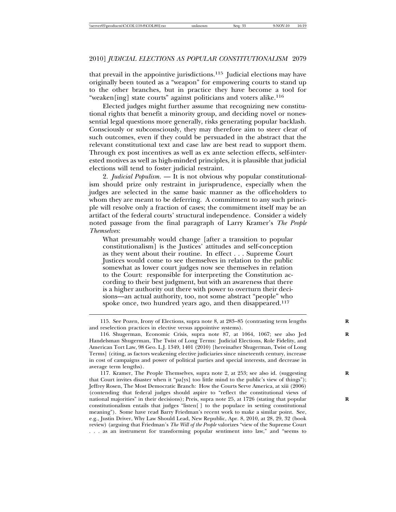that prevail in the appointive jurisdictions.115 Judicial elections may have originally been touted as a "weapon" for empowering courts to stand up to the other branches, but in practice they have become a tool for "weaken[ing] state courts" against politicians and voters alike.<sup>116</sup>

Elected judges might further assume that recognizing new constitutional rights that benefit a minority group, and deciding novel or nonessential legal questions more generally, risks generating popular backlash. Consciously or subconsciously, they may therefore aim to steer clear of such outcomes, even if they could be persuaded in the abstract that the relevant constitutional text and case law are best read to support them. Through ex post incentives as well as ex ante selection effects, self-interested motives as well as high-minded principles, it is plausible that judicial elections will tend to foster judicial restraint.

2. *Judicial Populism*. — It is not obvious why popular constitutionalism should prize only restraint in jurisprudence, especially when the judges are selected in the same basic manner as the officeholders to whom they are meant to be deferring. A commitment to any such principle will resolve only a fraction of cases; the commitment itself may be an artifact of the federal courts' structural independence. Consider a widely noted passage from the final paragraph of Larry Kramer's *The People Themselves*:

What presumably would change [after a transition to popular constitutionalism] is the Justices' attitudes and self-conception as they went about their routine. In effect . . . Supreme Court Justices would come to see themselves in relation to the public somewhat as lower court judges now see themselves in relation to the Court: responsible for interpreting the Constitution according to their best judgment, but with an awareness that there is a higher authority out there with power to overturn their decisions—an actual authority, too, not some abstract "people" who spoke once, two hundred years ago, and then disappeared.<sup>117</sup>

117. Kramer, The People Themselves, supra note 2, at 253; see also id. (suggesting **R** that Court invites disaster when it "pa[ys] too little mind to the public's view of things"); Jeffrey Rosen, The Most Democratic Branch: How the Courts Serve America, at xiii (2006) (contending that federal judges should aspire to "reflect the constitutional views of national majorities" in their decisions); Preis, supra note 25, at 1726 (stating that popular **R** constitutionalism entails that judges "listen[ ] to the populace in setting constitutional meaning"). Some have read Barry Friedman's recent work to make a similar point. See, e.g., Justin Driver, Why Law Should Lead, New Republic, Apr. 8, 2010, at 28, 29, 32 (book review) (arguing that Friedman's *The Will of the People* valorizes "view of the Supreme Court . . . as an instrument for transforming popular sentiment into law," and "seems to

<sup>115.</sup> See Pozen, Irony of Elections, supra note 8, at 283–85 (contrasting term lengths **R** and reselection practices in elective versus appointive systems).

<sup>116.</sup> Shugerman, Economic Crisis, supra note 87, at 1064, 1067; see also Jed **R** Handelsman Shugerman, The Twist of Long Terms: Judicial Elections, Role Fidelity, and American Tort Law, 98 Geo. L.J. 1349, 1401 (2010) [hereinafter Shugerman, Twist of Long Terms] (citing, as factors weakening elective judiciaries since nineteenth century, increase in cost of campaigns and power of political parties and special interests, and decrease in average term lengths).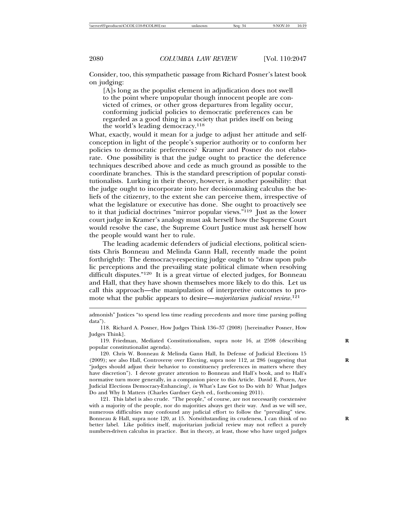Consider, too, this sympathetic passage from Richard Posner's latest book on judging:

[A]s long as the populist element in adjudication does not swell to the point where unpopular though innocent people are convicted of crimes, or other gross departures from legality occur, conforming judicial policies to democratic preferences can be regarded as a good thing in a society that prides itself on being the world's leading democracy.<sup>118</sup>

What, exactly, would it mean for a judge to adjust her attitude and selfconception in light of the people's superior authority or to conform her policies to democratic preferences? Kramer and Posner do not elaborate. One possibility is that the judge ought to practice the deference techniques described above and cede as much ground as possible to the coordinate branches. This is the standard prescription of popular constitutionalists. Lurking in their theory, however, is another possibility: that the judge ought to incorporate into her decisionmaking calculus the beliefs of the citizenry, to the extent she can perceive them, irrespective of what the legislature or executive has done. She ought to proactively see to it that judicial doctrines "mirror popular views."119 Just as the lower court judge in Kramer's analogy must ask herself how the Supreme Court would resolve the case, the Supreme Court Justice must ask herself how the people would want her to rule.

The leading academic defenders of judicial elections, political scientists Chris Bonneau and Melinda Gann Hall, recently made the point forthrightly: The democracy-respecting judge ought to "draw upon public perceptions and the prevailing state political climate when resolving difficult disputes."120 It is a great virtue of elected judges, for Bonneau and Hall, that they have shown themselves more likely to do this. Let us call this approach—the manipulation of interpretive outcomes to promote what the public appears to desire—*majoritarian judicial review*. 121

admonish" Justices "to spend less time reading precedents and more time parsing polling data").

<sup>118.</sup> Richard A. Posner, How Judges Think 136–37 (2008) [hereinafter Posner, How Judges Think].

<sup>119.</sup> Friedman, Mediated Constitutionalism, supra note 16, at 2598 (describing **R** popular constitutionalist agenda).

<sup>120.</sup> Chris W. Bonneau & Melinda Gann Hall, In Defense of Judicial Elections 15 (2009); see also Hall, Controversy over Electing, supra note 112, at 286 (suggesting that **R** "judges should adjust their behavior to constituency preferences in matters where they have discretion"). I devote greater attention to Bonneau and Hall's book, and to Hall's normative turn more generally, in a companion piece to this Article. David E. Pozen, Are Judicial Elections Democracy-Enhancing?, *in* What's Law Got to Do with It? What Judges Do and Why It Matters (Charles Gardner Geyh ed., forthcoming 2011).

<sup>121.</sup> This label is also crude. "The people," of course, are not necessarily coextensive with a majority of the people, nor do majorities always get their way. And as we will see, numerous difficulties may confound any judicial effort to follow the "prevailing" view. Bonneau & Hall, supra note 120, at 15. Notwithstanding its crudeness, I can think of no better label. Like politics itself, majoritarian judicial review may not reflect a purely numbers-driven calculus in practice. But in theory, at least, those who have urged judges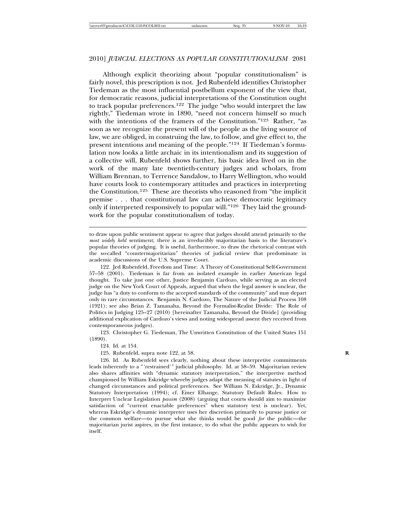#### 2010] *JUDICIAL ELECTIONS AS POPULAR CONSTITUTIONALISM* 2081

Although explicit theorizing about "popular constitutionalism" is fairly novel, this prescription is not. Jed Rubenfeld identifies Christopher Tiedeman as the most influential postbellum exponent of the view that, for democratic reasons, judicial interpretations of the Constitution ought to track popular preferences.<sup>122</sup> The judge "who would interpret the law rightly," Tiedeman wrote in 1890, "need not concern himself so much with the intentions of the framers of the Constitution."123 Rather, "as soon as we recognize the present will of the people as the living source of law, we are obliged, in construing the law, to follow, and give effect to, the present intentions and meaning of the people."<sup>124</sup> If Tiedeman's formulation now looks a little archaic in its intentionalism and its suggestion of a collective will, Rubenfeld shows further, his basic idea lived on in the work of the many late twentieth-century judges and scholars, from William Brennan, to Terrence Sandalow, to Harry Wellington, who would have courts look to contemporary attitudes and practices in interpreting the Constitution.125 These are theorists who reasoned from "the implicit premise . . . that constitutional law can achieve democratic legitimacy only if interpreted responsively to popular will."126 They laid the groundwork for the popular constitutionalism of today.

to draw upon public sentiment appear to agree that judges should attend primarily to the *most widely held* sentiment; there is an irreducibly majoritarian basis to the literature's popular theories of judging. It is useful, furthermore, to draw the rhetorical contrast with the so-called "countermajoritarian" theories of judicial review that predominate in academic discussions of the U.S. Supreme Court.

122. Jed Rubenfeld, Freedom and Time: A Theory of Constitutional Self-Government 57–58 (2001). Tiedeman is far from an isolated example in earlier American legal thought. To take just one other, Justice Benjamin Cardozo, while serving as an elected judge on the New York Court of Appeals, argued that when the legal answer is unclear, the judge has "a duty to conform to the accepted standards of the community" and may depart only in rare circumstances. Benjamin N. Cardozo, The Nature of the Judicial Process 108 (1921); see also Brian Z. Tamanaha, Beyond the Formalist-Realist Divide: The Role of Politics in Judging 125–27 (2010) [hereinafter Tamanaha, Beyond the Divide] (providing additional explication of Cardozo's views and noting widespread assent they received from contemporaneous judges).

123. Christopher G. Tiedeman, The Unwritten Constitution of the United States 151 (1890).

124. Id. at 154.

125. Rubenfeld, supra note 122, at 58.

126. Id. As Rubenfeld sees clearly, nothing about these interpretive commitments leads inherently to a "'restrained'" judicial philosophy. Id. at 58–59. Majoritarian review also shares affinities with "dynamic statutory interpretation," the interpretive method championed by William Eskridge whereby judges adapt the meaning of statutes in light of changed circumstances and political preferences. See William N. Eskridge, Jr., Dynamic Statutory Interpretation (1994); cf. Einer Elhauge, Statutory Default Rules: How to Interpret Unclear Legislation *passim* (2008) (arguing that courts should aim to maximize satisfaction of "current enactable preferences" when statutory text is unclear). Yet, whereas Eskridge's dynamic interpreter uses her discretion primarily to pursue justice or the common welfare—to pursue what she thinks would be good *for* the public—the majoritarian jurist aspires, in the first instance, to do what the public appears to wish for itself.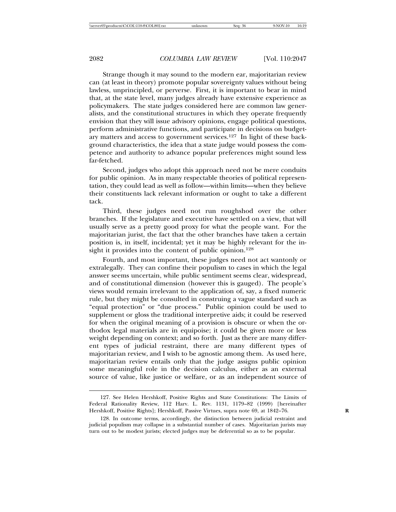Strange though it may sound to the modern ear, majoritarian review can (at least in theory) promote popular sovereignty values without being lawless, unprincipled, or perverse. First, it is important to bear in mind that, at the state level, many judges already have extensive experience as policymakers. The state judges considered here are common law generalists, and the constitutional structures in which they operate frequently envision that they will issue advisory opinions, engage political questions, perform administrative functions, and participate in decisions on budgetary matters and access to government services.<sup>127</sup> In light of these background characteristics, the idea that a state judge would possess the competence and authority to advance popular preferences might sound less far-fetched.

Second, judges who adopt this approach need not be mere conduits for public opinion. As in many respectable theories of political representation, they could lead as well as follow—within limits—when they believe their constituents lack relevant information or ought to take a different tack.

Third, these judges need not run roughshod over the other branches. If the legislature and executive have settled on a view, that will usually serve as a pretty good proxy for what the people want. For the majoritarian jurist, the fact that the other branches have taken a certain position is, in itself, incidental; yet it may be highly relevant for the insight it provides into the content of public opinion.<sup>128</sup>

Fourth, and most important, these judges need not act wantonly or extralegally. They can confine their populism to cases in which the legal answer seems uncertain, while public sentiment seems clear, widespread, and of constitutional dimension (however this is gauged). The people's views would remain irrelevant to the application of, say, a fixed numeric rule, but they might be consulted in construing a vague standard such as "equal protection" or "due process." Public opinion could be used to supplement or gloss the traditional interpretive aids; it could be reserved for when the original meaning of a provision is obscure or when the orthodox legal materials are in equipoise; it could be given more or less weight depending on context; and so forth. Just as there are many different types of judicial restraint, there are many different types of majoritarian review, and I wish to be agnostic among them. As used here, majoritarian review entails only that the judge assigns public opinion some meaningful role in the decision calculus, either as an external source of value, like justice or welfare, or as an independent source of

<sup>127.</sup> See Helen Hershkoff, Positive Rights and State Constitutions: The Limits of Federal Rationality Review, 112 Harv. L. Rev. 1131, 1179–82 (1999) [hereinafter Hershkoff, Positive Rights]; Hershkoff, Passive Virtues, supra note 69, at 1842–76. **R**

<sup>128.</sup> In outcome terms, accordingly, the distinction between judicial restraint and judicial populism may collapse in a substantial number of cases. Majoritarian jurists may turn out to be modest jurists; elected judges may be deferential so as to be popular.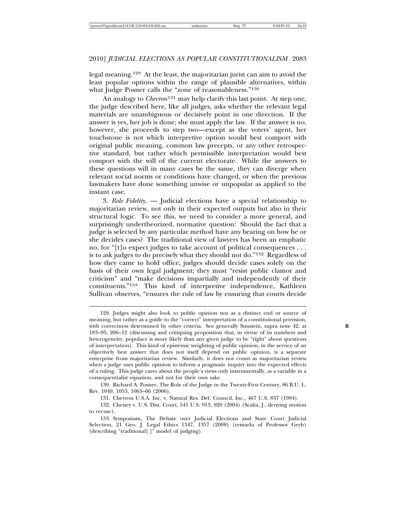legal meaning.129 At the least, the majoritarian jurist can aim to avoid the least popular options within the range of plausible alternatives, within what Judge Posner calls the "zone of reasonableness."<sup>130</sup>

An analogy to *Chevron*<sup>131</sup> may help clarify this last point. At step one, the judge described here, like all judges, asks whether the relevant legal materials are unambiguous or decisively point in one direction. If the answer is yes, her job is done; she must apply the law. If the answer is no, however, she proceeds to step two—except as the voters' agent, her touchstone is not which interpretive option would best comport with original public meaning, common law precepts, or any other retrospective standard, but rather which permissible interpretation would best comport with the will of the current electorate. While the answers to these questions will in many cases be the same, they can diverge when relevant social norms or conditions have changed, or when the previous lawmakers have done something unwise or unpopular as applied to the instant case.

3. *Role Fidelity*. — Judicial elections have a special relationship to majoritarian review, not only in their expected outputs but also in their structural logic. To see this, we need to consider a more general, and surprisingly undertheorized, normative question: Should the fact that a judge is selected by any particular method have any bearing on how he or she decides cases? The traditional view of lawyers has been an emphatic no, for "[t]o expect judges to take account of political consequences . . . is to ask judges to do precisely what they should not do."<sup>132</sup> Regardless of how they came to hold office, judges should decide cases solely on the basis of their own legal judgment; they must "resist public clamor and criticism" and "make decisions impartially and independently of their constituents."133 This kind of interpretive independence, Kathleen Sullivan observes, "ensures the rule of law by ensuring that courts decide

130. Richard A. Posner, The Role of the Judge in the Twenty-First Century, 86 B.U. L. Rev. 1049, 1053, 1065–66 (2006).

131. Chevron U.S.A. Inc. v. Natural Res. Def. Council, Inc., 467 U.S. 837 (1984).

132. Cheney v. U.S. Dist. Court, 541 U.S. 913, 920 (2004) (Scalia, J., denying motion to recuse).

133. Symposium, The Debate over Judicial Elections and State Court Judicial Selection, 21 Geo. J. Legal Ethics 1347, 1357 (2008) (remarks of Professor Geyh) (describing "traditional[ ]" model of judging).

<sup>129.</sup> Judges might also look to public opinion not as a distinct end or source of meaning, but rather as a guide to the "correct" interpretation of a constitutional provision, with correctness determined by other criteria. See generally Sunstein, supra note 42, at 183–95, 206–12 (discussing and critiquing proposition that, in virtue of its numbers and heterogeneity, populace is more likely than any given judge to be "right" about questions of interpretation). This kind of epistemic weighting of public opinion, in the service of an objectively best answer that does not itself depend on public opinion, is a separate enterprise from majoritarian review. Similarly, it does not count as majoritarian review when a judge uses public opinion to inform a pragmatic inquiry into the expected effects of a ruling. This judge cares about the people's views only instrumentally, as a variable in a consequentialist equation, and not for their own sake.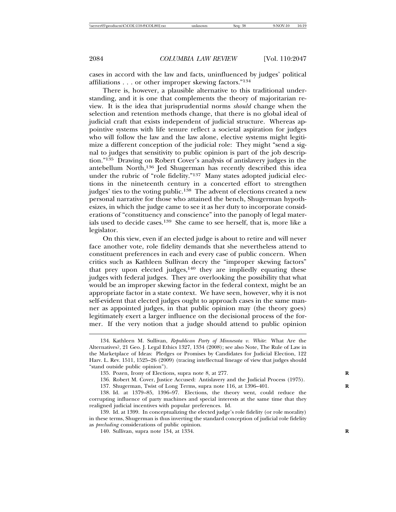cases in accord with the law and facts, uninfluenced by judges' political affiliations . . . or other improper skewing factors."<sup>134</sup>

There is, however, a plausible alternative to this traditional understanding, and it is one that complements the theory of majoritarian review. It is the idea that jurisprudential norms *should* change when the selection and retention methods change, that there is no global ideal of judicial craft that exists independent of judicial structure. Whereas appointive systems with life tenure reflect a societal aspiration for judges who will follow the law and the law alone, elective systems might legitimize a different conception of the judicial role: They might "send a signal to judges that sensitivity to public opinion is part of the job description."135 Drawing on Robert Cover's analysis of antislavery judges in the antebellum North,136 Jed Shugerman has recently described this idea under the rubric of "role fidelity."<sup>137</sup> Many states adopted judicial elections in the nineteenth century in a concerted effort to strengthen judges' ties to the voting public.<sup>138</sup> The advent of elections created a new personal narrative for those who attained the bench, Shugerman hypothesizes, in which the judge came to see it as her duty to incorporate considerations of "constituency and conscience" into the panoply of legal materials used to decide cases.139 She came to see herself, that is, more like a legislator.

On this view, even if an elected judge is about to retire and will never face another vote, role fidelity demands that she nevertheless attend to constituent preferences in each and every case of public concern. When critics such as Kathleen Sullivan decry the "improper skewing factors" that prey upon elected judges, $140$  they are impliedly equating these judges with federal judges. They are overlooking the possibility that what would be an improper skewing factor in the federal context, might be an appropriate factor in a state context. We have seen, however, why it is not self-evident that elected judges ought to approach cases in the same manner as appointed judges, in that public opinion may (the theory goes) legitimately exert a larger influence on the decisional process of the former. If the very notion that a judge should attend to public opinion

- 136. Robert M. Cover, Justice Accused: Antislavery and the Judicial Process (1975).
- 137. Shugerman, Twist of Long Terms, supra note 116, at 1396–401. **R**

<sup>134.</sup> Kathleen M. Sullivan, *Republican Party of Minnesota v. White*: What Are the Alternatives?, 21 Geo. J. Legal Ethics 1327, 1334 (2008); see also Note, The Rule of Law in the Marketplace of Ideas: Pledges or Promises by Candidates for Judicial Election, 122 Harv. L. Rev. 1511, 1525–26 (2009) (tracing intellectual lineage of view that judges should "stand outside public opinion").

<sup>135.</sup> Pozen, Irony of Elections, supra note 8, at 277.

<sup>138.</sup> Id. at 1379–85, 1396–97. Elections, the theory went, could reduce the corrupting influence of party machines and special interests at the same time that they realigned judicial incentives with popular preferences. Id.

<sup>139.</sup> Id. at 1399. In conceptualizing the elected judge's role fidelity (or role morality) in these terms, Shugerman is thus inverting the standard conception of judicial role fidelity as *precluding* considerations of public opinion.

<sup>140.</sup> Sullivan, supra note 134, at 1334. **R**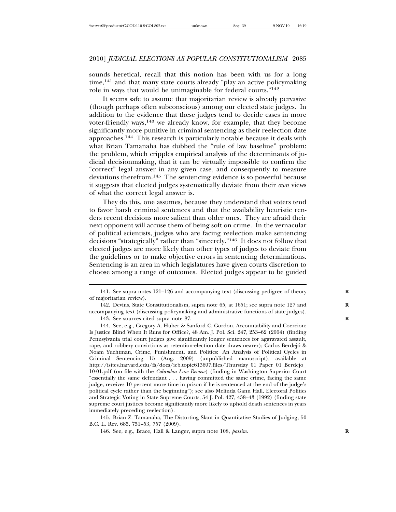sounds heretical, recall that this notion has been with us for a long time,<sup>141</sup> and that many state courts already "play an active policymaking role in ways that would be unimaginable for federal courts."<sup>142</sup>

It seems safe to assume that majoritarian review is already pervasive (though perhaps often subconscious) among our elected state judges. In addition to the evidence that these judges tend to decide cases in more voter-friendly ways,<sup>143</sup> we already know, for example, that they become significantly more punitive in criminal sentencing as their reelection date approaches.144 This research is particularly notable because it deals with what Brian Tamanaha has dubbed the "rule of law baseline" problem: the problem, which cripples empirical analysis of the determinants of judicial decisionmaking, that it can be virtually impossible to confirm the "correct" legal answer in any given case, and consequently to measure deviations therefrom.145 The sentencing evidence is so powerful because it suggests that elected judges systematically deviate from their *own* views of what the correct legal answer is.

They do this, one assumes, because they understand that voters tend to favor harsh criminal sentences and that the availability heuristic renders recent decisions more salient than older ones. They are afraid their next opponent will accuse them of being soft on crime. In the vernacular of political scientists, judges who are facing reelection make sentencing decisions "strategically" rather than "sincerely."146 It does not follow that elected judges are more likely than other types of judges to deviate from the guidelines or to make objective errors in sentencing determinations. Sentencing is an area in which legislatures have given courts discretion to choose among a range of outcomes. Elected judges appear to be guided

<sup>141.</sup> See supra notes 121–126 and accompanying text (discussing pedigree of theory **R** of majoritarian review).

<sup>142.</sup> Devins, State Constitutionalism, supra note 65, at 1651; see supra note 127 and **R** accompanying text (discussing policymaking and administrative functions of state judges). 143. See sources cited supra note 87. **R**

<sup>144.</sup> See, e.g., Gregory A. Huber & Sanford C. Gordon, Accountability and Coercion: Is Justice Blind When It Runs for Office?, 48 Am. J. Pol. Sci. 247, 253–62 (2004) (finding Pennsylvania trial court judges give significantly longer sentences for aggravated assault, rape, and robbery convictions as retention-election date draws nearer); Carlos Berdejo &´ Noam Yuchtman, Crime, Punishment, and Politics: An Analysis of Political Cycles in Criminal Sentencing 15 (Aug. 2009) (unpublished manuscript), available at http://isites.harvard.edu/fs/docs/icb.topic613697.files/Thursday\_01\_Paper\_01\_Berdejo\_ 10-01.pdf (on file with the *Columbia Law Review*) (finding in Washington Superior Court "essentially the same defendant . . . having committed the same crime, facing the same judge, receives 10 percent more time in prison if he is sentenced at the end of the judge's political cycle rather than the beginning"); see also Melinda Gann Hall, Electoral Politics and Strategic Voting in State Supreme Courts, 54 J. Pol. 427, 438–43 (1992) (finding state supreme court justices become significantly more likely to uphold death sentences in years immediately preceding reelection).

<sup>145.</sup> Brian Z. Tamanaha, The Distorting Slant in Quantitative Studies of Judging, 50 B.C. L. Rev. 685, 751–53, 757 (2009).

<sup>146.</sup> See, e.g., Brace, Hall & Langer, supra note 108, *passim*. **R**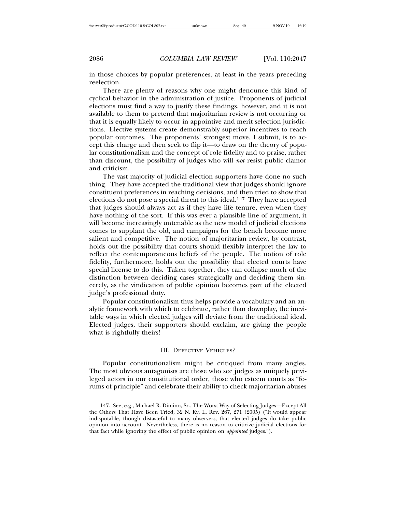in those choices by popular preferences, at least in the years preceding reelection.

There are plenty of reasons why one might denounce this kind of cyclical behavior in the administration of justice. Proponents of judicial elections must find a way to justify these findings, however, and it is not available to them to pretend that majoritarian review is not occurring or that it is equally likely to occur in appointive and merit selection jurisdictions. Elective systems create demonstrably superior incentives to reach popular outcomes. The proponents' strongest move, I submit, is to accept this charge and then seek to flip it—to draw on the theory of popular constitutionalism and the concept of role fidelity and to praise, rather than discount, the possibility of judges who will *not* resist public clamor and criticism.

The vast majority of judicial election supporters have done no such thing. They have accepted the traditional view that judges should ignore constituent preferences in reaching decisions, and then tried to show that elections do not pose a special threat to this ideal.<sup>147</sup> They have accepted that judges should always act as if they have life tenure, even when they have nothing of the sort. If this was ever a plausible line of argument, it will become increasingly untenable as the new model of judicial elections comes to supplant the old, and campaigns for the bench become more salient and competitive. The notion of majoritarian review, by contrast, holds out the possibility that courts should flexibly interpret the law to reflect the contemporaneous beliefs of the people. The notion of role fidelity, furthermore, holds out the possibility that elected courts have special license to do this. Taken together, they can collapse much of the distinction between deciding cases strategically and deciding them sincerely, as the vindication of public opinion becomes part of the elected judge's professional duty.

Popular constitutionalism thus helps provide a vocabulary and an analytic framework with which to celebrate, rather than downplay, the inevitable ways in which elected judges will deviate from the traditional ideal. Elected judges, their supporters should exclaim, are giving the people what is rightfully theirs!

## III. DEFECTIVE VEHICLES?

Popular constitutionalism might be critiqued from many angles. The most obvious antagonists are those who see judges as uniquely privileged actors in our constitutional order, those who esteem courts as "forums of principle" and celebrate their ability to check majoritarian abuses

<sup>147.</sup> See, e.g., Michael R. Dimino, Sr., The Worst Way of Selecting Judges—Except All the Others That Have Been Tried, 32 N. Ky. L. Rev. 267, 271 (2005) ("It would appear indisputable, though distasteful to many observers, that elected judges do take public opinion into account. Nevertheless, there is no reason to criticize judicial elections for that fact while ignoring the effect of public opinion on *appointed* judges.").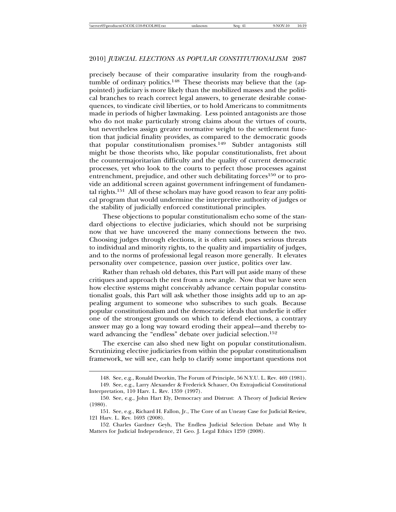precisely because of their comparative insularity from the rough-andtumble of ordinary politics.<sup>148</sup> These theorists may believe that the (appointed) judiciary is more likely than the mobilized masses and the political branches to reach correct legal answers, to generate desirable consequences, to vindicate civil liberties, or to hold Americans to commitments made in periods of higher lawmaking. Less pointed antagonists are those who do not make particularly strong claims about the virtues of courts, but nevertheless assign greater normative weight to the settlement function that judicial finality provides, as compared to the democratic goods that popular constitutionalism promises.149 Subtler antagonists still might be those theorists who, like popular constitutionalists, fret about the countermajoritarian difficulty and the quality of current democratic processes, yet who look to the courts to perfect those processes against entrenchment, prejudice, and other such debilitating forces<sup>150</sup> or to provide an additional screen against government infringement of fundamental rights.<sup>151</sup> All of these scholars may have good reason to fear any political program that would undermine the interpretive authority of judges or the stability of judicially enforced constitutional principles.

These objections to popular constitutionalism echo some of the standard objections to elective judiciaries, which should not be surprising now that we have uncovered the many connections between the two. Choosing judges through elections, it is often said, poses serious threats to individual and minority rights, to the quality and impartiality of judges, and to the norms of professional legal reason more generally. It elevates personality over competence, passion over justice, politics over law.

Rather than rehash old debates, this Part will put aside many of these critiques and approach the rest from a new angle. Now that we have seen how elective systems might conceivably advance certain popular constitutionalist goals, this Part will ask whether those insights add up to an appealing argument to someone who subscribes to such goals. Because popular constitutionalism and the democratic ideals that underlie it offer one of the strongest grounds on which to defend elections, a contrary answer may go a long way toward eroding their appeal—and thereby toward advancing the "endless" debate over judicial selection.<sup>152</sup>

The exercise can also shed new light on popular constitutionalism. Scrutinizing elective judiciaries from within the popular constitutionalism framework, we will see, can help to clarify some important questions not

<sup>148.</sup> See, e.g., Ronald Dworkin, The Forum of Principle, 56 N.Y.U. L. Rev. 469 (1981).

<sup>149.</sup> See, e.g., Larry Alexander & Frederick Schauer, On Extrajudicial Constitutional Interpretation, 110 Harv. L. Rev. 1359 (1997).

<sup>150.</sup> See, e.g., John Hart Ely, Democracy and Distrust: A Theory of Judicial Review (1980).

<sup>151.</sup> See, e.g., Richard H. Fallon, Jr., The Core of an Uneasy Case for Judicial Review, 121 Harv. L. Rev. 1693 (2008).

<sup>152.</sup> Charles Gardner Geyh, The Endless Judicial Selection Debate and Why It Matters for Judicial Independence, 21 Geo. J. Legal Ethics 1259 (2008).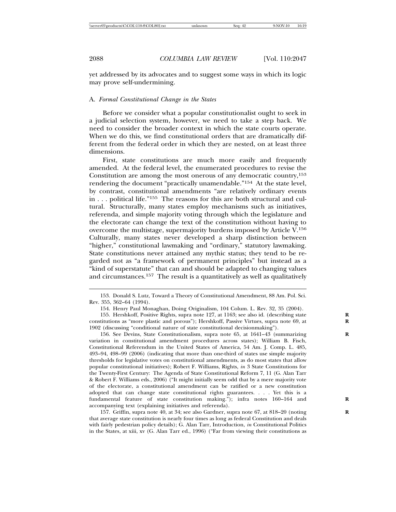yet addressed by its advocates and to suggest some ways in which its logic may prove self-undermining.

### A. *Formal Constitutional Change in the States*

Before we consider what a popular constitutionalist ought to seek in a judicial selection system, however, we need to take a step back. We need to consider the broader context in which the state courts operate. When we do this, we find constitutional orders that are dramatically different from the federal order in which they are nested, on at least three dimensions.

First, state constitutions are much more easily and frequently amended. At the federal level, the enumerated procedures to revise the Constitution are among the most onerous of any democratic country,<sup>153</sup> rendering the document "practically unamendable."<sup>154</sup> At the state level, by contrast, constitutional amendments "are relatively ordinary events in . . . political life."155 The reasons for this are both structural and cultural. Structurally, many states employ mechanisms such as initiatives, referenda, and simple majority voting through which the legislature and the electorate can change the text of the constitution without having to overcome the multistage, supermajority burdens imposed by Article  $V<sup>156</sup>$ Culturally, many states never developed a sharp distinction between "higher," constitutional lawmaking and "ordinary," statutory lawmaking. State constitutions never attained any mythic status; they tend to be regarded not as "a framework of permanent principles" but instead as a "kind of superstatute" that can and should be adapted to changing values and circumstances.157 The result is a quantitatively as well as qualitatively

156. See Devins, State Constitutionalism, supra note 65, at 1641–43 (summarizing **R** variation in constitutional amendment procedures across states); William B. Fisch, Constitutional Referendum in the United States of America, 54 Am. J. Comp. L. 485, 493–94, 498–99 (2006) (indicating that more than one-third of states use simple majority thresholds for legislative votes on constitutional amendments, as do most states that allow popular constitutional initiatives); Robert F. Williams, Rights, *in* 3 State Constitutions for the Twenty-First Century: The Agenda of State Constitutional Reform 7, 11 (G. Alan Tarr & Robert F. Williams eds., 2006) ("It might initially seem odd that by a mere majority vote of the electorate, a constitutional amendment can be ratified or a new constitution adopted that can change state constitutional rights guarantees. . . . Yet this is a fundamental feature of state constitution making."); infra notes 160–164 and **R** accompanying text (explaining initiatives and referenda).

157. Griffin, supra note 40, at 34; see also Gardner, supra note 67, at 818–20 (noting **R** that average state constitution is nearly four times as long as federal Constitution and deals with fairly pedestrian policy details); G. Alan Tarr, Introduction, *in* Constitutional Politics in the States, at xiii, xv (G. Alan Tarr ed., 1996) ("Far from viewing their constitutions as

<sup>153.</sup> Donald S. Lutz, Toward a Theory of Constitutional Amendment, 88 Am. Pol. Sci. Rev. 355, 362–64 (1994).

<sup>154.</sup> Henry Paul Monaghan, Doing Originalism, 104 Colum. L. Rev. 32, 35 (2004).

<sup>155.</sup> Hershkoff, Positive Rights, supra note 127, at 1163; see also id. (describing state **R** constitutions as "more plastic and porous"); Hershkoff, Passive Virtues, supra note 69, at 1902 (discussing "conditional nature of state constitutional decisionmaking").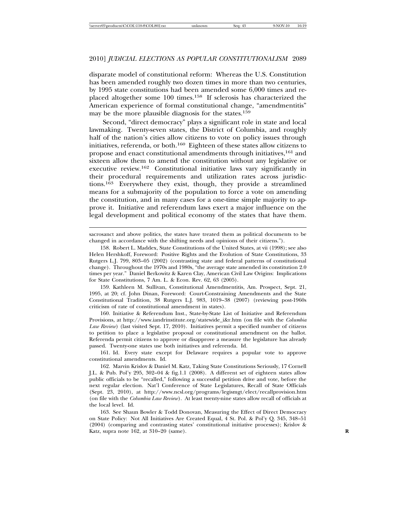# 2010] *JUDICIAL ELECTIONS AS POPULAR CONSTITUTIONALISM* 2089

disparate model of constitutional reform: Whereas the U.S. Constitution has been amended roughly two dozen times in more than two centuries, by 1995 state constitutions had been amended some 6,000 times and replaced altogether some 100 times.158 If sclerosis has characterized the American experience of formal constitutional change, "amendmentitis" may be the more plausible diagnosis for the states.<sup>159</sup>

Second, "direct democracy" plays a significant role in state and local lawmaking. Twenty-seven states, the District of Columbia, and roughly half of the nation's cities allow citizens to vote on policy issues through initiatives, referenda, or both.160 Eighteen of these states allow citizens to propose and enact constitutional amendments through initiatives,<sup>161</sup> and sixteen allow them to amend the constitution without any legislative or executive review.162 Constitutional initiative laws vary significantly in their procedural requirements and utilization rates across jurisdictions.163 Everywhere they exist, though, they provide a streamlined means for a submajority of the population to force a vote on amending the constitution, and in many cases for a one-time simple majority to approve it. Initiative and referendum laws exert a major influence on the legal development and political economy of the states that have them.

159. Kathleen M. Sullivan, Constitutional Amendmentitis, Am. Prospect, Sept. 21, 1995, at 20; cf. John Dinan, Foreword: Court-Constraining Amendments and the State Constitutional Tradition, 38 Rutgers L.J. 983, 1019–38 (2007) (reviewing post-1960s criticism of rate of constitutional amendment in states).

160. Initiative & Referendum Inst., State-by-State List of Initiative and Referendum Provisions, at http://www.iandrinstitute.org/statewide\_i&r.htm (on file with the *Columbia Law Review*) (last visited Sept. 17, 2010). Initiatives permit a specified number of citizens to petition to place a legislative proposal or constitutional amendment on the ballot. Referenda permit citizens to approve or disapprove a measure the legislature has already passed. Twenty-one states use both initiatives and referenda. Id.

161. Id. Every state except for Delaware requires a popular vote to approve constitutional amendments. Id.

162. Marvin Krislov & Daniel M. Katz, Taking State Constitutions Seriously, 17 Cornell J.L. & Pub. Pol'y 295, 302–04 & fig.1.1 (2008). A different set of eighteen states allow public officials to be "recalled," following a successful petition drive and vote, before the next regular election. Nat'l Conference of State Legislatures, Recall of State Officials (Sept. 23, 2010), at http://www.ncsl.org/programs/legismgt/elect/recallprovision.htm (on file with the *Columbia Law Review*). At least twenty-nine states allow recall of officials at the local level. Id.

163. See Shaun Bowler & Todd Donovan, Measuring the Effect of Direct Democracy on State Policy: Not All Initiatives Are Created Equal, 4 St. Pol. & Pol'y Q. 345, 348–51 (2004) (comparing and contrasting states' constitutional initiative processes); Krislov & Katz, supra note 162, at 310–20 (same). **R**

sacrosanct and above politics, the states have treated them as political documents to be changed in accordance with the shifting needs and opinions of their citizens.").

<sup>158.</sup> Robert L. Maddex, State Constitutions of the United States, at vii (1998); see also Helen Hershkoff, Foreword: Positive Rights and the Evolution of State Constitutions, 33 Rutgers L.J. 799, 803–05 (2002) (contrasting state and federal patterns of constitutional change). Throughout the 1970s and 1980s, "the average state amended its constitution 2.0 times per year." Daniel Berkowitz & Karen Clay, American Civil Law Origins: Implications for State Constitutions, 7 Am. L. & Econ. Rev. 62, 63 (2005).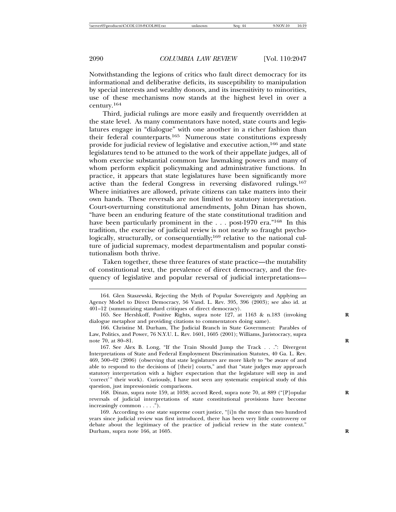Notwithstanding the legions of critics who fault direct democracy for its informational and deliberative deficits, its susceptibility to manipulation by special interests and wealthy donors, and its insensitivity to minorities, use of these mechanisms now stands at the highest level in over a century.<sup>164</sup>

Third, judicial rulings are more easily and frequently overridden at the state level. As many commentators have noted, state courts and legislatures engage in "dialogue" with one another in a richer fashion than their federal counterparts.165 Numerous state constitutions expressly provide for judicial review of legislative and executive action,166 and state legislatures tend to be attuned to the work of their appellate judges, all of whom exercise substantial common law lawmaking powers and many of whom perform explicit policymaking and administrative functions. In practice, it appears that state legislatures have been significantly more active than the federal Congress in reversing disfavored rulings.<sup>167</sup> Where initiatives are allowed, private citizens can take matters into their own hands. These reversals are not limited to statutory interpretation. Court-overturning constitutional amendments, John Dinan has shown, "have been an enduring feature of the state constitutional tradition and have been particularly prominent in the . . . post-1970 era."<sup>168</sup> In this tradition, the exercise of judicial review is not nearly so fraught psychologically, structurally, or consequentially;<sup>169</sup> relative to the national culture of judicial supremacy, modest departmentalism and popular constitutionalism both thrive.

Taken together, these three features of state practice—the mutability of constitutional text, the prevalence of direct democracy, and the frequency of legislative and popular reversal of judicial interpretations—

<sup>164.</sup> Glen Staszewski, Rejecting the Myth of Popular Sovereignty and Applying an Agency Model to Direct Democracy, 56 Vand. L. Rev. 395, 396 (2003); see also id. at 401–12 (summarizing standard critiques of direct democracy).

<sup>165.</sup> See Hershkoff, Positive Rights, supra note 127, at 1163 & n.183 (invoking **R** dialogue metaphor and providing citations to commentators doing same).

<sup>166.</sup> Christine M. Durham, The Judicial Branch in State Government: Parables of Law, Politics, and Power, 76 N.Y.U. L. Rev. 1601, 1605 (2001); Williams, Juristocracy, supra note 70, at 80–81. **R**

<sup>167.</sup> See Alex B. Long, "If the Train Should Jump the Track . . .": Divergent Interpretations of State and Federal Employment Discrimination Statutes, 40 Ga. L. Rev. 469, 500–02 (2006) (observing that state legislatures are more likely to "be aware of and able to respond to the decisions of [their] courts," and that "state judges may approach statutory interpretation with a higher expectation that the legislature will step in and 'correct'" their work). Curiously, I have not seen any systematic empirical study of this question, just impressionistic comparisons.

<sup>168.</sup> Dinan, supra note 159, at 1038; accord Reed, supra note 70, at 889 ("[P]opular **R** reversals of judicial interpretations of state constitutional provisions have become increasingly common . . . .").

<sup>169.</sup> According to one state supreme court justice, "[i]n the more than two hundred years since judicial review was first introduced, there has been very little controversy or debate about the legitimacy of the practice of judicial review in the state context." Durham, supra note 166, at 1605. **R**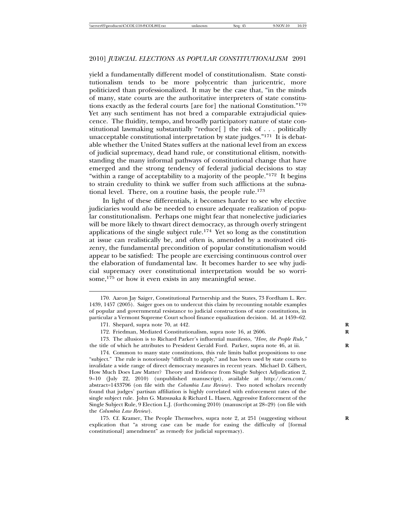yield a fundamentally different model of constitutionalism. State constitutionalism tends to be more polycentric than juricentric, more politicized than professionalized. It may be the case that, "in the minds of many, state courts are the authoritative interpreters of state constitutions exactly as the federal courts [are for] the national Constitution."<sup>170</sup> Yet any such sentiment has not bred a comparable extrajudicial quiescence. The fluidity, tempo, and broadly participatory nature of state constitutional lawmaking substantially "reduce[ ] the risk of . . . politically unacceptable constitutional interpretation by state judges."171 It is debatable whether the United States suffers at the national level from an excess of judicial supremacy, dead hand rule, or constitutional elitism, notwithstanding the many informal pathways of constitutional change that have emerged and the strong tendency of federal judicial decisions to stay "within a range of acceptability to a majority of the people."<sup>172</sup> It begins to strain credulity to think we suffer from such afflictions at the subnational level. There, on a routine basis, the people rule.<sup>173</sup>

In light of these differentials, it becomes harder to see why elective judiciaries would *also* be needed to ensure adequate realization of popular constitutionalism. Perhaps one might fear that nonelective judiciaries will be more likely to thwart direct democracy, as through overly stringent applications of the single subject rule.174 Yet so long as the constitution at issue can realistically be, and often is, amended by a motivated citizenry, the fundamental precondition of popular constitutionalism would appear to be satisfied: The people are exercising continuous control over the elaboration of fundamental law. It becomes harder to see why judicial supremacy over constitutional interpretation would be so worrisome, $1^{75}$  or how it even exists in any meaningful sense.

173. The allusion is to Richard Parker's influential manifesto, *"Here, the People Rule*,*"* the title of which he attributes to President Gerald Ford. Parker, supra note 46, at iii. **R**

174. Common to many state constitutions, this rule limits ballot propositions to one "subject." The rule is notoriously "difficult to apply," and has been used by state courts to invalidate a wide range of direct democracy measures in recent years. Michael D. Gilbert, How Much Does Law Matter? Theory and Evidence from Single Subject Adjudication 2, 9–10 (July 22, 2010) (unpublished manuscript), available at http://ssrn.com/ abstract=1433796 (on file with the *Columbia Law Review*). Two noted scholars recently found that judges' partisan affiliation is highly correlated with enforcement rates of the single subject rule. John G. Matsusaka & Richard L. Hasen, Aggressive Enforcement of the Single Subject Rule, 9 Election L.J. (forthcoming 2010) (manuscript at 28–29) (on file with the *Columbia Law Review*).

175. Cf. Kramer, The People Themselves, supra note 2, at 251 (suggesting without explication that "a strong case can be made for easing the difficulty of [formal constitutional] amendment" as remedy for judicial supremacy).

<sup>170.</sup> Aaron Jay Saiger, Constitutional Partnership and the States, 73 Fordham L. Rev. 1439, 1457 (2005). Saiger goes on to undercut this claim by recounting notable examples of popular and governmental resistance to judicial constructions of state constitutions, in particular a Vermont Supreme Court school finance equalization decision. Id. at 1459–62.

<sup>171.</sup> Shepard, supra note 70, at 442. **R**

<sup>172.</sup> Friedman, Mediated Constitutionalism, supra note 16, at 2606. **R**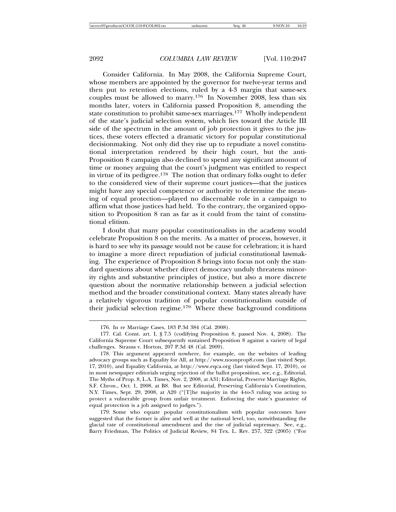Consider California. In May 2008, the California Supreme Court, whose members are appointed by the governor for twelve-year terms and then put to retention elections, ruled by a 4-3 margin that same-sex couples must be allowed to marry.176 In November 2008, less than six months later, voters in California passed Proposition 8, amending the state constitution to prohibit same-sex marriages.177 Wholly independent of the state's judicial selection system, which lies toward the Article III side of the spectrum in the amount of job protection it gives to the justices, these voters effected a dramatic victory for popular constitutional decisionmaking. Not only did they rise up to repudiate a novel constitutional interpretation rendered by their high court, but the anti-Proposition 8 campaign also declined to spend any significant amount of time or money arguing that the court's judgment was entitled to respect in virtue of its pedigree.178 The notion that ordinary folks ought to defer to the considered view of their supreme court justices—that the justices might have any special competence or authority to determine the meaning of equal protection—played no discernable role in a campaign to affirm what those justices had held. To the contrary, the organized opposition to Proposition 8 ran as far as it could from the taint of constitutional elitism.

I doubt that many popular constitutionalists in the academy would celebrate Proposition 8 on the merits. As a matter of process, however, it is hard to see why its passage would not be cause for celebration; it is hard to imagine a more direct repudiation of judicial constitutional lawmaking. The experience of Proposition 8 brings into focus not only the standard questions about whether direct democracy unduly threatens minority rights and substantive principles of justice, but also a more discrete question about the normative relationship between a judicial selection method and the broader constitutional context. Many states already have a relatively vigorous tradition of popular constitutionalism outside of their judicial selection regime.<sup>179</sup> Where these background conditions

179. Some who equate popular constitutionalism with popular outcomes have suggested that the former is alive and well at the national level, too, notwithstanding the glacial rate of constitutional amendment and the rise of judicial supremacy. See, e.g., Barry Friedman, The Politics of Judicial Review, 84 Tex. L. Rev. 257, 322 (2005) ("For

<sup>176.</sup> In re Marriage Cases, 183 P.3d 384 (Cal. 2008).

<sup>177.</sup> Cal. Const. art. I, § 7.5 (codifying Proposition 8, passed Nov. 4, 2008). The California Supreme Court subsequently sustained Proposition 8 against a variety of legal challenges. Strauss v. Horton, 207 P.3d 48 (Cal. 2009).

<sup>178.</sup> This argument appeared nowhere, for example, on the websites of leading advocacy groups such as Equality for All, at http://www.noonprop8.com (last visited Sept. 17, 2010), and Equality California, at http://www.eqca.org (last visited Sept. 17, 2010), or in most newspaper editorials urging rejection of the ballot proposition, see, e.g., Editorial, The Myths of Prop. 8, L.A. Times, Nov. 2, 2008, at A31; Editorial, Preserve Marriage Rights, S.F. Chron., Oct. 1, 2008, at B8. But see Editorial, Preserving California's Constitution, N.Y. Times, Sept. 29, 2008, at A20 ("[T]he majority in the 4-to-3 ruling was acting to protect a vulnerable group from unfair treatment. Enforcing the state's guarantee of equal protection is a job assigned to judges.").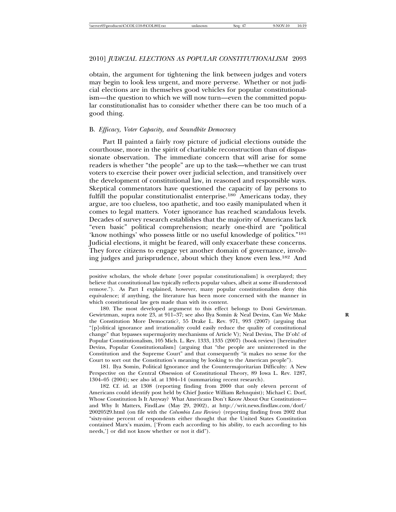obtain, the argument for tightening the link between judges and voters may begin to look less urgent, and more perverse. Whether or not judicial elections are in themselves good vehicles for popular constitutionalism—the question to which we will now turn—even the committed popular constitutionalist has to consider whether there can be too much of a good thing.

# B. *Efficacy, Voter Capacity, and Soundbite Democracy*

Part II painted a fairly rosy picture of judicial elections outside the courthouse, more in the spirit of charitable reconstruction than of dispassionate observation. The immediate concern that will arise for some readers is whether "the people" are up to the task—whether we can trust voters to exercise their power over judicial selection, and transitively over the development of constitutional law, in reasoned and responsible ways. Skeptical commentators have questioned the capacity of lay persons to fulfill the popular constitutionalist enterprise.<sup>180</sup> Americans today, they argue, are too clueless, too apathetic, and too easily manipulated when it comes to legal matters. Voter ignorance has reached scandalous levels. Decades of survey research establishes that the majority of Americans lack "even basic" political comprehension; nearly one-third are "political 'know nothings' who possess little or no useful knowledge of politics."<sup>181</sup> Judicial elections, it might be feared, will only exacerbate these concerns. They force citizens to engage yet another domain of governance, involving judges and jurisprudence, about which they know even less.182 And

181. Ilya Somin, Political Ignorance and the Countermajoritarian Difficulty: A New Perspective on the Central Obsession of Constitutional Theory, 89 Iowa L. Rev. 1287, 1304–05 (2004); see also id. at 1304–14 (summarizing recent research).

182. Cf. id. at 1308 (reporting finding from 2000 that only eleven percent of Americans could identify post held by Chief Justice William Rehnquist); Michael C. Dorf, Whose Constitution Is It Anyway? What Americans Don't Know About Our Constitution and Why It Matters, FindLaw (May 29, 2002), at http://writ.news.findlaw.com/dorf/ 20020529.html (on file with the *Columbia Law Review*) (reporting finding from 2002 that "sixty-nine percent of respondents either thought that the United States Constitution contained Marx's maxim, ['From each according to his ability, to each according to his needs,'] or did not know whether or not it did").

positive scholars, the whole debate [over popular constitutionalism] is overplayed; they believe that constitutional law typically reflects popular values, albeit at some ill-understood remove."). As Part I explained, however, many popular constitutionalists deny this equivalence; if anything, the literature has been more concerned with the manner in which constitutional law gets made than with its content.

<sup>180.</sup> The most developed argument to this effect belongs to Doni Gewirtzman. Gewirtzman, supra note 23, at 911–37; see also Ilya Somin & Neal Devins, Can We Make **R** the Constitution More Democratic?, 55 Drake L. Rev. 971, 993 (2007) (arguing that "[p]olitical ignorance and irrationality could easily reduce the quality of constitutional change" that bypasses supermajority mechanisms of Article V); Neal Devins, The D'oh! of Popular Constitutionalism, 105 Mich. L. Rev. 1333, 1335 (2007) (book review) [hereinafter Devins, Popular Constitutionalism] (arguing that "the people are uninterested in the Constitution and the Supreme Court" and that consequently "it makes no sense for the Court to sort out the Constitution's meaning by looking to the American people").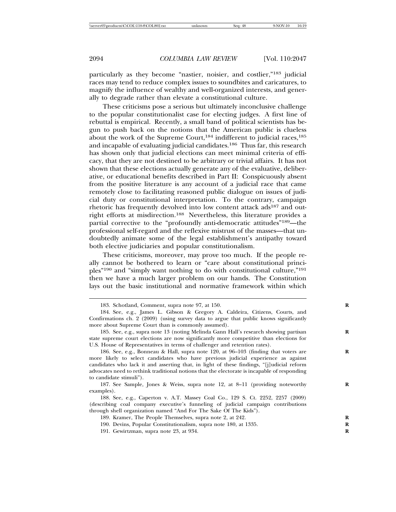particularly as they become "nastier, noisier, and costlier,"183 judicial races may tend to reduce complex issues to soundbites and caricatures, to magnify the influence of wealthy and well-organized interests, and generally to degrade rather than elevate a constitutional culture.

These criticisms pose a serious but ultimately inconclusive challenge to the popular constitutionalist case for electing judges. A first line of rebuttal is empirical. Recently, a small band of political scientists has begun to push back on the notions that the American public is clueless about the work of the Supreme Court,<sup>184</sup> indifferent to judicial races,<sup>185</sup> and incapable of evaluating judicial candidates.<sup>186</sup> Thus far, this research has shown only that judicial elections can meet minimal criteria of efficacy, that they are not destined to be arbitrary or trivial affairs. It has not shown that these elections actually generate any of the evaluative, deliberative, or educational benefits described in Part II: Conspicuously absent from the positive literature is any account of a judicial race that came remotely close to facilitating reasoned public dialogue on issues of judicial duty or constitutional interpretation. To the contrary, campaign rhetoric has frequently devolved into low content attack ads<sup>187</sup> and outright efforts at misdirection.188 Nevertheless, this literature provides a partial corrective to the "profoundly anti-democratic attitudes"<sup>189</sup>—the professional self-regard and the reflexive mistrust of the masses—that undoubtedly animate some of the legal establishment's antipathy toward both elective judiciaries and popular constitutionalism.

These criticisms, moreover, may prove too much. If the people really cannot be bothered to learn or "care about constitutional principles"190 and "simply want nothing to do with constitutional culture,"191 then we have a much larger problem on our hands. The Constitution lays out the basic institutional and normative framework within which

- 190. Devins, Popular Constitutionalism, supra note 180, at 1335. **R**
- 191. Gewirtzman, supra note 23, at 934. **R**

<sup>183.</sup> Schotland, Comment, supra note 97, at 150. **R**

<sup>184.</sup> See, e.g., James L. Gibson & Gregory A. Caldeira, Citizens, Courts, and Confirmations ch. 2 (2009) (using survey data to argue that public knows significantly more about Supreme Court than is commonly assumed).

<sup>185.</sup> See, e.g., supra note 13 (noting Melinda Gann Hall's research showing partisan **R** state supreme court elections are now significantly more competitive than elections for U.S. House of Representatives in terms of challenger and retention rates).

<sup>186.</sup> See, e.g., Bonneau & Hall, supra note 120, at 96-103 (finding that voters are more likely to select candidates who have previous judicial experience as against candidates who lack it and asserting that, in light of these findings, "[j]udicial reform advocates need to rethink traditional notions that the electorate is incapable of responding to candidate stimuli").

<sup>187.</sup> See Sample, Jones & Weiss, supra note 12, at 8-11 (providing noteworthy examples).

<sup>188.</sup> See, e.g., Caperton v. A.T. Massey Coal Co., 129 S. Ct. 2252, 2257 (2009) (describing coal company executive's funneling of judicial campaign contributions through shell organization named "And For The Sake Of The Kids").

<sup>189.</sup> Kramer, The People Themselves, supra note 2, at 242.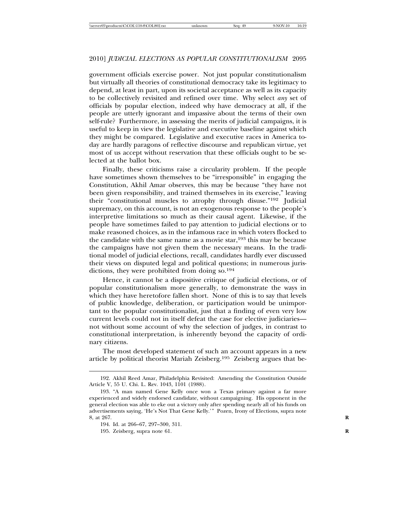government officials exercise power. Not just popular constitutionalism but virtually all theories of constitutional democracy take its legitimacy to depend, at least in part, upon its societal acceptance as well as its capacity to be collectively revisited and refined over time. Why select *any* set of officials by popular election, indeed why have democracy at all, if the people are utterly ignorant and impassive about the terms of their own self-rule? Furthermore, in assessing the merits of judicial campaigns, it is useful to keep in view the legislative and executive baseline against which they might be compared. Legislative and executive races in America today are hardly paragons of reflective discourse and republican virtue, yet most of us accept without reservation that these officials ought to be selected at the ballot box.

Finally, these criticisms raise a circularity problem. If the people have sometimes shown themselves to be "irresponsible" in engaging the Constitution, Akhil Amar observes, this may be because "they have not been given responsibility, and trained themselves in its exercise," leaving their "constitutional muscles to atrophy through disuse."192 Judicial supremacy, on this account, is not an exogenous response to the people's interpretive limitations so much as their causal agent. Likewise, if the people have sometimes failed to pay attention to judicial elections or to make reasoned choices, as in the infamous race in which voters flocked to the candidate with the same name as a movie star,  $193$  this may be because the campaigns have not given them the necessary means. In the traditional model of judicial elections, recall, candidates hardly ever discussed their views on disputed legal and political questions; in numerous jurisdictions, they were prohibited from doing so.<sup>194</sup>

Hence, it cannot be a dispositive critique of judicial elections, or of popular constitutionalism more generally, to demonstrate the ways in which they have heretofore fallen short. None of this is to say that levels of public knowledge, deliberation, or participation would be unimportant to the popular constitutionalist, just that a finding of even very low current levels could not in itself defeat the case for elective judiciaries not without some account of why the selection of judges, in contrast to constitutional interpretation, is inherently beyond the capacity of ordinary citizens.

The most developed statement of such an account appears in a new article by political theorist Mariah Zeisberg.195 Zeisberg argues that be-

<sup>192.</sup> Akhil Reed Amar, Philadelphia Revisited: Amending the Constitution Outside Article V, 55 U. Chi. L. Rev. 1043, 1101 (1988).

<sup>193. &</sup>quot;A man named Gene Kelly once won a Texas primary against a far more experienced and widely endorsed candidate, without campaigning. His opponent in the general election was able to eke out a victory only after spending nearly all of his funds on advertisements saying, 'He's Not That Gene Kelly.'" Pozen, Irony of Elections, supra note 8, at 267. **R**

<sup>194.</sup> Id. at 266–67, 297–300, 311.

<sup>195.</sup> Zeisberg, supra note 61. **R**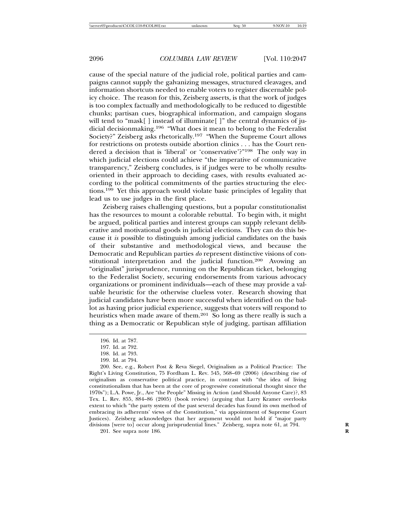cause of the special nature of the judicial role, political parties and campaigns cannot supply the galvanizing messages, structured cleavages, and information shortcuts needed to enable voters to register discernable policy choice. The reason for this, Zeisberg asserts, is that the work of judges is too complex factually and methodologically to be reduced to digestible chunks; partisan cues, biographical information, and campaign slogans will tend to "mask[] instead of illuminate[]" the central dynamics of judicial decisionmaking.196 "What does it mean to belong to the Federalist Society?" Zeisberg asks rhetorically.197 "When the Supreme Court allows for restrictions on protests outside abortion clinics . . . has the Court rendered a decision that is 'liberal' or 'conservative'?"198 The only way in which judicial elections could achieve "the imperative of communicative transparency," Zeisberg concludes, is if judges were to be wholly resultsoriented in their approach to deciding cases, with results evaluated according to the political commitments of the parties structuring the elections.199 Yet this approach would violate basic principles of legality that lead us to use judges in the first place.

Zeisberg raises challenging questions, but a popular constitutionalist has the resources to mount a colorable rebuttal. To begin with, it might be argued, political parties and interest groups can supply relevant deliberative and motivational goods in judicial elections. They can do this because it *is* possible to distinguish among judicial candidates on the basis of their substantive and methodological views, and because the Democratic and Republican parties *do* represent distinctive visions of constitutional interpretation and the judicial function.200 Avowing an "originalist" jurisprudence, running on the Republican ticket, belonging to the Federalist Society, securing endorsements from various advocacy organizations or prominent individuals—each of these may provide a valuable heuristic for the otherwise clueless voter. Research showing that judicial candidates have been more successful when identified on the ballot as having prior judicial experience, suggests that voters will respond to heuristics when made aware of them.<sup>201</sup> So long as there really is such a thing as a Democratic or Republican style of judging, partisan affiliation

201. See supra note 186. **R**

<sup>196.</sup> Id. at 787.

<sup>197.</sup> Id. at 792.

<sup>198.</sup> Id. at 793.

<sup>199.</sup> Id. at 794.

<sup>200.</sup> See, e.g., Robert Post & Reva Siegel, Originalism as a Political Practice: The Right's Living Constitution, 75 Fordham L. Rev. 545, 568–69 (2006) (describing rise of originalism as conservative political practice, in contrast with "the idea of living constitutionalism that has been at the core of progressive constitutional thought since the 1970s"); L.A. Powe, Jr., Are "the People" Missing in Action (and Should Anyone Care)?, 83 Tex. L. Rev. 855, 884–86 (2005) (book review) (arguing that Larry Kramer overlooks extent to which "the party system of the past several decades has found its own method of embracing its adherents' views of the Constitution," via appointment of Supreme Court Justices). Zeisberg acknowledges that her argument would not hold if "major party divisions [were to] occur along jurisprudential lines." Zeisberg, supra note 61, at 794.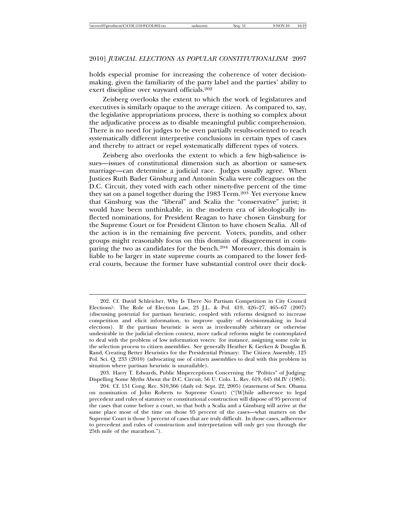holds especial promise for increasing the coherence of voter decisionmaking, given the familiarity of the party label and the parties' ability to exert discipline over wayward officials.<sup>202</sup>

Zeisberg overlooks the extent to which the work of legislatures and executives is similarly opaque to the average citizen. As compared to, say, the legislative appropriations process, there is nothing so complex about the adjudicative process as to disable meaningful public comprehension. There is no need for judges to be even partially results-oriented to reach systematically different interpretive conclusions in certain types of cases and thereby to attract or repel systematically different types of voters.

Zeisberg also overlooks the extent to which a few high-salience issues—issues of constitutional dimension such as abortion or same-sex marriage—can determine a judicial race. Judges usually agree. When Justices Ruth Bader Ginsburg and Antonin Scalia were colleagues on the D.C. Circuit, they voted with each other ninety-five percent of the time they sat on a panel together during the 1983 Term.<sup>203</sup> Yet everyone knew that Ginsburg was the "liberal" and Scalia the "conservative" jurist; it would have been unthinkable, in the modern era of ideologically inflected nominations, for President Reagan to have chosen Ginsburg for the Supreme Court or for President Clinton to have chosen Scalia. All of the action is in the remaining five percent. Voters, pundits, and other groups might reasonably focus on this domain of disagreement in comparing the two as candidates for the bench.<sup>204</sup> Moreover, this domain is liable to be larger in state supreme courts as compared to the lower federal courts, because the former have substantial control over their dock-

203. Harry T. Edwards, Public Misperceptions Concerning the "Politics" of Judging: Dispelling Some Myths About the D.C. Circuit, 56 U. Colo. L. Rev. 619, 645 tbl.IV (1985).

<sup>202.</sup> Cf. David Schleicher, Why Is There No Partisan Competition in City Council Elections?: The Role of Election Law, 23 J.L. & Pol. 419, 426–27, 465–67 (2007) (discussing potential for partisan heuristic, coupled with reforms designed to increase competition and elicit information, to improve quality of decisionmaking in local elections). If the partisan heuristic is seen as irredeemably arbitrary or otherwise undesirable in the judicial election context, more radical reforms might be contemplated to deal with the problem of low information voters: for instance, assigning some role in the selection process to citizen assemblies. See generally Heather K. Gerken & Douglas B. Rand, Creating Better Heuristics for the Presidential Primary: The Citizen Assembly, 125 Pol. Sci. Q. 233 (2010) (advocating use of citizen assemblies to deal with this problem in situation where partisan heuristic is unavailable).

<sup>204.</sup> Cf. 151 Cong. Rec. S10,366 (daily ed. Sept. 22, 2005) (statement of Sen. Obama on nomination of John Roberts to Supreme Court) ("[W]hile adherence to legal precedent and rules of statutory or constitutional construction will dispose of 95 percent of the cases that come before a court, so that both a Scalia and a Ginsburg will arrive at the same place most of the time on those 95 percent of the cases—what matters on the Supreme Court is those 5 percent of cases that are truly difficult. In those cases, adherence to precedent and rules of construction and interpretation will only get you through the 25th mile of the marathon.").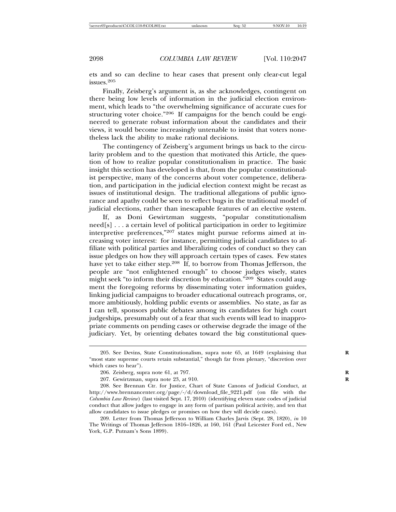ets and so can decline to hear cases that present only clear-cut legal issues.<sup>205</sup>

Finally, Zeisberg's argument is, as she acknowledges, contingent on there being low levels of information in the judicial election environment, which leads to "the overwhelming significance of accurate cues for structuring voter choice."206 If campaigns for the bench could be engineered to generate robust information about the candidates and their views, it would become increasingly untenable to insist that voters nonetheless lack the ability to make rational decisions.

The contingency of Zeisberg's argument brings us back to the circularity problem and to the question that motivated this Article, the question of how to realize popular constitutionalism in practice. The basic insight this section has developed is that, from the popular constitutionalist perspective, many of the concerns about voter competence, deliberation, and participation in the judicial election context might be recast as issues of institutional design. The traditional allegations of public ignorance and apathy could be seen to reflect bugs in the traditional model of judicial elections, rather than inescapable features of an elective system.

If, as Doni Gewirtzman suggests, "popular constitutionalism need[s] . . . a certain level of political participation in order to legitimize interpretive preferences,"207 states might pursue reforms aimed at increasing voter interest: for instance, permitting judicial candidates to affiliate with political parties and liberalizing codes of conduct so they can issue pledges on how they will approach certain types of cases. Few states have yet to take either step.<sup>208</sup> If, to borrow from Thomas Jefferson, the people are "not enlightened enough" to choose judges wisely, states might seek "to inform their discretion by education."<sup>209</sup> States could augment the foregoing reforms by disseminating voter information guides, linking judicial campaigns to broader educational outreach programs, or, more ambitiously, holding public events or assemblies. No state, as far as I can tell, sponsors public debates among its candidates for high court judgeships, presumably out of a fear that such events will lead to inappropriate comments on pending cases or otherwise degrade the image of the judiciary. Yet, by orienting debates toward the big constitutional ques-

209. Letter from Thomas Jefferson to William Charles Jarvis (Sept. 28, 1820), *in* 10 The Writings of Thomas Jefferson 1816–1826, at 160, 161 (Paul Leicester Ford ed., New York, G.P. Putnam's Sons 1899).

<sup>205.</sup> See Devins, State Constitutionalism, supra note 65, at 1649 (explaining that "most state supreme courts retain substantial," though far from plenary, "discretion over which cases to hear").

<sup>206.</sup> Zeisberg, supra note 61, at 797. **R**

<sup>207.</sup> Gewirtzman, supra note 23, at 910. **R**

<sup>208.</sup> See Brennan Ctr. for Justice, Chart of State Canons of Judicial Conduct, at http://www.brennancenter.org/page/-/d/download\_file\_9221.pdf (on file with the *Columbia Law Review*) (last visited Sept. 17, 2010) (identifying eleven state codes of judicial conduct that allow judges to engage in any form of partisan political activity, and ten that allow candidates to issue pledges or promises on how they will decide cases).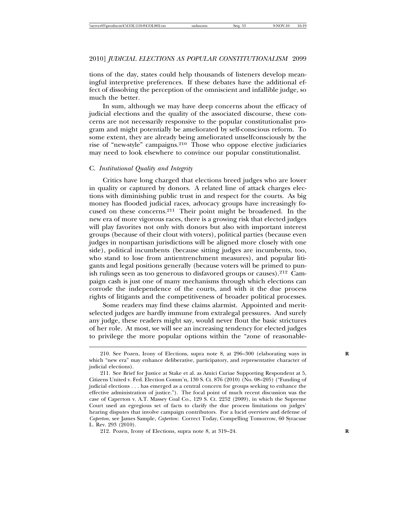tions of the day, states could help thousands of listeners develop meaningful interpretive preferences. If these debates have the additional effect of dissolving the perception of the omniscient and infallible judge, so much the better.

In sum, although we may have deep concerns about the efficacy of judicial elections and the quality of the associated discourse, these concerns are not necessarily responsive to the popular constitutionalist program and might potentially be ameliorated by self-conscious reform. To some extent, they are already being ameliorated unselfconsciously by the rise of "new-style" campaigns.210 Those who oppose elective judiciaries may need to look elsewhere to convince our popular constitutionalist.

## C. *Institutional Quality and Integrity*

Critics have long charged that elections breed judges who are lower in quality or captured by donors. A related line of attack charges elections with diminishing public trust in and respect for the courts. As big money has flooded judicial races, advocacy groups have increasingly focused on these concerns.211 Their point might be broadened. In the new era of more vigorous races, there is a growing risk that elected judges will play favorites not only with donors but also with important interest groups (because of their clout with voters), political parties (because even judges in nonpartisan jurisdictions will be aligned more closely with one side), political incumbents (because sitting judges are incumbents, too, who stand to lose from antientrenchment measures), and popular litigants and legal positions generally (because voters will be primed to punish rulings seen as too generous to disfavored groups or causes).212 Campaign cash is just one of many mechanisms through which elections can corrode the independence of the courts, and with it the due process rights of litigants and the competitiveness of broader political processes.

Some readers may find these claims alarmist. Appointed and meritselected judges are hardly immune from extralegal pressures. And surely any judge, these readers might say, would never flout the basic strictures of her role. At most, we will see an increasing tendency for elected judges to privilege the more popular options within the "zone of reasonable-

<sup>210.</sup> See Pozen, Irony of Elections, supra note 8, at 296–300 (elaborating ways in **R** which "new era" may enhance deliberative, participatory, and representative character of judicial elections).

<sup>211.</sup> See Brief for Justice at Stake et al. as Amici Curiae Supporting Respondent at 5, Citizens United v. Fed. Election Comm'n, 130 S. Ct. 876 (2010) (No. 08–205) ("Funding of judicial elections . . . has emerged as a central concern for groups seeking to enhance the effective administration of justice."). The focal point of much recent discussion was the case of Caperton v. A.T. Massey Coal Co., 129 S. Ct. 2252 (2009), in which the Supreme Court used an egregious set of facts to clarify the due process limitations on judges' hearing disputes that involve campaign contributors. For a lucid overview and defense of *Caperton*, see James Sample, *Caperton*: Correct Today, Compelling Tomorrow, 60 Syracuse L. Rev. 293 (2010).

<sup>212.</sup> Pozen, Irony of Elections, supra note 8, at 319–24. **R**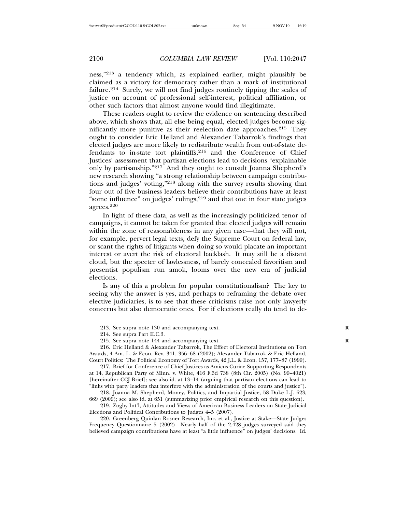ness,"213 a tendency which, as explained earlier, might plausibly be claimed as a victory for democracy rather than a mark of institutional failure.214 Surely, we will not find judges routinely tipping the scales of justice on account of professional self-interest, political affiliation, or other such factors that almost anyone would find illegitimate.

These readers ought to review the evidence on sentencing described above, which shows that, all else being equal, elected judges become significantly more punitive as their reelection date approaches.<sup>215</sup> They ought to consider Eric Helland and Alexander Tabarrok's findings that elected judges are more likely to redistribute wealth from out-of-state defendants to in-state tort plaintiffs,<sup>216</sup> and the Conference of Chief Justices' assessment that partisan elections lead to decisions "explainable only by partisanship."217 And they ought to consult Joanna Shepherd's new research showing "a strong relationship between campaign contributions and judges' voting,"218 along with the survey results showing that four out of five business leaders believe their contributions have at least "some influence" on judges' rulings,<sup>219</sup> and that one in four state judges agrees. $220$ 

In light of these data, as well as the increasingly politicized tenor of campaigns, it cannot be taken for granted that elected judges will remain within the zone of reasonableness in any given case—that they will not, for example, pervert legal texts, defy the Supreme Court on federal law, or scant the rights of litigants when doing so would placate an important interest or avert the risk of electoral backlash. It may still be a distant cloud, but the specter of lawlessness, of barely concealed favoritism and presentist populism run amok, looms over the new era of judicial elections.

Is any of this a problem for popular constitutionalism? The key to seeing why the answer is yes, and perhaps to reframing the debate over elective judiciaries, is to see that these criticisms raise not only lawyerly concerns but also democratic ones. For if elections really do tend to de-

<sup>213.</sup> See supra note 130 and accompanying text. **R**

<sup>214.</sup> See supra Part II.C.3.

<sup>215.</sup> See supra note 144 and accompanying text. **R**

<sup>216.</sup> Eric Helland & Alexander Tabarrok, The Effect of Electoral Institutions on Tort Awards, 4 Am. L. & Econ. Rev. 341, 356–68 (2002); Alexander Tabarrok & Eric Helland, Court Politics: The Political Economy of Tort Awards, 42 J.L. & Econ. 157, 177–87 (1999).

<sup>217.</sup> Brief for Conference of Chief Justices as Amicus Curiae Supporting Respondents at 14, Republican Party of Minn. v. White, 416 F.3d 738 (8th Cir. 2005) (No. 99–4021) [hereinafter CCJ Brief]; see also id. at 13–14 (arguing that partisan elections can lead to "links with party leaders that interfere with the administration of the courts and justice").

<sup>218.</sup> Joanna M. Shepherd, Money, Politics, and Impartial Justice, 58 Duke L.J. 623, 669 (2009); see also id. at 651 (summarizing prior empirical research on this question).

<sup>219.</sup> Zogby Int'l, Attitudes and Views of American Business Leaders on State Judicial Elections and Political Contributions to Judges 4–5 (2007).

<sup>220.</sup> Greenberg Quinlan Rosner Research, Inc. et al., Justice at Stake—State Judges Frequency Questionnaire 5 (2002). Nearly half of the 2,428 judges surveyed said they believed campaign contributions have at least "a little influence" on judges' decisions. Id.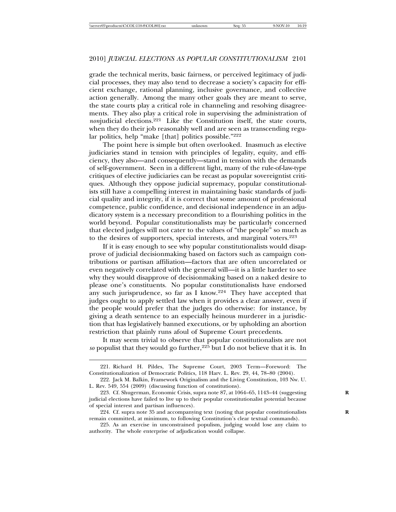grade the technical merits, basic fairness, or perceived legitimacy of judicial processes, they may also tend to decrease a society's capacity for efficient exchange, rational planning, inclusive governance, and collective action generally. Among the many other goals they are meant to serve, the state courts play a critical role in channeling and resolving disagreements. They also play a critical role in supervising the administration of *non*judicial elections.<sup>221</sup> Like the Constitution itself, the state courts, when they do their job reasonably well and are seen as transcending regular politics, help "make [that] politics possible."<sup>222</sup>

The point here is simple but often overlooked. Inasmuch as elective judiciaries stand in tension with principles of legality, equity, and efficiency, they also—and consequently—stand in tension with the demands of self-government. Seen in a different light, many of the rule-of-law-type critiques of elective judiciaries can be recast as popular sovereigntist critiques. Although they oppose judicial supremacy, popular constitutionalists still have a compelling interest in maintaining basic standards of judicial quality and integrity, if it is correct that some amount of professional competence, public confidence, and decisional independence in an adjudicatory system is a necessary precondition to a flourishing politics in the world beyond. Popular constitutionalists may be particularly concerned that elected judges will not cater to the values of "the people" so much as to the desires of supporters, special interests, and marginal voters.<sup>223</sup>

If it is easy enough to see why popular constitutionalists would disapprove of judicial decisionmaking based on factors such as campaign contributions or partisan affiliation—factors that are often uncorrelated or even negatively correlated with the general will—it is a little harder to see why they would disapprove of decisionmaking based on a naked desire to please one's constituents. No popular constitutionalists have endorsed any such jurisprudence, so far as I know.<sup>224</sup> They have accepted that judges ought to apply settled law when it provides a clear answer, even if the people would prefer that the judges do otherwise: for instance, by giving a death sentence to an especially heinous murderer in a jurisdiction that has legislatively banned executions, or by upholding an abortion restriction that plainly runs afoul of Supreme Court precedents.

It may seem trivial to observe that popular constitutionalists are not *so* populist that they would go further,<sup>225</sup> but I do not believe that it is. In

225. As an exercise in unconstrained populism, judging would lose any claim to authority. The whole enterprise of adjudication would collapse.

<sup>221.</sup> Richard H. Pildes, The Supreme Court, 2003 Term—Foreword: The Constitutionalization of Democratic Politics, 118 Harv. L. Rev. 29, 44, 78–80 (2004).

<sup>222.</sup> Jack M. Balkin, Framework Originalism and the Living Constitution, 103 Nw. U. L. Rev. 549, 554 (2009) (discussing function of constitutions).

<sup>223.</sup> Cf. Shugerman, Economic Crisis, supra note 87, at 1064–65, 1143–44 (suggesting **R** judicial elections have failed to live up to their popular constitutionalist potential because of special interest and partisan influences).

<sup>224.</sup> Cf. supra note 35 and accompanying text (noting that popular constitutionalists **R** remain committed, at minimum, to following Constitution's clear textual commands).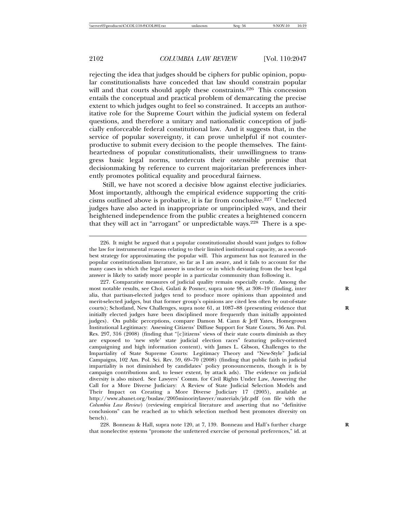rejecting the idea that judges should be ciphers for public opinion, popular constitutionalists have conceded that law should constrain popular will and that courts should apply these constraints.<sup>226</sup> This concession entails the conceptual and practical problem of demarcating the precise extent to which judges ought to feel so constrained. It accepts an authoritative role for the Supreme Court within the judicial system on federal questions, and therefore a unitary and nationalistic conception of judicially enforceable federal constitutional law. And it suggests that, in the service of popular sovereignty, it can prove unhelpful if not counterproductive to submit every decision to the people themselves. The faintheartedness of popular constitutionalists, their unwillingness to transgress basic legal norms, undercuts their ostensible premise that decisionmaking by reference to current majoritarian preferences inherently promotes political equality and procedural fairness.

Still, we have not scored a decisive blow against elective judiciaries. Most importantly, although the empirical evidence supporting the criticisms outlined above is probative, it is far from conclusive.227 Unelected judges have also acted in inappropriate or unprincipled ways, and their heightened independence from the public creates a heightened concern that they will act in "arrogant" or unpredictable ways.<sup>228</sup> There is a spe-

228. Bonneau & Hall, supra note 120, at 7, 139. Bonneau and Hall's further charge that nonelective systems "promote the unfettered exercise of personal preferences," id. at

<sup>226.</sup> It might be argued that a popular constitutionalist should want judges to follow the law for instrumental reasons relating to their limited institutional capacity, as a secondbest strategy for approximating the popular will. This argument has not featured in the popular constitutionalism literature, so far as I am aware, and it fails to account for the many cases in which the legal answer is unclear or in which deviating from the best legal answer is likely to satisfy more people in a particular community than following it.

<sup>227.</sup> Comparative measures of judicial quality remain especially crude. Among the most notable results, see Choi, Gulati & Posner, supra note 98, at 308–19 (finding, inter **R** alia, that partisan-elected judges tend to produce more opinions than appointed and merit-selected judges, but that former group's opinions are cited less often by out-of-state courts); Schotland, New Challenges, supra note 61, at 1087-88 (presenting evidence that initially elected judges have been disciplined more frequently than initially appointed judges). On public perceptions, compare Damon M. Cann & Jeff Yates, Homegrown Institutional Legitimacy: Assessing Citizens' Diffuse Support for State Courts, 36 Am. Pol. Res. 297, 316 (2008) (finding that "[c]itizens' views of their state courts diminish as they are exposed to 'new style' state judicial election races" featuring policy-oriented campaigning and high information content), with James L. Gibson, Challenges to the Impartiality of State Supreme Courts: Legitimacy Theory and "New-Style" Judicial Campaigns, 102 Am. Pol. Sci. Rev. 59, 69–70 (2008) (finding that public faith in judicial impartiality is not diminished by candidates' policy pronouncements, though it is by campaign contributions and, to lesser extent, by attack ads). The evidence on judicial diversity is also mixed. See Lawyers' Comm. for Civil Rights Under Law, Answering the Call for a More Diverse Judiciary: A Review of State Judicial Selection Models and Their Impact on Creating a More Diverse Judiciary 17 (2005), available at http://www.abanet.org/buslaw/2005minoritylawyer/materials/jdr.pdf (on file with the *Columbia Law Review*) (reviewing empirical literature and asserting that no "definitive conclusions" can be reached as to which selection method best promotes diversity on bench).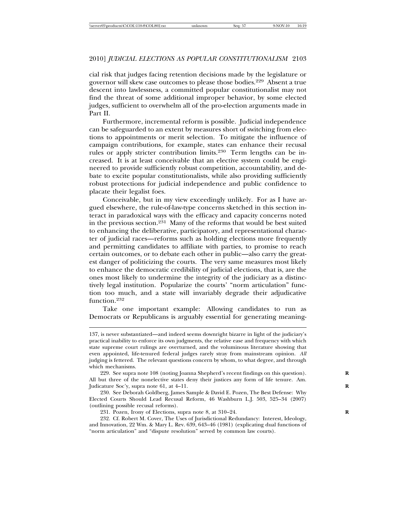cial risk that judges facing retention decisions made by the legislature or governor will skew case outcomes to please those bodies.229 Absent a true descent into lawlessness, a committed popular constitutionalist may not find the threat of some additional improper behavior, by some elected judges, sufficient to overwhelm all of the pro-election arguments made in Part II.

Furthermore, incremental reform is possible. Judicial independence can be safeguarded to an extent by measures short of switching from elections to appointments or merit selection. To mitigate the influence of campaign contributions, for example, states can enhance their recusal rules or apply stricter contribution limits.<sup>230</sup> Term lengths can be increased. It is at least conceivable that an elective system could be engineered to provide sufficiently robust competition, accountability, and debate to excite popular constitutionalists, while also providing sufficiently robust protections for judicial independence and public confidence to placate their legalist foes.

Conceivable, but in my view exceedingly unlikely. For as I have argued elsewhere, the rule-of-law-type concerns sketched in this section interact in paradoxical ways with the efficacy and capacity concerns noted in the previous section.<sup>231</sup> Many of the reforms that would be best suited to enhancing the deliberative, participatory, and representational character of judicial races—reforms such as holding elections more frequently and permitting candidates to affiliate with parties, to promise to reach certain outcomes, or to debate each other in public—also carry the greatest danger of politicizing the courts. The very same measures most likely to enhance the democratic credibility of judicial elections, that is, are the ones most likely to undermine the integrity of the judiciary as a distinctively legal institution. Popularize the courts' "norm articulation" function too much, and a state will invariably degrade their adjudicative function.<sup>232</sup>

Take one important example: Allowing candidates to run as Democrats or Republicans is arguably essential for generating meaning-

232. Cf. Robert M. Cover, The Uses of Jurisdictional Redundancy: Interest, Ideology, and Innovation, 22 Wm. & Mary L. Rev. 639, 643–46 (1981) (explicating dual functions of "norm articulation" and "dispute resolution" served by common law courts).

<sup>137,</sup> is never substantiated—and indeed seems downright bizarre in light of the judiciary's practical inability to enforce its own judgments, the relative ease and frequency with which state supreme court rulings are overturned, and the voluminous literature showing that even appointed, life-tenured federal judges rarely stray from mainstream opinion. *All* judging is fettered. The relevant questions concern by whom, to what degree, and through which mechanisms.

<sup>229.</sup> See supra note 108 (noting Joanna Shepherd's recent findings on this question). **R** All but three of the nonelective states deny their justices any form of life tenure. Am. Judicature Soc'y, supra note 61, at 4–11. **R**

<sup>230.</sup> See Deborah Goldberg, James Sample & David E. Pozen, The Best Defense: Why Elected Courts Should Lead Recusal Reform, 46 Washburn L.J. 503, 525–34 (2007) (outlining possible recusal reforms).

<sup>231.</sup> Pozen, Irony of Elections, supra note 8, at 310–24. **R**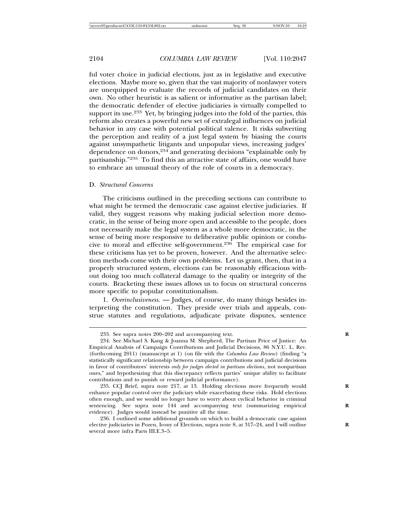ful voter choice in judicial elections, just as in legislative and executive elections. Maybe more so, given that the vast majority of nonlawyer voters are unequipped to evaluate the records of judicial candidates on their own. No other heuristic is as salient or informative as the partisan label; the democratic defender of elective judiciaries is virtually compelled to support its use.<sup>233</sup> Yet, by bringing judges into the fold of the parties, this reform also creates a powerful new set of extralegal influences on judicial behavior in any case with potential political valence. It risks subverting the perception and reality of a just legal system by biasing the courts against unsympathetic litigants and unpopular views, increasing judges' dependence on donors,<sup>234</sup> and generating decisions "explainable only by partisanship."235 To find this an attractive state of affairs, one would have to embrace an unusual theory of the role of courts in a democracy.

#### D. *Structural Concerns*

The criticisms outlined in the preceding sections can contribute to what might be termed the democratic case against elective judiciaries. If valid, they suggest reasons why making judicial selection more democratic, in the sense of being more open and accessible to the people, does not necessarily make the legal system as a whole more democratic, in the sense of being more responsive to deliberative public opinion or conducive to moral and effective self-government.236 The empirical case for these criticisms has yet to be proven, however. And the alternative selection methods come with their own problems. Let us grant, then, that in a properly structured system, elections can be reasonably efficacious without doing too much collateral damage to the quality or integrity of the courts. Bracketing these issues allows us to focus on structural concerns more specific to popular constitutionalism.

1. *Overinclusiveness*. — Judges, of course, do many things besides interpreting the constitution. They preside over trials and appeals, construe statutes and regulations, adjudicate private disputes, sentence

<sup>233.</sup> See supra notes 200–202 and accompanying text. **R**

<sup>234.</sup> See Michael S. Kang & Joanna M. Shepherd, The Partisan Price of Justice: An Empirical Analysis of Campaign Contributions and Judicial Decisions, 86 N.Y.U. L. Rev. (forthcoming 2011) (manuscript at 1) (on file with the *Columbia Law Review*) (finding "a statistically significant relationship between campaign contributions and judicial decisions in favor of contributors' interests *only for judges elected in partisan elections*, not nonpartisan ones," and hypothesizing that this discrepancy reflects parties' unique ability to facilitate contributions and to punish or reward judicial performance).

<sup>235.</sup> CCJ Brief, supra note 217, at 13. Holding elections more frequently would enhance popular control over the judiciary while exacerbating these risks. Hold elections often enough, and we would no longer have to worry about cyclical behavior in criminal sentencing. See supra note 144 and accompanying text (summarizing empirical evidence). Judges would instead be punitive all the time.

<sup>236.</sup> I outlined some additional grounds on which to build a democratic case against elective judiciaries in Pozen, Irony of Elections, supra note 8, at 317–24, and I will outline **R** several more infra Parts III.E.3–5.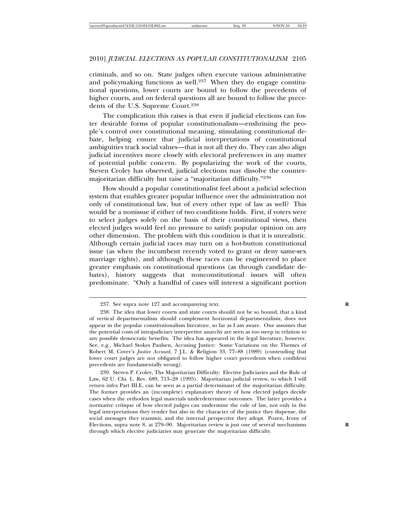criminals, and so on. State judges often execute various administrative and policymaking functions as well.<sup>237</sup> When they do engage constitutional questions, lower courts are bound to follow the precedents of higher courts, and on federal questions all are bound to follow the precedents of the U.S. Supreme Court.<sup>238</sup>

The complication this raises is that even if judicial elections can foster desirable forms of popular constitutionalism—enshrining the people's control over constitutional meaning, stimulating constitutional debate, helping ensure that judicial interpretations of constitutional ambiguities track social values—that is not all they do. They can also align judicial incentives more closely with electoral preferences in any matter of potential public concern. By popularizing the work of the courts, Steven Croley has observed, judicial elections may dissolve the countermajoritarian difficulty but raise a "majoritarian difficulty."<sup>239</sup>

How should a popular constitutionalist feel about a judicial selection system that enables greater popular influence over the administration not only of constitutional law, but of every other type of law as well? This would be a nonissue if either of two conditions holds. First, if voters were to select judges solely on the basis of their constitutional views, then elected judges would feel no pressure to satisfy popular opinion on any other dimension. The problem with this condition is that it is unrealistic. Although certain judicial races may turn on a hot-button constitutional issue (as when the incumbent recently voted to grant or deny same-sex marriage rights), and although these races can be engineered to place greater emphasis on constitutional questions (as through candidate debates), history suggests that nonconstitutional issues will often predominate. "Only a handful of cases will interest a significant portion

<sup>237.</sup> See supra note 127 and accompanying text. **R**

<sup>238.</sup> The idea that lower courts and state courts should not be so bound, that a kind of vertical departmentalism should complement horizontal departmentalism, does not appear in the popular constitutionalism literature, so far as I am aware. One assumes that the potential costs of intrajudiciary interpretive anarchy are seen as too steep in relation to any possible democratic benefits. The idea has appeared in the legal literature, however. See, e.g., Michael Stokes Paulsen, Accusing Justice: Some Variations on the Themes of Robert M. Cover's *Justice Accused*, 7 J.L. & Religion 33, 77–88 (1989) (contending that lower court judges are not obligated to follow higher court precedents when confident precedents are fundamentally wrong).

<sup>239.</sup> Steven P. Croley, The Majoritarian Difficulty: Elective Judiciaries and the Rule of Law, 62 U. Chi. L. Rev. 689, 713–28 (1995). Majoritarian judicial review, to which I will return infra Part III.E, can be seen as a partial determinant of the majoritarian difficulty. The former provides an (incomplete) explanatory theory of how elected judges decide cases when the orthodox legal materials underdetermine outcomes. The latter provides a normative critique of how elected judges can undermine the rule of law, not only in the legal interpretations they render but also in the character of the justice they dispense, the social messages they transmit, and the internal perspective they adopt. Pozen, Irony of Elections, supra note 8, at 279–90. Majoritarian review is just one of several mechanisms **R** through which elective judiciaries may generate the majoritarian difficulty.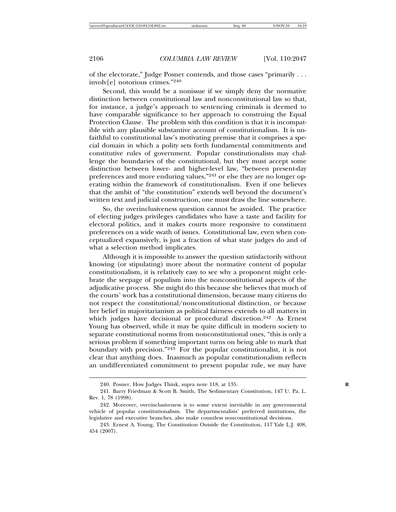of the electorate," Judge Posner contends, and those cases "primarily . . . involv[e] notorious crimes."<sup>240</sup>

Second, this would be a nonissue if we simply deny the normative distinction between constitutional law and nonconstitutional law so that, for instance, a judge's approach to sentencing criminals is deemed to have comparable significance to her approach to construing the Equal Protection Clause. The problem with this condition is that it is incompatible with any plausible substantive account of constitutionalism. It is unfaithful to constitutional law's motivating premise that it comprises a special domain in which a polity sets forth fundamental commitments and constitutive rules of government. Popular constitutionalists may challenge the boundaries of the constitutional, but they must accept some distinction between lower- and higher-level law, "between present-day preferences and more enduring values,"241 or else they are no longer operating within the framework of constitutionalism. Even if one believes that the ambit of "the constitution" extends well beyond the document's written text and judicial construction, one must draw the line somewhere.

So, the overinclusiveness question cannot be avoided. The practice of electing judges privileges candidates who have a taste and facility for electoral politics, and it makes courts more responsive to constituent preferences on a wide swath of issues. Constitutional law, even when conceptualized expansively, is just a fraction of what state judges do and of what a selection method implicates.

Although it is impossible to answer the question satisfactorily without knowing (or stipulating) more about the normative content of popular constitutionalism, it is relatively easy to see why a proponent might celebrate the seepage of populism into the nonconstitutional aspects of the adjudicative process. She might do this because she believes that much of the courts' work has a constitutional dimension, because many citizens do not respect the constitutional/nonconstitutional distinction, or because her belief in majoritarianism as political fairness extends to all matters in which judges have decisional or procedural discretion.<sup>242</sup> As Ernest Young has observed, while it may be quite difficult in modern society to separate constitutional norms from nonconstitutional ones, "this is only a serious problem if something important turns on being able to mark that boundary with precision."243 For the popular constitutionalist, it is not clear that anything does. Inasmuch as popular constitutionalism reflects an undifferentiated commitment to present popular rule, we may have

<sup>240.</sup> Posner, How Judges Think, supra note 118, at 135. **R**

<sup>241.</sup> Barry Friedman & Scott B. Smith, The Sedimentary Constitution, 147 U. Pa. L. Rev. 1, 78 (1998).

<sup>242.</sup> Moreover, overinclusiveness is to some extent inevitable in any governmental vehicle of popular constitutionalism. The departmentalists' preferred institutions, the legislative and executive branches, also make countless nonconstitutional decisions.

<sup>243.</sup> Ernest A. Young, The Constitution Outside the Constitution, 117 Yale L.J. 408, 454 (2007).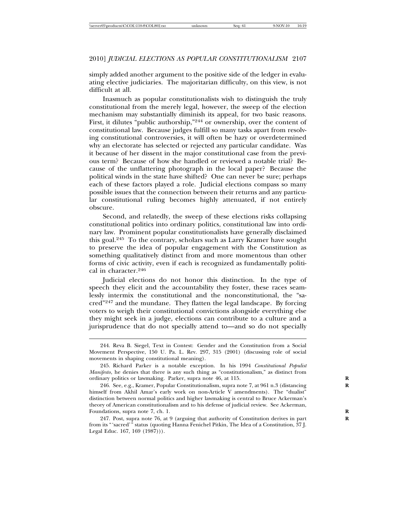simply added another argument to the positive side of the ledger in evaluating elective judiciaries. The majoritarian difficulty, on this view, is not difficult at all.

Inasmuch as popular constitutionalists wish to distinguish the truly constitutional from the merely legal, however, the sweep of the election mechanism may substantially diminish its appeal, for two basic reasons. First, it dilutes "public authorship,"244 or ownership, over the content of constitutional law. Because judges fulfill so many tasks apart from resolving constitutional controversies, it will often be hazy or overdetermined why an electorate has selected or rejected any particular candidate. Was it because of her dissent in the major constitutional case from the previous term? Because of how she handled or reviewed a notable trial? Because of the unflattering photograph in the local paper? Because the political winds in the state have shifted? One can never be sure; perhaps each of these factors played a role. Judicial elections compass so many possible issues that the connection between their returns and any particular constitutional ruling becomes highly attenuated, if not entirely obscure.

Second, and relatedly, the sweep of these elections risks collapsing constitutional politics into ordinary politics, constitutional law into ordinary law. Prominent popular constitutionalists have generally disclaimed this goal.245 To the contrary, scholars such as Larry Kramer have sought to preserve the idea of popular engagement with the Constitution as something qualitatively distinct from and more momentous than other forms of civic activity, even if each is recognized as fundamentally political in character.<sup>246</sup>

Judicial elections do not honor this distinction. In the type of speech they elicit and the accountability they foster, these races seamlessly intermix the constitutional and the nonconstitutional, the "sacred"247 and the mundane. They flatten the legal landscape. By forcing voters to weigh their constitutional convictions alongside everything else they might seek in a judge, elections can contribute to a culture and a jurisprudence that do not specially attend to—and so do not specially

<sup>244.</sup> Reva B. Siegel, Text in Contest: Gender and the Constitution from a Social Movement Perspective, 150 U. Pa. L. Rev. 297, 315 (2001) (discussing role of social movements in shaping constitutional meaning).

<sup>245.</sup> Richard Parker is a notable exception. In his 1994 *Constitutional Populist Manifesto*, he denies that there is any such thing as "constitutionalism," as distinct from ordinary politics or lawmaking. Parker, supra note 46, at 115. **R**

<sup>246.</sup> See, e.g., Kramer, Popular Constitutionalism, supra note 7, at 961 n.3 (distancing **R** himself from Akhil Amar's early work on non-Article V amendments). The "dualist" distinction between normal politics and higher lawmaking is central to Bruce Ackerman's theory of American constitutionalism and to his defense of judicial review. See Ackerman, Foundations, supra note 7, ch. 1.

<sup>247.</sup> Post, supra note 76, at 9 (arguing that authority of Constitution derives in part **R** from its "'sacred'" status (quoting Hanna Fenichel Pitkin, The Idea of a Constitution, 37 J. Legal Educ. 167, 169 (1987))).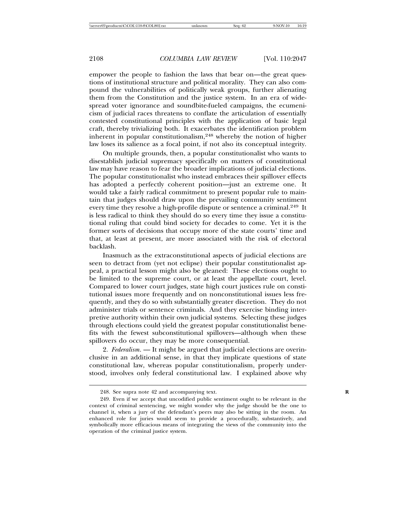empower the people to fashion the laws that bear on—the great questions of institutional structure and political morality. They can also compound the vulnerabilities of politically weak groups, further alienating them from the Constitution and the justice system. In an era of widespread voter ignorance and soundbite-fueled campaigns, the ecumenicism of judicial races threatens to conflate the articulation of essentially contested constitutional principles with the application of basic legal craft, thereby trivializing both. It exacerbates the identification problem inherent in popular constitutionalism,<sup>248</sup> whereby the notion of higher law loses its salience as a focal point, if not also its conceptual integrity.

On multiple grounds, then, a popular constitutionalist who wants to disestablish judicial supremacy specifically on matters of constitutional law may have reason to fear the broader implications of judicial elections. The popular constitutionalist who instead embraces their spillover effects has adopted a perfectly coherent position—just an extreme one. It would take a fairly radical commitment to present popular rule to maintain that judges should draw upon the prevailing community sentiment every time they resolve a high-profile dispute or sentence a criminal.<sup>249</sup> It is less radical to think they should do so every time they issue a constitutional ruling that could bind society for decades to come. Yet it is the former sorts of decisions that occupy more of the state courts' time and that, at least at present, are more associated with the risk of electoral backlash.

Inasmuch as the extraconstitutional aspects of judicial elections are seen to detract from (yet not eclipse) their popular constitutionalist appeal, a practical lesson might also be gleaned: These elections ought to be limited to the supreme court, or at least the appellate court, level. Compared to lower court judges, state high court justices rule on constitutional issues more frequently and on nonconstitutional issues less frequently, and they do so with substantially greater discretion. They do not administer trials or sentence criminals. And they exercise binding interpretive authority within their own judicial systems. Selecting these judges through elections could yield the greatest popular constitutionalist benefits with the fewest subconstitutional spillovers—although when these spillovers do occur, they may be more consequential.

2. *Federalism*. — It might be argued that judicial elections are overinclusive in an additional sense, in that they implicate questions of state constitutional law, whereas popular constitutionalism, properly understood, involves only federal constitutional law. I explained above why

<sup>248.</sup> See supra note 42 and accompanying text. **R**

<sup>249.</sup> Even if we accept that uncodified public sentiment ought to be relevant in the context of criminal sentencing, we might wonder why the judge should be the one to channel it, when a jury of the defendant's peers may also be sitting in the room. An enhanced role for juries would seem to provide a procedurally, substantively, and symbolically more efficacious means of integrating the views of the community into the operation of the criminal justice system.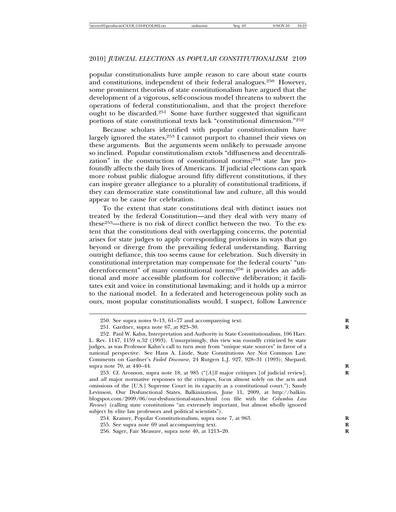popular constitutionalists have ample reason to care about state courts and constitutions, independent of their federal analogues.250 However, some prominent theorists of state constitutionalism have argued that the development of a vigorous, self-conscious model threatens to subvert the operations of federal constitutionalism, and that the project therefore ought to be discarded.<sup>251</sup> Some have further suggested that significant portions of state constitutional texts lack "constitutional dimension."<sup>252</sup>

Because scholars identified with popular constitutionalism have largely ignored the states, $253$  I cannot purport to channel their views on these arguments. But the arguments seem unlikely to persuade anyone so inclined. Popular constitutionalism extols "diffuseness and decentralization" in the construction of constitutional norms;254 state law profoundly affects the daily lives of Americans. If judicial elections can spark more robust public dialogue around fifty different constitutions, if they can inspire greater allegiance to a plurality of constitutional traditions, if they can democratize state constitutional law and culture, all this would appear to be cause for celebration.

To the extent that state constitutions deal with distinct issues not treated by the federal Constitution—and they deal with very many of these255—there is no risk of direct conflict between the two. To the extent that the constitutions deal with overlapping concerns, the potential arises for state judges to apply corresponding provisions in ways that go beyond or diverge from the prevailing federal understanding. Barring outright defiance, this too seems cause for celebration. Such diversity in constitutional interpretation may compensate for the federal courts' "underenforcement" of many constitutional norms;256 it provides an additional and more accessible platform for collective deliberation; it facilitates exit and voice in constitutional lawmaking; and it holds up a mirror to the national model. In a federated and heterogeneous polity such as ours, most popular constitutionalists would, I suspect, follow Lawrence

254. Kramer, Popular Constitutionalism, supra note 7, at 963. **R**

255. See supra note 69 and accompanying text. **R**

<sup>250.</sup> See supra notes 9–13, 61–77 and accompanying text. **R**

<sup>251.</sup> Gardner, supra note 67, at 823–30. **R**

<sup>252.</sup> Paul W. Kahn, Interpretation and Authority in State Constitutionalism, 106 Harv. L. Rev. 1147, 1159 n.52 (1993). Unsurprisingly, this view was roundly criticized by state judges, as was Professor Kahn's call to turn away from "unique state sources" in favor of a national perspective. See Hans A. Linde, State Constitutions Are Not Common Law: Comments on Gardner's *Failed Discourse*, 24 Rutgers L.J. 927, 928–31 (1993); Shepard, supra note 70, at 440–44. **R**

<sup>253.</sup> Cf. Aronson, supra note 18, at 985 ("[*A*]*ll* major critiques [of judicial review], **R** and *all* major normative responses to the critiques, focus almost solely on the acts and omissions of the [U.S.] Supreme Court in its capacity as a constitutional court."); Sandy Levinson, Our Dysfunctional States, Balkinization, June 11, 2009, at http://balkin. blogspot.com/2009/06/our-dysfunctional-states.html (on file with the *Columbia Law Review*) (calling state constitutions "an extremely important, but almost wholly ignored subject by elite law professors and political scientists").

<sup>256.</sup> Sager, Fair Measure, supra note 40, at 1213–20. **R**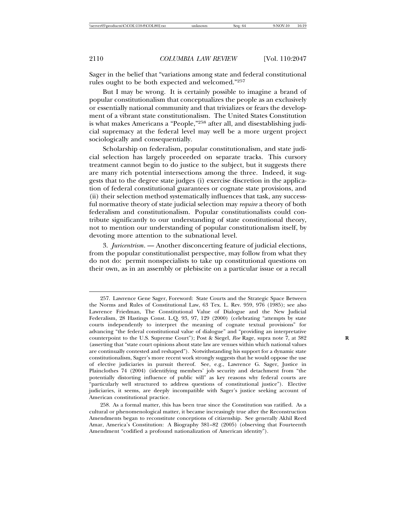Sager in the belief that "variations among state and federal constitutional rules ought to be both expected and welcomed."<sup>257</sup>

But I may be wrong. It is certainly possible to imagine a brand of popular constitutionalism that conceptualizes the people as an exclusively or essentially national community and that trivializes or fears the development of a vibrant state constitutionalism. The United States Constitution is what makes Americans a "People,"258 after all, and disestablishing judicial supremacy at the federal level may well be a more urgent project sociologically and consequentially.

Scholarship on federalism, popular constitutionalism, and state judicial selection has largely proceeded on separate tracks. This cursory treatment cannot begin to do justice to the subject, but it suggests there are many rich potential intersections among the three. Indeed, it suggests that to the degree state judges (i) exercise discretion in the application of federal constitutional guarantees or cognate state provisions, and (ii) their selection method systematically influences that task, any successful normative theory of state judicial selection may *require* a theory of both federalism and constitutionalism. Popular constitutionalists could contribute significantly to our understanding of state constitutional theory, not to mention our understanding of popular constitutionalism itself, by devoting more attention to the subnational level.

3. *Juricentrism*. — Another disconcerting feature of judicial elections, from the popular constitutionalist perspective, may follow from what they do not do: permit nonspecialists to take up constitutional questions on their own, as in an assembly or plebiscite on a particular issue or a recall

<sup>257.</sup> Lawrence Gene Sager, Foreword: State Courts and the Strategic Space Between the Norms and Rules of Constitutional Law, 63 Tex. L. Rev. 959, 976 (1985); see also Lawrence Friedman, The Constitutional Value of Dialogue and the New Judicial Federalism, 28 Hastings Const. L.Q. 93, 97, 129 (2000) (celebrating "attempts by state courts independently to interpret the meaning of cognate textual provisions" for advancing "the federal constitutional value of dialogue" and "providing an interpretative counterpoint to the U.S. Supreme Court"); Post & Siegel, Roe Rage, supra note 7, at 382 (asserting that "state court opinions about state law are venues within which national values are continually contested and reshaped"). Notwithstanding his support for a dynamic state constitutionalism, Sager's more recent work strongly suggests that he would oppose the use of elective judiciaries in pursuit thereof. See, e.g., Lawrence G. Sager, Justice in Plainclothes 74 (2004) (identifying members' job security and detachment from "the potentially distorting influence of public will" as key reasons why federal courts are "particularly well structured to address questions of constitutional justice"). Elective judiciaries, it seems, are deeply incompatible with Sager's justice seeking account of American constitutional practice.

<sup>258.</sup> As a formal matter, this has been true since the Constitution was ratified. As a cultural or phenomenological matter, it became increasingly true after the Reconstruction Amendments began to reconstitute conceptions of citizenship. See generally Akhil Reed Amar, America's Constitution: A Biography 381–82 (2005) (observing that Fourteenth Amendment "codified a profound nationalization of American identity").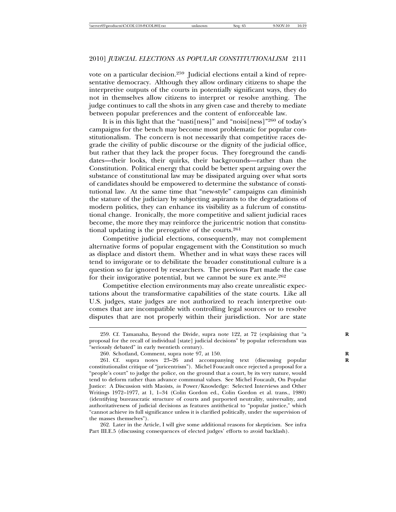vote on a particular decision.<sup>259</sup> Judicial elections entail a kind of representative democracy. Although they allow ordinary citizens to shape the interpretive outputs of the courts in potentially significant ways, they do not in themselves allow citizens to interpret or resolve anything. The judge continues to call the shots in any given case and thereby to mediate between popular preferences and the content of enforceable law.

It is in this light that the "nasti[ness]" and "noisi[ness]"260 of today's campaigns for the bench may become most problematic for popular constitutionalism. The concern is not necessarily that competitive races degrade the civility of public discourse or the dignity of the judicial office, but rather that they lack the proper focus. They foreground the candidates—their looks, their quirks, their backgrounds—rather than the Constitution. Political energy that could be better spent arguing over the substance of constitutional law may be dissipated arguing over what sorts of candidates should be empowered to determine the substance of constitutional law. At the same time that "new-style" campaigns can diminish the stature of the judiciary by subjecting aspirants to the degradations of modern politics, they can enhance its visibility as a fulcrum of constitutional change. Ironically, the more competitive and salient judicial races become, the more they may reinforce the juricentric notion that constitutional updating is the prerogative of the courts.<sup>261</sup>

Competitive judicial elections, consequently, may not complement alternative forms of popular engagement with the Constitution so much as displace and distort them. Whether and in what ways these races will tend to invigorate or to debilitate the broader constitutional culture is a question so far ignored by researchers. The previous Part made the case for their invigorative potential, but we cannot be sure ex ante.<sup>262</sup>

Competitive election environments may also create unrealistic expectations about the transformative capabilities of the state courts. Like all U.S. judges, state judges are not authorized to reach interpretive outcomes that are incompatible with controlling legal sources or to resolve disputes that are not properly within their jurisdiction. Nor are state

262. Later in the Article, I will give some additional reasons for skepticism. See infra Part III.E.5 (discussing consequences of elected judges' efforts to avoid backlash).

<sup>259.</sup> Cf. Tamanaha, Beyond the Divide, supra note 122, at 72 (explaining that "a proposal for the recall of individual [state] judicial decisions" by popular referendum was "seriously debated" in early twentieth century).

<sup>260.</sup> Schotland, Comment, supra note 97, at 150. **R**

<sup>261.</sup> Cf. supra notes 23–26 and accompanying text (discussing popular **R** constitutionalist critique of "juricentrism"). Michel Foucault once rejected a proposal for a "people's court" to judge the police, on the ground that a court, by its very nature, would tend to deform rather than advance communal values. See Michel Foucault, On Popular Justice: A Discussion with Maoists, *in* Power/Knowledge: Selected Interviews and Other Writings 1972–1977, at 1, 1–34 (Colin Gordon ed., Colin Gordon et al. trans., 1980) (identifying bureaucratic structure of courts and purported neutrality, universality, and authoritativeness of judicial decisions as features antithetical to "popular justice," which "cannot achieve its full significance unless it is clarified politically, under the supervision of the masses themselves").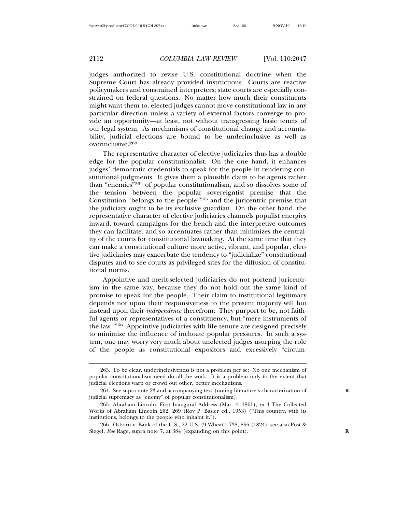judges authorized to revise U.S. constitutional doctrine when the Supreme Court has already provided instructions. Courts are reactive policymakers and constrained interpreters; state courts are especially constrained on federal questions. No matter how much their constituents might want them to, elected judges cannot move constitutional law in any particular direction unless a variety of external factors converge to provide an opportunity—at least, not without transgressing basic tenets of our legal system. As mechanisms of constitutional change and accountability, judicial elections are bound to be underinclusive as well as overinclusive.<sup>263</sup>

The representative character of elective judiciaries thus has a double edge for the popular constitutionalist. On the one hand, it enhances judges' democratic credentials to speak for the people in rendering constitutional judgments. It gives them a plausible claim to be agents rather than "enemies"264 of popular constitutionalism, and so dissolves some of the tension between the popular sovereigntist premise that the Constitution "belongs to the people"265 and the juricentric premise that the judiciary ought to be its exclusive guardian. On the other hand, the representative character of elective judiciaries channels populist energies inward, toward campaigns for the bench and the interpretive outcomes they can facilitate, and so accentuates rather than minimizes the centrality of the courts for constitutional lawmaking. At the same time that they can make a constitutional culture more active, vibrant, and popular, elective judiciaries may exacerbate the tendency to "judicialize" constitutional disputes and to see courts as privileged sites for the diffusion of constitutional norms.

Appointive and merit-selected judiciaries do not portend juricentrism in the same way, because they do not hold out the same kind of promise to speak for the people. Their claim to institutional legitimacy depends not upon their responsiveness to the present majority will but instead upon their *independence* therefrom: They purport to be, not faithful agents or representatives of a constituency, but "mere instruments of the law."266 Appointive judiciaries with life tenure are designed precisely to minimize the influence of inchoate popular pressures. In such a system, one may worry very much about unelected judges usurping the role of the people as constitutional expositors and excessively "circum-

<sup>263.</sup> To be clear, underinclusiveness is not a problem per se: No one mechanism of popular constitutionalism need do all the work. It is a problem only to the extent that judicial elections warp or crowd out other, better mechanisms.

<sup>264.</sup> See supra note 23 and accompanying text (noting literature's characterization of **R** judicial supremacy as "enemy" of popular constitutionalism).

<sup>265.</sup> Abraham Lincoln, First Inaugural Address (Mar. 4, 1861), *in* 4 The Collected Works of Abraham Lincoln 262, 269 (Roy P. Basler ed., 1953) ("This country, with its institutions, belongs to the people who inhabit it.").

<sup>266.</sup> Osborn v. Bank of the U.S., 22 U.S. (9 Wheat.) 738, 866 (1824); see also Post & Siegel, *Roe* Rage, supra note 7, at 384 (expanding on this point).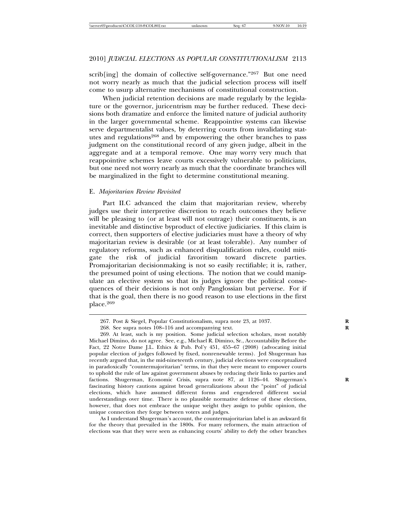scrib[ing] the domain of collective self-governance."267 But one need not worry nearly as much that the judicial selection process will itself come to usurp alternative mechanisms of constitutional construction.

When judicial retention decisions are made regularly by the legislature or the governor, juricentrism may be further reduced. These decisions both dramatize and enforce the limited nature of judicial authority in the larger governmental scheme. Reappointive systems can likewise serve departmentalist values, by deterring courts from invalidating statutes and regulations<sup>268</sup> and by empowering the other branches to pass judgment on the constitutional record of any given judge, albeit in the aggregate and at a temporal remove. One may worry very much that reappointive schemes leave courts excessively vulnerable to politicians, but one need not worry nearly as much that the coordinate branches will be marginalized in the fight to determine constitutional meaning.

### E. *Majoritarian Review Revisited*

Part II.C advanced the claim that majoritarian review, whereby judges use their interpretive discretion to reach outcomes they believe will be pleasing to (or at least will not outrage) their constituents, is an inevitable and distinctive byproduct of elective judiciaries. If this claim is correct, then supporters of elective judiciaries must have a theory of why majoritarian review is desirable (or at least tolerable). Any number of regulatory reforms, such as enhanced disqualification rules, could mitigate the risk of judicial favoritism toward discrete parties. Promajoritarian decisionmaking is not so easily rectifiable; it is, rather, the presumed point of using elections. The notion that we could manipulate an elective system so that its judges ignore the political consequences of their decisions is not only Panglossian but perverse. For if that is the goal, then there is no good reason to use elections in the first place.269

As I understand Shugerman's account, the countermajoritarian label is an awkward fit for the theory that prevailed in the 1800s. For many reformers, the main attraction of elections was that they were seen as enhancing courts' ability to defy the other branches

<sup>267.</sup> Post & Siegel, Popular Constitutionalism, supra note 23, at 1037. **R**

<sup>268.</sup> See supra notes 108–116 and accompanying text. **R**

<sup>269.</sup> At least, such is my position. Some judicial selection scholars, most notably Michael Dimino, do not agree. See, e.g., Michael R. Dimino, Sr., Accountability Before the Fact, 22 Notre Dame J.L. Ethics & Pub. Pol'y 451, 455–67 (2008) (advocating initial popular election of judges followed by fixed, nonrenewable terms). Jed Shugerman has recently argued that, in the mid-nineteenth century, judicial elections were conceptualized in paradoxically "countermajoritarian" terms, in that they were meant to empower courts to uphold the rule of law against government abuses by reducing their links to parties and factions. Shugerman, Economic Crisis, supra note 87, at 1126–44. Shugerman's fascinating history cautions against broad generalizations about the "point" of judicial elections, which have assumed different forms and engendered different social understandings over time. There is no plausible normative defense of these elections, however, that does not embrace the unique weight they assign to public opinion, the unique connection they forge between voters and judges.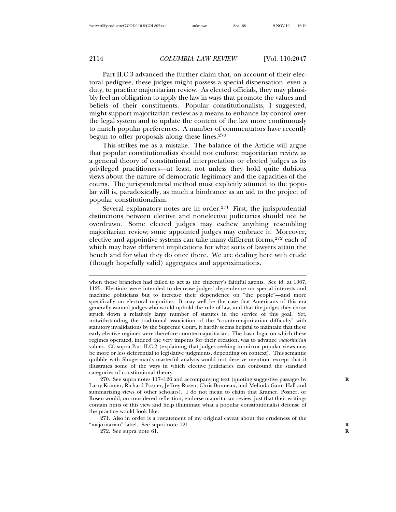Part II.C.3 advanced the further claim that, on account of their electoral pedigree, these judges might possess a special dispensation, even a duty, to practice majoritarian review. As elected officials, they may plausibly feel an obligation to apply the law in ways that promote the values and beliefs of their constituents. Popular constitutionalists, I suggested, might support majoritarian review as a means to enhance lay control over the legal system and to update the content of the law more continuously to match popular preferences. A number of commentators have recently begun to offer proposals along these lines.<sup>270</sup>

This strikes me as a mistake. The balance of the Article will argue that popular constitutionalists should not endorse majoritarian review as a general theory of constitutional interpretation or elected judges as its privileged practitioners—at least, not unless they hold quite dubious views about the nature of democratic legitimacy and the capacities of the courts. The jurisprudential method most explicitly attuned to the popular will is, paradoxically, as much a hindrance as an aid to the project of popular constitutionalism.

Several explanatory notes are in order. $271$  First, the jurisprudential distinctions between elective and nonelective judiciaries should not be overdrawn. Some elected judges may eschew anything resembling majoritarian review; some appointed judges may embrace it. Moreover, elective and appointive systems can take many different forms,<sup>272</sup> each of which may have different implications for what sorts of lawyers attain the bench and for what they do once there. We are dealing here with crude (though hopefully valid) aggregates and approximations.

when those branches had failed to act as the citizenry's faithful agents. See id. at 1067, 1125. Elections were intended to decrease judges' dependence on special interests and machine politicians but to increase their dependence on "the people"—and more specifically on electoral majorities. It may well be the case that Americans of this era generally wanted judges who would uphold the rule of law, and that the judges they chose struck down a relatively large number of statutes in the service of this goal. Yet, notwithstanding the traditional association of the "countermajoritarian difficulty" with statutory invalidations by the Supreme Court, it hardly seems helpful to maintain that these early elective regimes were therefore countermajoritarian. The basic logic on which these regimes operated, indeed the very impetus for their creation, was to advance *majoritarian* values. Cf. supra Part II.C.2 (explaining that judges seeking to mirror popular views may be more or less deferential to legislative judgments, depending on context). This semantic quibble with Shugerman's masterful analysis would not deserve mention, except that it illustrates some of the ways in which elective judiciaries can confound the standard categories of constitutional theory.

270. See supra notes 117–126 and accompanying text (quoting suggestive passages by **R** Larry Kramer, Richard Posner, Jeffrey Rosen, Chris Bonneau, and Melinda Gann Hall and summarizing views of other scholars). I do not mean to claim that Kramer, Posner, or Rosen would, on considered reflection, endorse majoritarian review, just that their writings contain hints of this view and help illuminate what a popular constitutionalist defense of the practice would look like.

271. Also in order is a restatement of my original caveat about the crudeness of the "majoritarian" label. See supra note 121. **R**

272. See supra note 61. **R**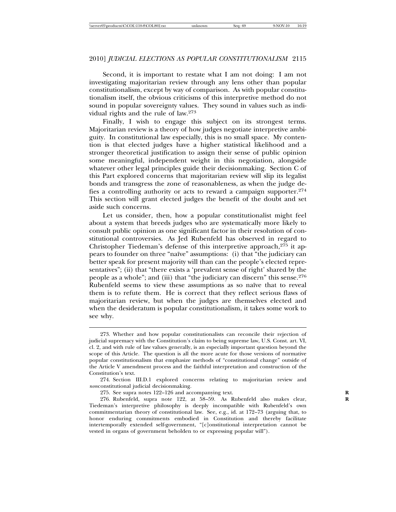Second, it is important to restate what I am not doing: I am not investigating majoritarian review through any lens other than popular constitutionalism, except by way of comparison. As with popular constitutionalism itself, the obvious criticisms of this interpretive method do not sound in popular sovereignty values. They sound in values such as individual rights and the rule of law.<sup>273</sup>

Finally, I wish to engage this subject on its strongest terms. Majoritarian review is a theory of how judges negotiate interpretive ambiguity. In constitutional law especially, this is no small space. My contention is that elected judges have a higher statistical likelihood and a stronger theoretical justification to assign their sense of public opinion some meaningful, independent weight in this negotiation, alongside whatever other legal principles guide their decisionmaking. Section C of this Part explored concerns that majoritarian review will slip its legalist bonds and transgress the zone of reasonableness, as when the judge defies a controlling authority or acts to reward a campaign supporter.<sup>274</sup> This section will grant elected judges the benefit of the doubt and set aside such concerns.

Let us consider, then, how a popular constitutionalist might feel about a system that breeds judges who are systematically more likely to consult public opinion as one significant factor in their resolution of constitutional controversies. As Jed Rubenfeld has observed in regard to Christopher Tiedeman's defense of this interpretive approach, $275$  it appears to founder on three "naïve" assumptions: (i) that "the judiciary can better speak for present majority will than can the people's elected representatives"; (ii) that "there exists a 'prevalent sense of right' shared by the people as a whole"; and (iii) that "the judiciary can discern" this sense.<sup>276</sup> Rubenfeld seems to view these assumptions as so naïve that to reveal them is to refute them. He is correct that they reflect serious flaws of majoritarian review, but when the judges are themselves elected and when the desideratum is popular constitutionalism, it takes some work to see why.

<sup>273.</sup> Whether and how popular constitutionalists can reconcile their rejection of judicial supremacy with the Constitution's claim to being supreme law, U.S. Const. art. VI, cl. 2, and with rule of law values generally, is an especially important question beyond the scope of this Article. The question is all the more acute for those versions of normative popular constitutionalism that emphasize methods of "constitutional change" outside of the Article V amendment process and the faithful interpretation and construction of the Constitution's text.

<sup>274.</sup> Section III.D.1 explored concerns relating to majoritarian review and *non*constitutional judicial decisionmaking.

<sup>275.</sup> See supra notes 122–126 and accompanying text. **R**

<sup>276.</sup> Rubenfeld, supra note 122, at 58–59. As Rubenfeld also makes clear, **R** Tiedeman's interpretive philosophy is deeply incompatible with Rubenfeld's own commitmentarian theory of constitutional law. See, e.g., id. at 172–73 (arguing that, to honor enduring commitments embodied in Constitution and thereby facilitate intertemporally extended self-government, "[c]onstitutional interpretation cannot be vested in organs of government beholden to or expressing popular will").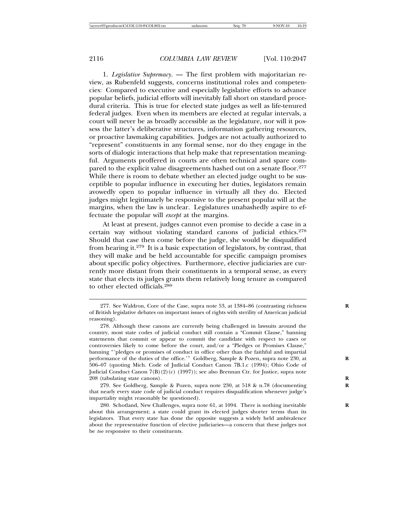1. *Legislative Supremacy*. — The first problem with majoritarian review, as Rubenfeld suggests, concerns institutional roles and competencies: Compared to executive and especially legislative efforts to advance popular beliefs, judicial efforts will inevitably fall short on standard procedural criteria. This is true for elected state judges as well as life-tenured federal judges. Even when its members are elected at regular intervals, a court will never be as broadly accessible as the legislature, nor will it possess the latter's deliberative structures, information gathering resources, or proactive lawmaking capabilities. Judges are not actually authorized to "represent" constituents in any formal sense, nor do they engage in the sorts of dialogic interactions that help make that representation meaningful. Arguments proffered in courts are often technical and spare compared to the explicit value disagreements hashed out on a senate floor.<sup>277</sup> While there is room to debate whether an elected judge ought to be susceptible to popular influence in executing her duties, legislators remain avowedly open to popular influence in virtually all they do. Elected judges might legitimately be responsive to the present popular will at the margins, when the law is unclear. Legislatures unabashedly aspire to effectuate the popular will *except* at the margins.

At least at present, judges cannot even promise to decide a case in a certain way without violating standard canons of judicial ethics.<sup>278</sup> Should that case then come before the judge, she would be disqualified from hearing it.279 It is a basic expectation of legislators, by contrast, that they will make and be held accountable for specific campaign promises about specific policy objectives. Furthermore, elective judiciaries are currently more distant from their constituents in a temporal sense, as every state that elects its judges grants them relatively long tenure as compared to other elected officials.<sup>280</sup>

<sup>277.</sup> See Waldron, Core of the Case, supra note 53, at 1384–86 (contrasting richness of British legislative debates on important issues of rights with sterility of American judicial reasoning).

<sup>278.</sup> Although these canons are currently being challenged in lawsuits around the country, most state codes of judicial conduct still contain a "Commit Clause," banning statements that commit or appear to commit the candidate with respect to cases or controversies likely to come before the court, and/or a "Pledges or Promises Clause," banning "'pledges or promises of conduct in office other than the faithful and impartial performance of the duties of the office.'" Goldberg, Sample & Pozen, supra note 230, at 506–07 (quoting Mich. Code of Judicial Conduct Canon 7B.1.c (1994); Ohio Code of Judicial Conduct Canon 7(B)(2)(c) (1997)); see also Brennan Ctr. for Justice, supra note 208 (tabulating state canons). **R**

<sup>279.</sup> See Goldberg, Sample & Pozen, supra note 230, at 518 & n.78 (documenting that nearly every state code of judicial conduct requires disqualification whenever judge's impartiality might reasonably be questioned).

<sup>280.</sup> Schotland, New Challenges, supra note 61, at 1094. There is nothing inevitable **R** about this arrangement; a state could grant its elected judges shorter terms than its legislators. That every state has done the opposite suggests a widely held ambivalence about the representative function of elective judiciaries—a concern that these judges not be *too* responsive to their constituents.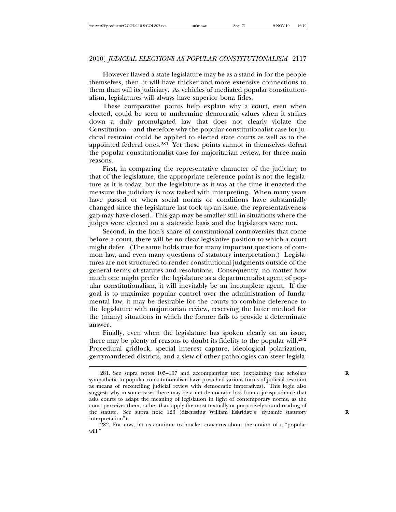However flawed a state legislature may be as a stand-in for the people themselves, then, it will have thicker and more extensive connections to them than will its judiciary. As vehicles of mediated popular constitutionalism, legislatures will always have superior bona fides.

These comparative points help explain why a court, even when elected, could be seen to undermine democratic values when it strikes down a duly promulgated law that does not clearly violate the Constitution—and therefore why the popular constitutionalist case for judicial restraint could be applied to elected state courts as well as to the appointed federal ones.<sup>281</sup> Yet these points cannot in themselves defeat the popular constitutionalist case for majoritarian review, for three main reasons.

First, in comparing the representative character of the judiciary to that of the legislature, the appropriate reference point is not the legislature as it is today, but the legislature as it was at the time it enacted the measure the judiciary is now tasked with interpreting. When many years have passed or when social norms or conditions have substantially changed since the legislature last took up an issue, the representativeness gap may have closed. This gap may be smaller still in situations where the judges were elected on a statewide basis and the legislators were not.

Second, in the lion's share of constitutional controversies that come before a court, there will be no clear legislative position to which a court might defer. (The same holds true for many important questions of common law, and even many questions of statutory interpretation.) Legislatures are not structured to render constitutional judgments outside of the general terms of statutes and resolutions. Consequently, no matter how much one might prefer the legislature as a departmentalist agent of popular constitutionalism, it will inevitably be an incomplete agent. If the goal is to maximize popular control over the administration of fundamental law, it may be desirable for the courts to combine deference to the legislature with majoritarian review, reserving the latter method for the (many) situations in which the former fails to provide a determinate answer.

Finally, even when the legislature has spoken clearly on an issue, there may be plenty of reasons to doubt its fidelity to the popular will.<sup>282</sup> Procedural gridlock, special interest capture, ideological polarization, gerrymandered districts, and a slew of other pathologies can steer legisla-

<sup>281.</sup> See supra notes 105–107 and accompanying text (explaining that scholars **R** sympathetic to popular constitutionalism have preached various forms of judicial restraint as means of reconciling judicial review with democratic imperatives). This logic also suggests why in some cases there may be a net democratic loss from a jurisprudence that asks courts to adapt the meaning of legislation in light of contemporary norms, as the court perceives them, rather than apply the most textually or purposively sound reading of the statute. See supra note 126 (discussing William Eskridge's "dynamic statutory **R** interpretation").

<sup>282.</sup> For now, let us continue to bracket concerns about the notion of a "popular will."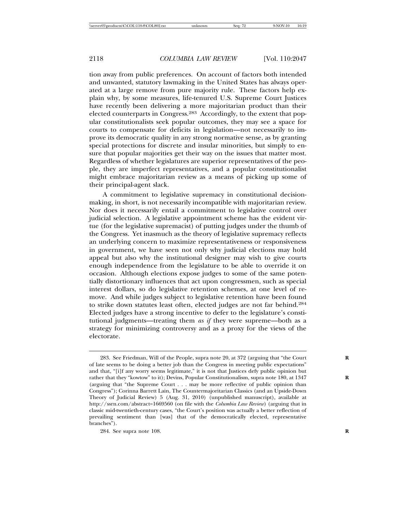tion away from public preferences. On account of factors both intended and unwanted, statutory lawmaking in the United States has always operated at a large remove from pure majority rule. These factors help explain why, by some measures, life-tenured U.S. Supreme Court Justices have recently been delivering a more majoritarian product than their elected counterparts in Congress.<sup>283</sup> Accordingly, to the extent that popular constitutionalists seek popular outcomes, they may see a space for courts to compensate for deficits in legislation—not necessarily to improve its democratic quality in any strong normative sense, as by granting special protections for discrete and insular minorities, but simply to ensure that popular majorities get their way on the issues that matter most. Regardless of whether legislatures are superior representatives of the people, they are imperfect representatives, and a popular constitutionalist might embrace majoritarian review as a means of picking up some of their principal-agent slack.

A commitment to legislative supremacy in constitutional decisionmaking, in short, is not necessarily incompatible with majoritarian review. Nor does it necessarily entail a commitment to legislative control over judicial selection. A legislative appointment scheme has the evident virtue (for the legislative supremacist) of putting judges under the thumb of the Congress. Yet inasmuch as the theory of legislative supremacy reflects an underlying concern to maximize representativeness or responsiveness in government, we have seen not only why judicial elections may hold appeal but also why the institutional designer may wish to give courts enough independence from the legislature to be able to override it on occasion. Although elections expose judges to some of the same potentially distortionary influences that act upon congressmen, such as special interest dollars, so do legislative retention schemes, at one level of remove. And while judges subject to legislative retention have been found to strike down statutes least often, elected judges are not far behind.<sup>284</sup> Elected judges have a strong incentive to defer to the legislature's constitutional judgments—treating them *as if* they were supreme—both as a strategy for minimizing controversy and as a proxy for the views of the electorate.

<sup>283.</sup> See Friedman, Will of the People, supra note 20, at 372 (arguing that "the Court of late seems to be doing a better job than the Congress in meeting public expectations" and that, "[i]f any worry seems legitimate," it is not that Justices defy public opinion but rather that they "kowtow" to it); Devins, Popular Constitutionalism, supra note 180, at 1347 (arguing that "the Supreme Court . . . may be more reflective of public opinion than Congress"); Corinna Barrett Lain, The Countermajoritarian Classics (and an Upside-Down Theory of Judicial Review) 5 (Aug. 31, 2010) (unpublished manuscript), available at http://ssrn.com/abstract=1669560 (on file with the *Columbia Law Review*) (arguing that in classic mid-twentieth-century cases, "the Court's position was actually a better reflection of prevailing sentiment than [was] that of the democratically elected, representative branches").

<sup>284.</sup> See supra note 108. **R**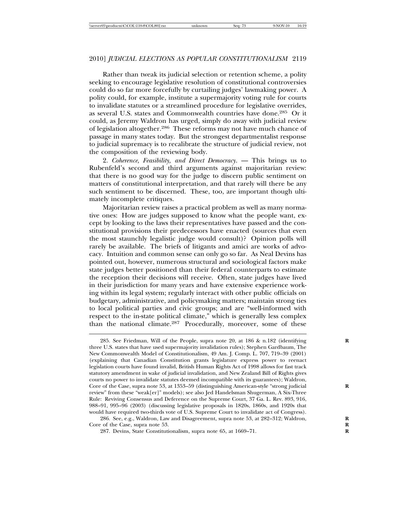Rather than tweak its judicial selection or retention scheme, a polity seeking to encourage legislative resolution of constitutional controversies could do so far more forcefully by curtailing judges' lawmaking power. A polity could, for example, institute a supermajority voting rule for courts to invalidate statutes or a streamlined procedure for legislative overrides, as several U.S. states and Commonwealth countries have done.285 Or it could, as Jeremy Waldron has urged, simply do away with judicial review of legislation altogether.<sup>286</sup> These reforms may not have much chance of passage in many states today. But the strongest departmentalist response to judicial supremacy is to recalibrate the structure of judicial review, not the composition of the reviewing body.

2. *Coherence, Feasibility, and Direct Democracy*. — This brings us to Rubenfeld's second and third arguments against majoritarian review: that there is no good way for the judge to discern public sentiment on matters of constitutional interpretation, and that rarely will there be any such sentiment to be discerned. These, too, are important though ultimately incomplete critiques.

Majoritarian review raises a practical problem as well as many normative ones: How are judges supposed to know what the people want, except by looking to the laws their representatives have passed and the constitutional provisions their predecessors have enacted (sources that even the most staunchly legalistic judge would consult)? Opinion polls will rarely be available. The briefs of litigants and amici are works of advocacy. Intuition and common sense can only go so far. As Neal Devins has pointed out, however, numerous structural and sociological factors make state judges better positioned than their federal counterparts to estimate the reception their decisions will receive. Often, state judges have lived in their jurisdiction for many years and have extensive experience working within its legal system; regularly interact with other public officials on budgetary, administrative, and policymaking matters; maintain strong ties to local political parties and civic groups; and are "well-informed with respect to the in-state political climate," which is generally less complex than the national climate.287 Procedurally, moreover, some of these

286. See, e.g., Waldron, Law and Disagreement, supra note 53, at 282–312; Waldron, **R** Core of the Case, supra note 53.

<sup>285.</sup> See Friedman, Will of the People, supra note 20, at 186 & n.182 (identifying three U.S. states that have used supermajority invalidation rules); Stephen Gardbaum, The New Commonwealth Model of Constitutionalism, 49 Am. J. Comp. L. 707, 719–39 (2001) (explaining that Canadian Constitution grants legislature express power to reenact legislation courts have found invalid, British Human Rights Act of 1998 allows for fast track statutory amendment in wake of judicial invalidation, and New Zealand Bill of Rights gives courts no power to invalidate statutes deemed incompatible with its guarantees); Waldron, Core of the Case, supra note 53, at 1353–59 (distinguishing American-style "strong judicial **R** review" from these "weak[er]" models); see also Jed Handelsman Shugerman, A Six-Three Rule: Reviving Consensus and Deference on the Supreme Court, 37 Ga. L. Rev. 893, 916, 988–91, 995–96 (2003) (discussing legislative proposals in 1820s, 1860s, and 1920s that would have required two-thirds vote of U.S. Supreme Court to invalidate act of Congress).

<sup>287.</sup> Devins, State Constitutionalism, supra note 65, at 1669–71. **R**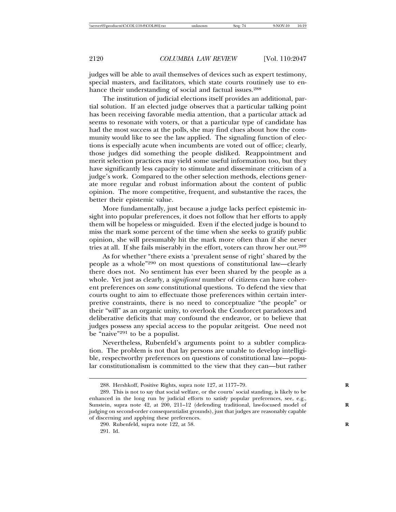judges will be able to avail themselves of devices such as expert testimony, special masters, and facilitators, which state courts routinely use to enhance their understanding of social and factual issues.<sup>288</sup>

The institution of judicial elections itself provides an additional, partial solution. If an elected judge observes that a particular talking point has been receiving favorable media attention, that a particular attack ad seems to resonate with voters, or that a particular type of candidate has had the most success at the polls, she may find clues about how the community would like to see the law applied. The signaling function of elections is especially acute when incumbents are voted out of office; clearly, those judges did something the people disliked. Reappointment and merit selection practices may yield some useful information too, but they have significantly less capacity to stimulate and disseminate criticism of a judge's work. Compared to the other selection methods, elections generate more regular and robust information about the content of public opinion. The more competitive, frequent, and substantive the races, the better their epistemic value.

More fundamentally, just because a judge lacks perfect epistemic insight into popular preferences, it does not follow that her efforts to apply them will be hopeless or misguided. Even if the elected judge is bound to miss the mark some percent of the time when she seeks to gratify public opinion, she will presumably hit the mark more often than if she never tries at all. If she fails miserably in the effort, voters can throw her out.<sup>289</sup>

As for whether "there exists a 'prevalent sense of right' shared by the people as a whole"290 on most questions of constitutional law—clearly there does not. No sentiment has ever been shared by the people as a whole. Yet just as clearly, a *significant* number of citizens can have coherent preferences on *some* constitutional questions. To defend the view that courts ought to aim to effectuate those preferences within certain interpretive constraints, there is no need to conceptualize "the people" or their "will" as an organic unity, to overlook the Condorcet paradoxes and deliberative deficits that may confound the endeavor, or to believe that judges possess any special access to the popular zeitgeist. One need not be "naive"<sup>291</sup> to be a populist.

Nevertheless, Rubenfeld's arguments point to a subtler complication. The problem is not that lay persons are unable to develop intelligible, respectworthy preferences on questions of constitutional law—popular constitutionalism is committed to the view that they can—but rather

<sup>288.</sup> Hershkoff, Positive Rights, supra note 127, at 1177-79.

<sup>289.</sup> This is not to say that social welfare, or the courts' social standing, is likely to be enhanced in the long run by judicial efforts to satisfy popular preferences, see, e.g., Sunstein, supra note 42, at 200, 211-12 (defending traditional, law-focused model of judging on second-order consequentialist grounds), just that judges are reasonably capable of discerning and applying these preferences.

<sup>290.</sup> Rubenfeld, supra note 122, at 58.

<sup>291.</sup> Id.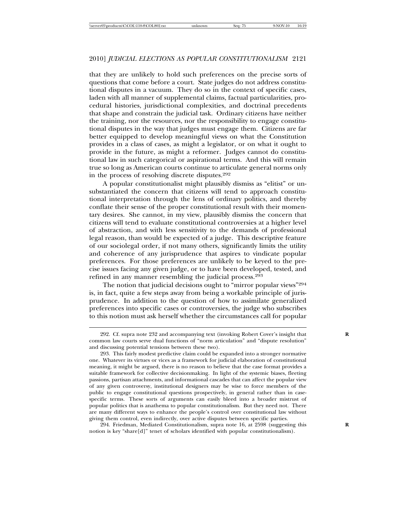that they are unlikely to hold such preferences on the precise sorts of questions that come before a court. State judges do not address constitutional disputes in a vacuum. They do so in the context of specific cases, laden with all manner of supplemental claims, factual particularities, procedural histories, jurisdictional complexities, and doctrinal precedents that shape and constrain the judicial task. Ordinary citizens have neither the training, nor the resources, nor the responsibility to engage constitutional disputes in the way that judges must engage them. Citizens are far better equipped to develop meaningful views on what the Constitution provides in a class of cases, as might a legislator, or on what it ought to provide in the future, as might a reformer. Judges cannot do constitutional law in such categorical or aspirational terms. And this will remain true so long as American courts continue to articulate general norms only in the process of resolving discrete disputes.<sup>292</sup>

A popular constitutionalist might plausibly dismiss as "elitist" or unsubstantiated the concern that citizens will tend to approach constitutional interpretation through the lens of ordinary politics, and thereby conflate their sense of the proper constitutional result with their momentary desires. She cannot, in my view, plausibly dismiss the concern that citizens will tend to evaluate constitutional controversies at a higher level of abstraction, and with less sensitivity to the demands of professional legal reason, than would be expected of a judge. This descriptive feature of our sociolegal order, if not many others, significantly limits the utility and coherence of any jurisprudence that aspires to vindicate popular preferences. For those preferences are unlikely to be keyed to the precise issues facing any given judge, or to have been developed, tested, and refined in any manner resembling the judicial process.<sup>293</sup>

The notion that judicial decisions ought to "mirror popular views"<sup>294</sup> is, in fact, quite a few steps away from being a workable principle of jurisprudence. In addition to the question of how to assimilate generalized preferences into specific cases or controversies, the judge who subscribes to this notion must ask herself whether the circumstances call for popular

294. Friedman, Mediated Constitutionalism, supra note 16, at 2598 (suggesting this **R** notion is key "share[d]" tenet of scholars identified with popular constitutionalism).

<sup>292.</sup> Cf. supra note 232 and accompanying text (invoking Robert Cover's insight that common law courts serve dual functions of "norm articulation" and "dispute resolution" and discussing potential tensions between these two).

<sup>293.</sup> This fairly modest predictive claim could be expanded into a stronger normative one. Whatever its virtues or vices as a framework for judicial elaboration of constitutional meaning, it might be argued, there is no reason to believe that the case format provides a suitable framework for collective decisionmaking. In light of the systemic biases, fleeting passions, partisan attachments, and informational cascades that can affect the popular view of any given controversy, institutional designers may be wise to force members of the public to engage constitutional questions prospectively, in general rather than in casespecific terms. These sorts of arguments can easily bleed into a broader mistrust of popular politics that is anathema to popular constitutionalism. But they need not. There are many different ways to enhance the people's control over constitutional law without giving them control, even indirectly, over active disputes between specific parties.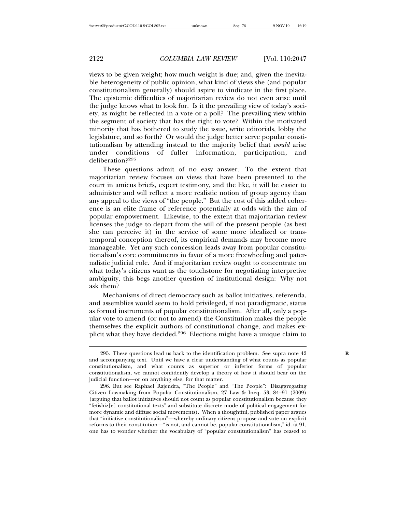views to be given weight; how much weight is due; and, given the inevitable heterogeneity of public opinion, what kind of views she (and popular constitutionalism generally) should aspire to vindicate in the first place. The epistemic difficulties of majoritarian review do not even arise until the judge knows what to look for. Is it the prevailing view of today's society, as might be reflected in a vote or a poll? The prevailing view within the segment of society that has the right to vote? Within the motivated minority that has bothered to study the issue, write editorials, lobby the legislature, and so forth? Or would the judge better serve popular constitutionalism by attending instead to the majority belief that *would* arise under conditions of fuller information, participation, and deliberation?<sup>295</sup>

These questions admit of no easy answer. To the extent that majoritarian review focuses on views that have been presented to the court in amicus briefs, expert testimony, and the like, it will be easier to administer and will reflect a more realistic notion of group agency than any appeal to the views of "the people." But the cost of this added coherence is an elite frame of reference potentially at odds with the aim of popular empowerment. Likewise, to the extent that majoritarian review licenses the judge to depart from the will of the present people (as best she can perceive it) in the service of some more idealized or transtemporal conception thereof, its empirical demands may become more manageable. Yet any such concession leads away from popular constitutionalism's core commitments in favor of a more freewheeling and paternalistic judicial role. And if majoritarian review ought to concentrate on what today's citizens want as the touchstone for negotiating interpretive ambiguity, this begs another question of institutional design: Why not ask them?

Mechanisms of direct democracy such as ballot initiatives, referenda, and assemblies would seem to hold privileged, if not paradigmatic, status as formal instruments of popular constitutionalism. After all, only a popular vote to amend (or not to amend) the Constitution makes the people themselves the explicit authors of constitutional change, and makes explicit what they have decided.296 Elections might have a unique claim to

<sup>295.</sup> These questions lead us back to the identification problem. See supra note 42 **R** and accompanying text. Until we have a clear understanding of what counts as popular constitutionalism, and what counts as superior or inferior forms of popular constitutionalism, we cannot confidently develop a theory of how it should bear on the judicial function—or on anything else, for that matter.

<sup>296.</sup> But see Raphael Rajendra, "The People" and "The People": Disaggregating Citizen Lawmaking from Popular Constitutionalism, 27 Law & Ineq. 53, 84–91 (2009) (arguing that ballot initiatives should not count as popular constitutionalism because they "fetishiz[e] constitutional texts" and substitute discrete mode of political engagement for more dynamic and diffuse social movements). When a thoughtful, published paper argues that "initiative constitutionalism"—whereby ordinary citizens propose and vote on explicit reforms to their constitution—"is not, and cannot be, popular constitutionalism," id. at 91, one has to wonder whether the vocabulary of "popular constitutionalism" has ceased to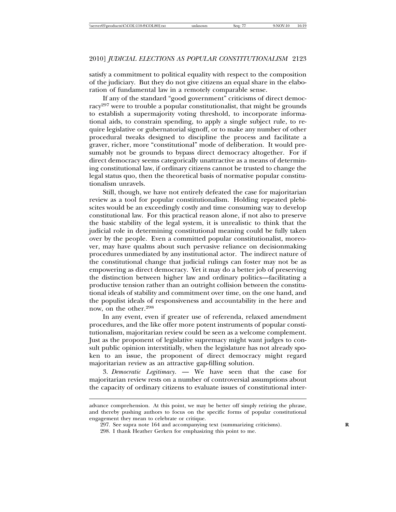satisfy a commitment to political equality with respect to the composition of the judiciary. But they do not give citizens an equal share in the elaboration of fundamental law in a remotely comparable sense.

If any of the standard "good government" criticisms of direct democracy<sup>297</sup> were to trouble a popular constitutionalist, that might be grounds to establish a supermajority voting threshold, to incorporate informational aids, to constrain spending, to apply a single subject rule, to require legislative or gubernatorial signoff, or to make any number of other procedural tweaks designed to discipline the process and facilitate a graver, richer, more "constitutional" mode of deliberation. It would presumably not be grounds to bypass direct democracy altogether. For if direct democracy seems categorically unattractive as a means of determining constitutional law, if ordinary citizens cannot be trusted to change the legal status quo, then the theoretical basis of normative popular constitutionalism unravels.

Still, though, we have not entirely defeated the case for majoritarian review as a tool for popular constitutionalism. Holding repeated plebiscites would be an exceedingly costly and time consuming way to develop constitutional law. For this practical reason alone, if not also to preserve the basic stability of the legal system, it is unrealistic to think that the judicial role in determining constitutional meaning could be fully taken over by the people. Even a committed popular constitutionalist, moreover, may have qualms about such pervasive reliance on decisionmaking procedures unmediated by any institutional actor. The indirect nature of the constitutional change that judicial rulings can foster may not be as empowering as direct democracy. Yet it may do a better job of preserving the distinction between higher law and ordinary politics—facilitating a productive tension rather than an outright collision between the constitutional ideals of stability and commitment over time, on the one hand, and the populist ideals of responsiveness and accountability in the here and now, on the other.<sup>298</sup>

In any event, even if greater use of referenda, relaxed amendment procedures, and the like offer more potent instruments of popular constitutionalism, majoritarian review could be seen as a welcome complement. Just as the proponent of legislative supremacy might want judges to consult public opinion interstitially, when the legislature has not already spoken to an issue, the proponent of direct democracy might regard majoritarian review as an attractive gap-filling solution.

3. *Democratic Legitimacy*. — We have seen that the case for majoritarian review rests on a number of controversial assumptions about the capacity of ordinary citizens to evaluate issues of constitutional inter-

advance comprehension. At this point, we may be better off simply retiring the phrase, and thereby pushing authors to focus on the specific forms of popular constitutional engagement they mean to celebrate or critique.

<sup>297.</sup> See supra note 164 and accompanying text (summarizing criticisms). **R**

<sup>298.</sup> I thank Heather Gerken for emphasizing this point to me.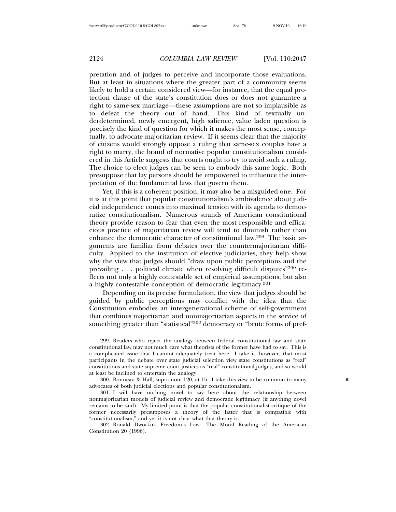pretation and of judges to perceive and incorporate those evaluations. But at least in situations where the greater part of a community seems likely to hold a certain considered view—for instance, that the equal protection clause of the state's constitution does or does not guarantee a right to same-sex marriage—these assumptions are not so implausible as to defeat the theory out of hand. This kind of textually underdetermined, newly emergent, high salience, value laden question is precisely the kind of question for which it makes the most sense, conceptually, to advocate majoritarian review. If it seems clear that the majority of citizens would strongly oppose a ruling that same-sex couples have a right to marry, the brand of normative popular constitutionalism considered in this Article suggests that courts ought to try to avoid such a ruling. The choice to elect judges can be seen to embody this same logic. Both presuppose that lay persons should be empowered to influence the interpretation of the fundamental laws that govern them.

Yet, if this is a coherent position, it may also be a misguided one. For it is at this point that popular constitutionalism's ambivalence about judicial independence comes into maximal tension with its agenda to democratize constitutionalism. Numerous strands of American constitutional theory provide reason to fear that even the most responsible and efficacious practice of majoritarian review will tend to diminish rather than enhance the democratic character of constitutional law.299 The basic arguments are familiar from debates over the countermajoritarian difficulty. Applied to the institution of elective judiciaries, they help show why the view that judges should "draw upon public perceptions and the prevailing . . . political climate when resolving difficult disputes"<sup>300</sup> reflects not only a highly contestable set of empirical assumptions, but also a highly contestable conception of democratic legitimacy.<sup>301</sup>

Depending on its precise formulation, the view that judges should be guided by public perceptions may conflict with the idea that the Constitution embodies an intergenerational scheme of self-government that combines majoritarian and nonmajoritarian aspects in the service of something greater than "statistical"<sup>302</sup> democracy or "brute forms of pref-

<sup>299.</sup> Readers who reject the analogy between federal constitutional law and state constitutional law may not much care what theorists of the former have had to say. This is a complicated issue that I cannot adequately treat here. I take it, however, that most participants in the debate over state judicial selection view state constitutions as "real" constitutions and state supreme court justices as "real" constitutional judges, and so would at least be inclined to entertain the analogy.

<sup>300.</sup> Bonneau & Hall, supra note 120, at 15. I take this view to be common to many **R** advocates of both judicial elections and popular constitutionalism.

<sup>301.</sup> I will have nothing novel to say here about the relationship between nonmajoritarian models of judicial review and democratic legitimacy (if anything novel remains to be said). My limited point is that the popular constitutionalist critique of the former necessarily presupposes a theory of the latter that is compatible with "constitutionalism," and yet it is not clear what that theory is.

<sup>302.</sup> Ronald Dworkin, Freedom's Law: The Moral Reading of the American Constitution 20 (1996).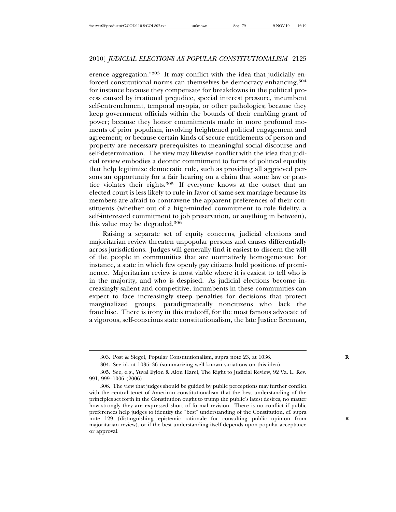erence aggregation."<sup>303</sup> It may conflict with the idea that judicially enforced constitutional norms can themselves be democracy enhancing, 304 for instance because they compensate for breakdowns in the political process caused by irrational prejudice, special interest pressure, incumbent self-entrenchment, temporal myopia, or other pathologies; because they keep government officials within the bounds of their enabling grant of power; because they honor commitments made in more profound moments of prior populism, involving heightened political engagement and agreement; or because certain kinds of secure entitlements of person and property are necessary prerequisites to meaningful social discourse and self-determination. The view may likewise conflict with the idea that judicial review embodies a deontic commitment to forms of political equality that help legitimize democratic rule, such as providing all aggrieved persons an opportunity for a fair hearing on a claim that some law or practice violates their rights.305 If everyone knows at the outset that an elected court is less likely to rule in favor of same-sex marriage because its members are afraid to contravene the apparent preferences of their constituents (whether out of a high-minded commitment to role fidelity, a self-interested commitment to job preservation, or anything in between), this value may be degraded.<sup>306</sup>

Raising a separate set of equity concerns, judicial elections and majoritarian review threaten unpopular persons and causes differentially across jurisdictions. Judges will generally find it easiest to discern the will of the people in communities that are normatively homogeneous: for instance, a state in which few openly gay citizens hold positions of prominence. Majoritarian review is most viable where it is easiest to tell who is in the majority, and who is despised. As judicial elections become increasingly salient and competitive, incumbents in these communities can expect to face increasingly steep penalties for decisions that protect marginalized groups, paradigmatically noncitizens who lack the franchise. There is irony in this tradeoff, for the most famous advocate of a vigorous, self-conscious state constitutionalism, the late Justice Brennan,

<sup>303.</sup> Post & Siegel, Popular Constitutionalism, supra note 23, at 1036. **R**

<sup>304.</sup> See id. at 1035–36 (summarizing well known variations on this idea).

<sup>305.</sup> See, e.g., Yuval Eylon & Alon Harel, The Right to Judicial Review, 92 Va. L. Rev. 991, 999–1006 (2006).

<sup>306.</sup> The view that judges should be guided by public perceptions may further conflict with the central tenet of American constitutionalism that the best understanding of the principles set forth in the Constitution ought to trump the public's latest desires, no matter how strongly they are expressed short of formal revision. There is no conflict if public preferences help judges to identify the "best" understanding of the Constitution, cf. supra note 129 (distinguishing epistemic rationale for consulting public opinion from **R** majoritarian review), or if the best understanding itself depends upon popular acceptance or approval.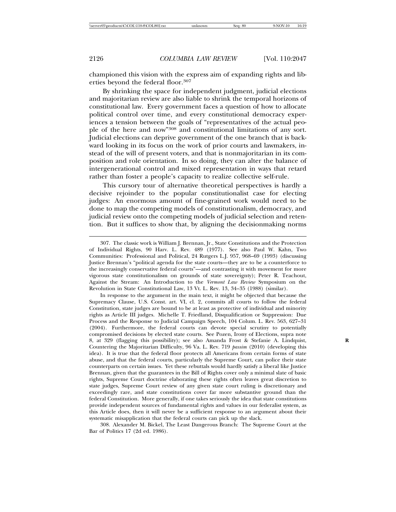championed this vision with the express aim of expanding rights and liberties beyond the federal floor.<sup>307</sup>

By shrinking the space for independent judgment, judicial elections and majoritarian review are also liable to shrink the temporal horizons of constitutional law. Every government faces a question of how to allocate political control over time, and every constitutional democracy experiences a tension between the goals of "representatives of the actual people of the here and now"308 and constitutional limitations of any sort. Judicial elections can deprive government of the one branch that is backward looking in its focus on the work of prior courts and lawmakers, instead of the will of present voters, and that is nonmajoritarian in its composition and role orientation. In so doing, they can alter the balance of intergenerational control and mixed representation in ways that retard rather than foster a people's capacity to realize collective self-rule.

This cursory tour of alternative theoretical perspectives is hardly a decisive rejoinder to the popular constitutionalist case for electing judges: An enormous amount of fine-grained work would need to be done to map the competing models of constitutionalism, democracy, and judicial review onto the competing models of judicial selection and retention. But it suffices to show that, by aligning the decisionmaking norms

308. Alexander M. Bickel, The Least Dangerous Branch: The Supreme Court at the Bar of Politics 17 (2d ed. 1986).

<sup>307.</sup> The classic work is William J. Brennan, Jr., State Constitutions and the Protection of Individual Rights, 90 Harv. L. Rev. 489 (1977). See also Paul W. Kahn, Two Communities: Professional and Political, 24 Rutgers L.J. 957, 968–69 (1993) (discussing Justice Brennan's "political agenda for the state courts—they are to be a counterforce to the increasingly conservative federal courts"—and contrasting it with movement for more vigorous state constitutionalism on grounds of state sovereignty); Peter R. Teachout, Against the Stream: An Introduction to the *Vermont Law Review* Symposium on the Revolution in State Constitutional Law, 13 Vt. L. Rev. 13, 34–35 (1988) (similar).

In response to the argument in the main text, it might be objected that because the Supremacy Clause, U.S. Const. art. VI, cl. 2, commits all courts to follow the federal Constitution, state judges are bound to be at least as protective of individual and minority rights as Article III judges. Michelle T. Friedland, Disqualification or Suppression: Due Process and the Response to Judicial Campaign Speech, 104 Colum. L. Rev. 563, 627–31 (2004). Furthermore, the federal courts can devote special scrutiny to potentially compromised decisions by elected state courts. See Pozen, Irony of Elections, supra note 8, at 329 (flagging this possibility); see also Amanda Frost & Stefanie A. Lindquist, **R** Countering the Majoritarian Difficulty, 96 Va. L. Rev. 719 *passim* (2010) (developing this idea). It is true that the federal floor protects all Americans from certain forms of state abuse, and that the federal courts, particularly the Supreme Court, can police their state counterparts on certain issues. Yet these rebuttals would hardly satisfy a liberal like Justice Brennan, given that the guarantees in the Bill of Rights cover only a minimal slate of basic rights, Supreme Court doctrine elaborating these rights often leaves great discretion to state judges, Supreme Court review of any given state court ruling is discretionary and exceedingly rare, and state constitutions cover far more substantive ground than the federal Constitution. More generally, if one takes seriously the idea that state constitutions provide independent sources of fundamental rights and values in our federalist system, as this Article does, then it will never be a sufficient response to an argument about their systematic misapplication that the federal courts can pick up the slack.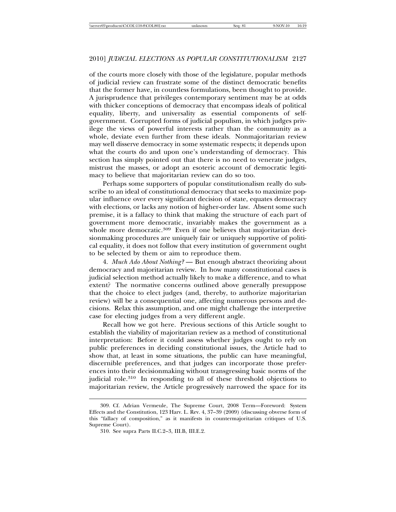of the courts more closely with those of the legislature, popular methods of judicial review can frustrate some of the distinct democratic benefits that the former have, in countless formulations, been thought to provide. A jurisprudence that privileges contemporary sentiment may be at odds with thicker conceptions of democracy that encompass ideals of political equality, liberty, and universality as essential components of selfgovernment. Corrupted forms of judicial populism, in which judges privilege the views of powerful interests rather than the community as a whole, deviate even further from these ideals. Nonmajoritarian review may well disserve democracy in some systematic respects; it depends upon what the courts do and upon one's understanding of democracy. This section has simply pointed out that there is no need to venerate judges, mistrust the masses, or adopt an esoteric account of democratic legitimacy to believe that majoritarian review can do so too.

Perhaps some supporters of popular constitutionalism really do subscribe to an ideal of constitutional democracy that seeks to maximize popular influence over every significant decision of state, equates democracy with elections, or lacks any notion of higher-order law. Absent some such premise, it is a fallacy to think that making the structure of each part of government more democratic, invariably makes the government as a whole more democratic.<sup>309</sup> Even if one believes that majoritarian decisionmaking procedures are uniquely fair or uniquely supportive of political equality, it does not follow that every institution of government ought to be selected by them or aim to reproduce them.

4. *Much Ado About Nothing?* — But enough abstract theorizing about democracy and majoritarian review. In how many constitutional cases is judicial selection method actually likely to make a difference, and to what extent? The normative concerns outlined above generally presuppose that the choice to elect judges (and, thereby, to authorize majoritarian review) will be a consequential one, affecting numerous persons and decisions. Relax this assumption, and one might challenge the interpretive case for electing judges from a very different angle.

Recall how we got here. Previous sections of this Article sought to establish the viability of majoritarian review as a method of constitutional interpretation: Before it could assess whether judges ought to rely on public preferences in deciding constitutional issues, the Article had to show that, at least in some situations, the public can have meaningful, discernible preferences, and that judges can incorporate those preferences into their decisionmaking without transgressing basic norms of the judicial role.<sup>310</sup> In responding to all of these threshold objections to majoritarian review, the Article progressively narrowed the space for its

<sup>309.</sup> Cf. Adrian Vermeule, The Supreme Court, 2008 Term—Foreword: System Effects and the Constitution, 123 Harv. L. Rev. 4, 37–39 (2009) (discussing obverse form of this "fallacy of composition," as it manifests in countermajoritarian critiques of U.S. Supreme Court).

<sup>310.</sup> See supra Parts II.C.2–3, III.B, III.E.2.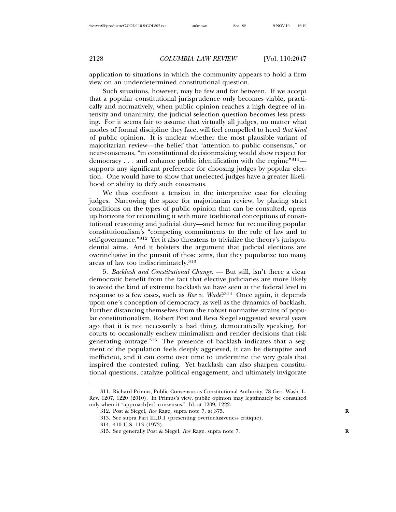application to situations in which the community appears to hold a firm view on an underdetermined constitutional question.

Such situations, however, may be few and far between. If we accept that a popular constitutional jurisprudence only becomes viable, practically and normatively, when public opinion reaches a high degree of intensity and unanimity, the judicial selection question becomes less pressing. For it seems fair to assume that virtually all judges, no matter what modes of formal discipline they face, will feel compelled to heed *that kind* of public opinion. It is unclear whether the most plausible variant of majoritarian review—the belief that "attention to public consensus," or near-consensus, "in constitutional decisionmaking would show respect for democracy . . . and enhance public identification with the regime<sup>"311</sup> supports any significant preference for choosing judges by popular election. One would have to show that unelected judges have a greater likelihood or ability to defy such consensus.

We thus confront a tension in the interpretive case for electing judges. Narrowing the space for majoritarian review, by placing strict conditions on the types of public opinion that can be consulted, opens up horizons for reconciling it with more traditional conceptions of constitutional reasoning and judicial duty—and hence for reconciling popular constitutionalism's "competing commitments to the rule of law and to self-governance."312 Yet it also threatens to trivialize the theory's jurisprudential aims. And it bolsters the argument that judicial elections are overinclusive in the pursuit of those aims, that they popularize too many areas of law too indiscriminately.<sup>313</sup>

5. *Backlash and Constitutional Change*. — But still, isn't there a clear democratic benefit from the fact that elective judiciaries are more likely to avoid the kind of extreme backlash we have seen at the federal level in response to a few cases, such as *Roe v. Wade*?314 Once again, it depends upon one's conception of democracy, as well as the dynamics of backlash. Further distancing themselves from the robust normative strains of popular constitutionalism, Robert Post and Reva Siegel suggested several years ago that it is not necessarily a bad thing, democratically speaking, for courts to occasionally eschew minimalism and render decisions that risk generating outrage.<sup>315</sup> The presence of backlash indicates that a segment of the population feels deeply aggrieved, it can be disruptive and inefficient, and it can come over time to undermine the very goals that inspired the contested ruling. Yet backlash can also sharpen constitutional questions, catalyze political engagement, and ultimately invigorate

<sup>311.</sup> Richard Primus, Public Consensus as Constitutional Authority, 78 Geo. Wash. L. Rev. 1207, 1220 (2010). In Primus's view, public opinion may legitimately be consulted only when it "approach[es] consensus." Id. at 1209, 1222.

<sup>312.</sup> Post & Siegel, *Roe* Rage, supra note 7, at 375. **R**

<sup>313.</sup> See supra Part III.D.1 (presenting overinclusiveness critique).

<sup>314. 410</sup> U.S. 113 (1973).

<sup>315.</sup> See generally Post & Siegel, *Roe* Rage, supra note 7. **R**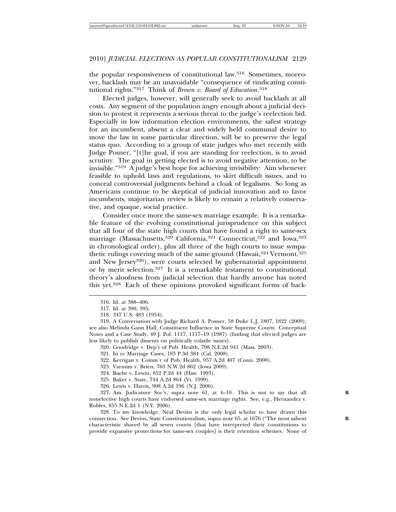the popular responsiveness of constitutional law.316 Sometimes, moreover, backlash may be an unavoidable "consequence of vindicating constitutional rights."317 Think of *Brown v. Board of Education*. 318

Elected judges, however, will generally seek to avoid backlash at all costs. Any segment of the population angry enough about a judicial decision to protest it represents a serious threat to the judge's reelection bid. Especially in low information election environments, the safest strategy for an incumbent, absent a clear and widely held communal desire to move the law in some particular direction, will be to preserve the legal status quo. According to a group of state judges who met recently with Judge Posner, "[t]he goal, if you are standing for reelection, is to avoid scrutiny. The goal in getting elected is to avoid negative attention, to be invisible."319 A judge's best hope for achieving invisibility: Aim whenever feasible to uphold laws and regulations, to skirt difficult issues, and to conceal controversial judgments behind a cloak of legalisms. So long as Americans continue to be skeptical of judicial innovation and to favor incumbents, majoritarian review is likely to remain a relatively conservative, and opaque, social practice.

Consider once more the same-sex marriage example. It is a remarkable feature of the evolving constitutional jurisprudence on this subject that all four of the state high courts that have found a right to same-sex marriage (Massachusetts,<sup>320</sup> California,<sup>321</sup> Connecticut,<sup>322</sup> and Iowa,<sup>323</sup> in chronological order), plus all three of the high courts to issue sympathetic rulings covering much of the same ground (Hawaii,  $324$  Vermont,  $325$ ) and New Jersey<sup>326</sup>), were courts selected by gubernatorial appointment or by merit selection.327 It is a remarkable testament to constitutional theory's aloofness from judicial selection that hardly anyone has noted this yet.328 Each of these opinions provoked significant forms of back-

319. A Conversation with Judge Richard A. Posner, 58 Duke L.J. 1807, 1822 (2009); see also Melinda Gann Hall, Constituent Influence in State Supreme Courts: Conceptual Notes and a Case Study, 49 J. Pol. 1117, 1117–19 (1987) (finding that elected judges are less likely to publish dissents on politically volatile issues).

- 320. Goodridge v. Dep't of Pub. Health, 798 N.E.2d 941 (Mass. 2003).
- 321. In re Marriage Cases, 183 P.3d 384 (Cal. 2008).
- 322. Kerrigan v. Comm'r of Pub. Health, 957 A.2d 407 (Conn. 2008).
- 323. Varnum v. Brien, 763 N.W.2d 862 (Iowa 2009).
- 324. Baehr v. Lewin, 852 P.2d 44 (Haw. 1993).
- 325. Baker v. State, 744 A.2d 864 (Vt. 1999).
- 326. Lewis v. Harris, 908 A.2d 196 (N.J. 2006).

327. Am. Judicature Soc'y, supra note 61, at 4–10. This is not to say that all **R** nonelective high courts have endorsed same-sex marriage rights. See, e.g., Hernandez v. Robles, 855 N.E.2d 1 (N.Y. 2006).

328. To my knowledge, Neal Devins is the only legal scholar to have drawn this connection. See Devins, State Constitutionalism, supra note 65, at 1676 ("The most salient characteristic shared by all seven courts [that have interpreted their constitutions to provide expansive protections for same-sex couples] is their retention schemes. None of

<sup>316.</sup> Id. at 388–406.

<sup>317.</sup> Id. at 390, 395.

<sup>318. 347</sup> U.S. 483 (1954).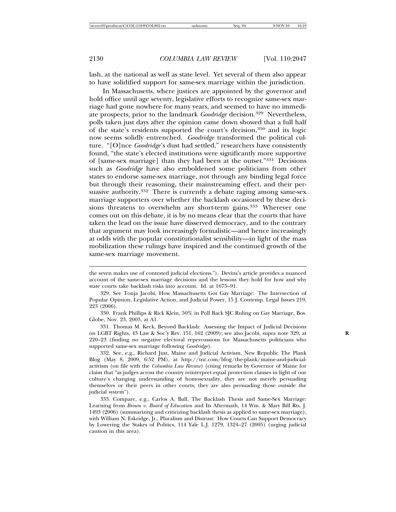lash, at the national as well as state level. Yet several of them also appear to have solidified support for same-sex marriage within the jurisdiction.

In Massachusetts, where justices are appointed by the governor and hold office until age seventy, legislative efforts to recognize same-sex marriage had gone nowhere for many years, and seemed to have no immediate prospects, prior to the landmark *Goodridge* decision.329 Nevertheless, polls taken just days after the opinion came down showed that a full half of the state's residents supported the court's decision,<sup>330</sup> and its logic now seems solidly entrenched. *Goodridge* transformed the political culture. "[O]nce *Goodridge*'s dust had settled," researchers have consistently found, "the state's elected institutions were significantly more supportive of [same-sex marriage] than they had been at the outset."331 Decisions such as *Goodridge* have also emboldened some politicians from other states to endorse same-sex marriage, not through any binding legal force but through their reasoning, their mainstreaming effect, and their persuasive authority.<sup>332</sup> There is currently a debate raging among same-sex marriage supporters over whether the backlash occasioned by these decisions threatens to overwhelm any short-term gains.<sup>333</sup> Wherever one comes out on this debate, it is by no means clear that the courts that have taken the lead on the issue have disserved democracy, and to the contrary that argument may look increasingly formalistic—and hence increasingly at odds with the popular constitutionalist sensibility—in light of the mass mobilization these rulings have inspired and the continued growth of the same-sex marriage movement.

330. Frank Phillips & Rick Klein, 50% in Poll Back SJC Ruling on Gay Marriage, Bos. Globe, Nov. 23, 2003, at A1.

331. Thomas M. Keck, Beyond Backlash: Assessing the Impact of Judicial Decisions on LGBT Rights, 43 Law & Soc'y Rev. 151, 162 (2009); see also Jacobi, supra note 329, at **R** 220–23 (finding no negative electoral repercussions for Massachusetts politicians who supported same-sex marriage following *Goodridge*).

332. See, e.g., Richard Just, Maine and Judicial Activism, New Republic The Plank Blog (May 8, 2009, 6:52 PM), at http://tnr.com/blog/the-plank/maine-and-judicialactivism (on file with the *Columbia Law Review*) (citing remarks by Governor of Maine for claim that "as judges across the country reinterpret equal protection clauses in light of our culture's changing understanding of homosexuality, they are not merely persuading themselves or their peers in other courts; they are also persuading those outside the judicial system").

333. Compare, e.g., Carlos A. Ball, The Backlash Thesis and Same-Sex Marriage: Learning from *Brown v. Board of Education* and Its Aftermath, 14 Wm. & Mary Bill Rts. J. 1493 (2006) (summarizing and criticizing backlash thesis as applied to same-sex marriage), with William N. Eskridge, Jr., Pluralism and Distrust: How Courts Can Support Democracy by Lowering the Stakes of Politics, 114 Yale L.J. 1279, 1324–27 (2005) (urging judicial caution in this area).

the seven makes use of contested judicial elections."). Devins's article provides a nuanced account of the same-sex marriage decisions and the lessons they hold for how and why state courts take backlash risks into account. Id. at 1675–91.

<sup>329.</sup> See Tonja Jacobi, How Massachusetts Got Gay Marriage: The Intersection of Popular Opinion, Legislative Action, and Judicial Power, 15 J. Contemp. Legal Issues 219, 223 (2006).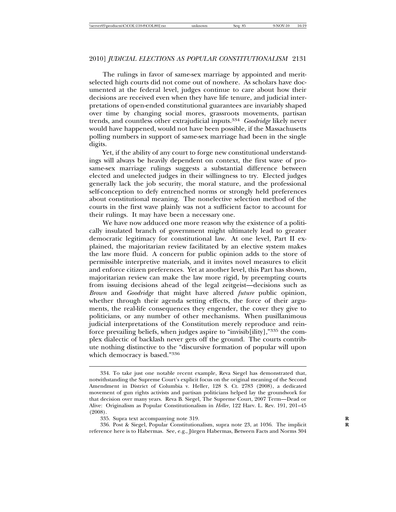The rulings in favor of same-sex marriage by appointed and meritselected high courts did not come out of nowhere. As scholars have documented at the federal level, judges continue to care about how their decisions are received even when they have life tenure, and judicial interpretations of open-ended constitutional guarantees are invariably shaped over time by changing social mores, grassroots movements, partisan trends, and countless other extrajudicial inputs.<sup>334</sup> *Goodridge* likely never would have happened, would not have been possible, if the Massachusetts polling numbers in support of same-sex marriage had been in the single digits.

Yet, if the ability of any court to forge new constitutional understandings will always be heavily dependent on context, the first wave of prosame-sex marriage rulings suggests a substantial difference between elected and unelected judges in their willingness to try. Elected judges generally lack the job security, the moral stature, and the professional self-conception to defy entrenched norms or strongly held preferences about constitutional meaning. The nonelective selection method of the courts in the first wave plainly was not a sufficient factor to account for their rulings. It may have been a necessary one.

We have now adduced one more reason why the existence of a politically insulated branch of government might ultimately lead to greater democratic legitimacy for constitutional law. At one level, Part II explained, the majoritarian review facilitated by an elective system makes the law more fluid. A concern for public opinion adds to the store of permissible interpretive materials, and it invites novel measures to elicit and enforce citizen preferences. Yet at another level, this Part has shown, majoritarian review can make the law more rigid, by preempting courts from issuing decisions ahead of the legal zeitgeist—decisions such as *Brown* and *Goodridge* that might have altered *future* public opinion, whether through their agenda setting effects, the force of their arguments, the real-life consequences they engender, the cover they give to politicians, or any number of other mechanisms. When pusillanimous judicial interpretations of the Constitution merely reproduce and reinforce prevailing beliefs, when judges aspire to "invisib[ility],"335 the complex dialectic of backlash never gets off the ground. The courts contribute nothing distinctive to the "discursive formation of popular will upon which democracy is based."<sup>336</sup>

336. Post & Siegel, Popular Constitutionalism, supra note 23, at 1036. The implicit **R** reference here is to Habermas. See, e.g., Jürgen Habermas, Between Facts and Norms 304

<sup>334.</sup> To take just one notable recent example, Reva Siegel has demonstrated that, notwithstanding the Supreme Court's explicit focus on the original meaning of the Second Amendment in District of Columbia v. Heller, 128 S. Ct. 2783 (2008), a dedicated movement of gun rights activists and partisan politicians helped lay the groundwork for that decision over many years. Reva B. Siegel, The Supreme Court, 2007 Term—Dead or Alive: Originalism as Popular Constitutionalism in *Heller*, 122 Harv. L. Rev. 191, 201–45 (2008).

<sup>335.</sup> Supra text accompanying note 319. **R**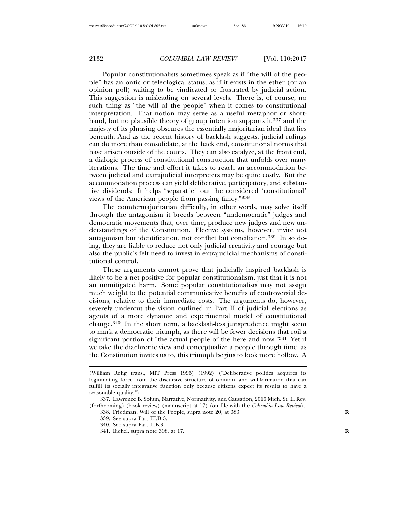Popular constitutionalists sometimes speak as if "the will of the people" has an ontic or teleological status, as if it exists in the ether (or an opinion poll) waiting to be vindicated or frustrated by judicial action. This suggestion is misleading on several levels. There is, of course, no such thing as "the will of the people" when it comes to constitutional interpretation. That notion may serve as a useful metaphor or shorthand, but no plausible theory of group intention supports it,<sup>337</sup> and the majesty of its phrasing obscures the essentially majoritarian ideal that lies beneath. And as the recent history of backlash suggests, judicial rulings can do more than consolidate, at the back end, constitutional norms that have arisen outside of the courts. They can also catalyze, at the front end, a dialogic process of constitutional construction that unfolds over many iterations. The time and effort it takes to reach an accommodation between judicial and extrajudicial interpreters may be quite costly. But the accommodation process can yield deliberative, participatory, and substantive dividends: It helps "separat[e] out the considered 'constitutional' views of the American people from passing fancy."<sup>338</sup>

The countermajoritarian difficulty, in other words, may solve itself through the antagonism it breeds between "undemocratic" judges and democratic movements that, over time, produce new judges and new understandings of the Constitution. Elective systems, however, invite not antagonism but identification, not conflict but conciliation.339 In so doing, they are liable to reduce not only judicial creativity and courage but also the public's felt need to invest in extrajudicial mechanisms of constitutional control.

These arguments cannot prove that judicially inspired backlash is likely to be a net positive for popular constitutionalism, just that it is not an unmitigated harm. Some popular constitutionalists may not assign much weight to the potential communicative benefits of controversial decisions, relative to their immediate costs. The arguments do, however, severely undercut the vision outlined in Part II of judicial elections as agents of a more dynamic and experimental model of constitutional change.340 In the short term, a backlash-less jurisprudence might seem to mark a democratic triumph, as there will be fewer decisions that roil a significant portion of "the actual people of the here and now."341 Yet if we take the diachronic view and conceptualize a people through time, as the Constitution invites us to, this triumph begins to look more hollow. A

341. Bickel, supra note 308, at 17. **R**

<sup>(</sup>William Rehg trans., MIT Press 1996) (1992) ("Deliberative politics acquires its legitimating force from the discursive structure of opinion- and will-formation that can fulfill its socially integrative function only because citizens expect its results to have a reasonable quality.").

<sup>337.</sup> Lawrence B. Solum, Narrative, Normativity, and Causation, 2010 Mich. St. L. Rev. (forthcoming) (book review) (manuscript at 17) (on file with the *Columbia Law Review*).

<sup>338.</sup> Friedman, Will of the People, supra note 20, at 383. **R**

<sup>339.</sup> See supra Part III.D.3.

<sup>340.</sup> See supra Part II.B.3.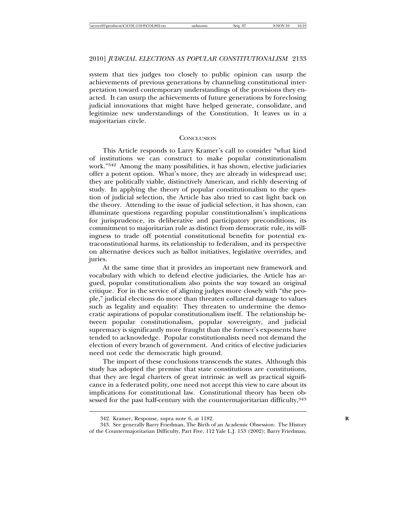system that ties judges too closely to public opinion can usurp the achievements of previous generations by channeling constitutional interpretation toward contemporary understandings of the provisions they enacted. It can usurp the achievements of future generations by foreclosing judicial innovations that might have helped generate, consolidate, and legitimize new understandings of the Constitution. It leaves us in a majoritarian circle.

## **CONCLUSION**

This Article responds to Larry Kramer's call to consider "what kind of institutions we can construct to make popular constitutionalism work."342 Among the many possibilities, it has shown, elective judiciaries offer a potent option. What's more, they are already in widespread use; they are politically viable, distinctively American, and richly deserving of study. In applying the theory of popular constitutionalism to the question of judicial selection, the Article has also tried to cast light back on the theory. Attending to the issue of judicial selection, it has shown, can illuminate questions regarding popular constitutionalism's implications for jurisprudence, its deliberative and participatory preconditions, its commitment to majoritarian rule as distinct from democratic rule, its willingness to trade off potential constitutional benefits for potential extraconstitutional harms, its relationship to federalism, and its perspective on alternative devices such as ballot initiatives, legislative overrides, and juries.

At the same time that it provides an important new framework and vocabulary with which to defend elective judiciaries, the Article has argued, popular constitutionalism also points the way toward an original critique. For in the service of aligning judges more closely with "the people," judicial elections do more than threaten collateral damage to values such as legality and equality: They threaten to undermine the democratic aspirations of popular constitutionalism itself. The relationship between popular constitutionalism, popular sovereignty, and judicial supremacy is significantly more fraught than the former's exponents have tended to acknowledge. Popular constitutionalists need not demand the election of every branch of government. And critics of elective judiciaries need not cede the democratic high ground.

The import of these conclusions transcends the states. Although this study has adopted the premise that state constitutions are constitutions, that they are legal charters of great intrinsic as well as practical significance in a federated polity, one need not accept this view to care about its implications for constitutional law. Constitutional theory has been obsessed for the past half-century with the countermajoritarian difficulty, 343

<sup>342.</sup> Kramer, Response, supra note 6, at 1182. **R**

<sup>343.</sup> See generally Barry Friedman, The Birth of an Academic Obsession: The History of the Countermajoritarian Difficulty, Part Five, 112 Yale L.J. 153 (2002); Barry Friedman,